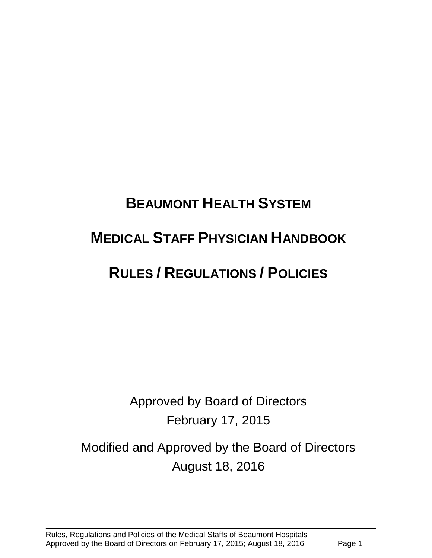# **BEAUMONT HEALTH SYSTEM MEDICAL STAFF PHYSICIAN HANDBOOK RULES / REGULATIONS / POLICIES**

Approved by Board of Directors February 17, 2015

# Modified and Approved by the Board of Directors August 18, 2016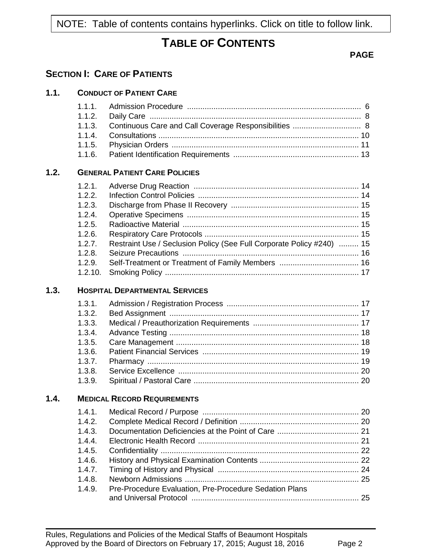NOTE: Table of contents contains hyperlinks. Click on title to follow link.

## **TABLE OF CONTENTS**

#### **PAGE**

## **SECTION I: CARE OF PATIENTS**

**1.1. CONDUCT OF PATIENT CARE**

|      | 1.1.1.  |                                                                       |  |
|------|---------|-----------------------------------------------------------------------|--|
|      | 1.1.2.  |                                                                       |  |
|      | 1.1.3.  | Continuous Care and Call Coverage Responsibilities  8                 |  |
|      | 1.1.4.  |                                                                       |  |
|      | 1.1.5.  |                                                                       |  |
|      | 1.1.6.  |                                                                       |  |
| 1.2. |         | <b>GENERAL PATIENT CARE POLICIES</b>                                  |  |
|      | 1.2.1.  |                                                                       |  |
|      | 1.2.2.  |                                                                       |  |
|      | 1.2.3.  |                                                                       |  |
|      | 1.2.4.  |                                                                       |  |
|      | 1.2.5.  |                                                                       |  |
|      | 1.2.6.  |                                                                       |  |
|      | 1.2.7.  | Restraint Use / Seclusion Policy (See Full Corporate Policy #240)  15 |  |
|      | 1.2.8.  |                                                                       |  |
|      | 1.2.9.  |                                                                       |  |
|      | 1.2.10. |                                                                       |  |
| 1.3. |         | <b>HOSPITAL DEPARTMENTAL SERVICES</b>                                 |  |
|      | 1.3.1.  |                                                                       |  |
|      | 1.3.2.  |                                                                       |  |
|      | 1.3.3.  |                                                                       |  |
|      | 1.3.4.  |                                                                       |  |
|      | 1.3.5.  |                                                                       |  |
|      | 1.3.6.  |                                                                       |  |
|      | 1.3.7.  |                                                                       |  |
|      | 1.3.8.  |                                                                       |  |
|      | 1.3.9.  |                                                                       |  |
| 1.4. |         | <b>MEDICAL RECORD REQUIREMENTS</b>                                    |  |
|      |         |                                                                       |  |
|      | 1.4.2.  |                                                                       |  |
|      | 1.4.3.  |                                                                       |  |
|      | 1.4.4.  |                                                                       |  |
|      | 1.4.5.  |                                                                       |  |
|      | 1.4.6.  |                                                                       |  |
|      | 1.4.7.  |                                                                       |  |
|      | 1.4.8.  |                                                                       |  |
|      | 1.4.9.  | Pre-Procedure Evaluation, Pre-Procedure Sedation Plans                |  |
|      |         |                                                                       |  |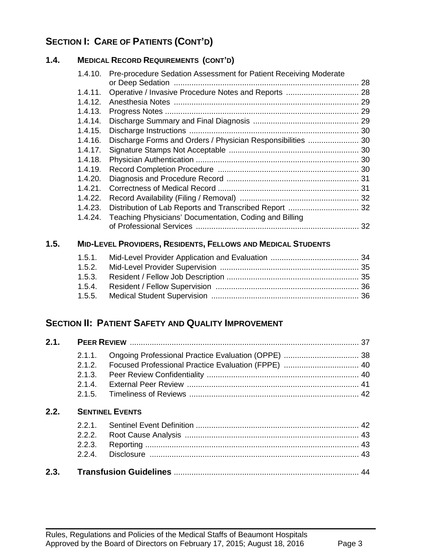## **SECTION I: CARE OF PATIENTS (CONT'D)**

#### **1.4. MEDICAL RECORD REQUIREMENTS (CONT'D)**

| 1.4.10. | Pre-procedure Sedation Assessment for Patient Receiving Moderate |    |
|---------|------------------------------------------------------------------|----|
|         |                                                                  | 28 |
| 1.4.11. |                                                                  |    |
| 1.4.12. |                                                                  |    |
| 1.4.13. |                                                                  |    |
| 1.4.14. |                                                                  |    |
| 1.4.15. |                                                                  |    |
| 1.4.16. | Discharge Forms and Orders / Physician Responsibilities  30      |    |
| 1.4.17. |                                                                  |    |
| 1.4.18. |                                                                  |    |
| 1.4.19. |                                                                  |    |
| 1.4.20. |                                                                  |    |
| 1.4.21. |                                                                  |    |
| 1.4.22. |                                                                  |    |
| 1.4.23. |                                                                  |    |
| 1.4.24. | Teaching Physicians' Documentation, Coding and Billing           |    |
|         |                                                                  | 32 |
|         |                                                                  |    |

## **1.5. MID-LEVEL PROVIDERS, RESIDENTS, FELLOWS AND MEDICAL STUDENTS**

## **SECTION II: PATIENT SAFETY AND QUALITY IMPROVEMENT**

|      | $2.1.1$ .              |  |  |
|------|------------------------|--|--|
|      | 212                    |  |  |
|      | 2.1.3.                 |  |  |
|      | 2.1.4                  |  |  |
|      | 2.1.5.                 |  |  |
| 2.2. | <b>SENTINEL EVENTS</b> |  |  |
|      | 2.2.1                  |  |  |
|      | 2.2.2.                 |  |  |
|      | 223                    |  |  |
|      | 224                    |  |  |
| 2.3. |                        |  |  |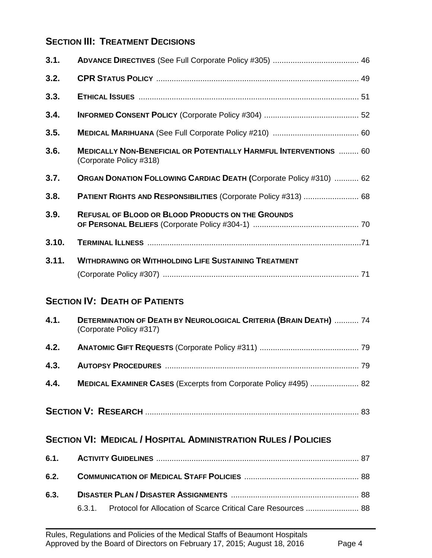## **SECTION III: TREATMENT DECISIONS**

| 3.1.  |                                                                                                     |  |  |
|-------|-----------------------------------------------------------------------------------------------------|--|--|
| 3.2.  |                                                                                                     |  |  |
| 3.3.  |                                                                                                     |  |  |
| 3.4.  |                                                                                                     |  |  |
| 3.5.  |                                                                                                     |  |  |
| 3.6.  | <b>MEDICALLY NON-BENEFICIAL OR POTENTIALLY HARMFUL INTERVENTIONS  60</b><br>(Corporate Policy #318) |  |  |
| 3.7.  | <b>ORGAN DONATION FOLLOWING CARDIAC DEATH (Corporate Policy #310)  62</b>                           |  |  |
| 3.8.  |                                                                                                     |  |  |
| 3.9.  | <b>REFUSAL OF BLOOD OR BLOOD PRODUCTS ON THE GROUNDS</b>                                            |  |  |
| 3.10. |                                                                                                     |  |  |
| 3.11. | <b>WITHDRAWING OR WITHHOLDING LIFE SUSTAINING TREATMENT</b>                                         |  |  |
|       | <b>SECTION IV: DEATH OF PATIENTS</b>                                                                |  |  |
| 4.1.  | <b>DETERMINATION OF DEATH BY NEUROLOGICAL CRITERIA (BRAIN DEATH)</b> 74<br>(Corporate Policy #317)  |  |  |
| 4.2.  |                                                                                                     |  |  |
| 4.3.  |                                                                                                     |  |  |
| 4.4.  | MEDICAL EXAMINER CASES (Excerpts from Corporate Policy #495)  82                                    |  |  |
|       |                                                                                                     |  |  |
|       | <b>SECTION VI: MEDICAL / HOSPITAL ADMINISTRATION RULES / POLICIES</b>                               |  |  |
| 6.1.  |                                                                                                     |  |  |
| 6.2.  |                                                                                                     |  |  |
| 6.3.  |                                                                                                     |  |  |
|       | Protocol for Allocation of Scarce Critical Care Resources  88<br>6.3.1.                             |  |  |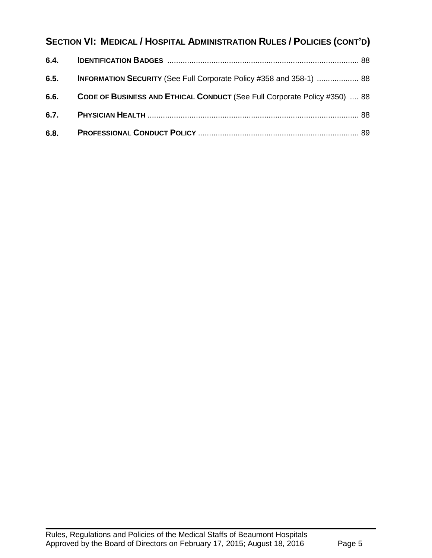## **SECTION VI: MEDICAL / HOSPITAL ADMINISTRATION RULES / POLICIES (CONT'D)**

| 6.4. |                                                                            |  |
|------|----------------------------------------------------------------------------|--|
| 6.5. | <b>INFORMATION SECURITY</b> (See Full Corporate Policy #358 and 358-1)  88 |  |
| 6.6. | CODE OF BUSINESS AND ETHICAL CONDUCT (See Full Corporate Policy #350)  88  |  |
| 6.7. |                                                                            |  |
| 6.8. |                                                                            |  |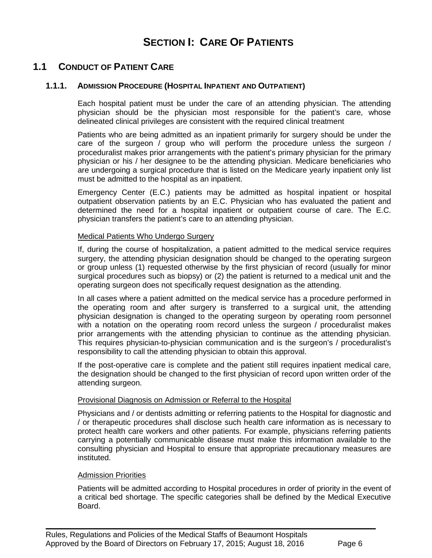## **SECTION I: CARE OF PATIENTS**

## **1.1 CONDUCT OF PATIENT CARE**

#### **1.1.1. ADMISSION PROCEDURE (HOSPITAL INPATIENT AND OUTPATIENT)**

<span id="page-5-0"></span>Each hospital patient must be under the care of an attending physician. The attending physician should be the physician most responsible for the patient's care, whose delineated clinical privileges are consistent with the required clinical treatment

Patients who are being admitted as an inpatient primarily for surgery should be under the care of the surgeon / group who will perform the procedure unless the surgeon / proceduralist makes prior arrangements with the patient's primary physician for the primary physician or his / her designee to be the attending physician. Medicare beneficiaries who are undergoing a surgical procedure that is listed on the Medicare yearly inpatient only list must be admitted to the hospital as an inpatient.

Emergency Center (E.C.) patients may be admitted as hospital inpatient or hospital outpatient observation patients by an E.C. Physician who has evaluated the patient and determined the need for a hospital inpatient or outpatient course of care. The E.C. physician transfers the patient's care to an attending physician.

#### Medical Patients Who Undergo Surgery

If, during the course of hospitalization, a patient admitted to the medical service requires surgery, the attending physician designation should be changed to the operating surgeon or group unless (1) requested otherwise by the first physician of record (usually for minor surgical procedures such as biopsy) or (2) the patient is returned to a medical unit and the operating surgeon does not specifically request designation as the attending.

In all cases where a patient admitted on the medical service has a procedure performed in the operating room and after surgery is transferred to a surgical unit, the attending physician designation is changed to the operating surgeon by operating room personnel with a notation on the operating room record unless the surgeon / proceduralist makes prior arrangements with the attending physician to continue as the attending physician. This requires physician-to-physician communication and is the surgeon's / proceduralist's responsibility to call the attending physician to obtain this approval.

If the post-operative care is complete and the patient still requires inpatient medical care, the designation should be changed to the first physician of record upon written order of the attending surgeon.

#### **Provisional Diagnosis on Admission or Referral to the Hospital**

Physicians and / or dentists admitting or referring patients to the Hospital for diagnostic and / or therapeutic procedures shall disclose such health care information as is necessary to protect health care workers and other patients. For example, physicians referring patients carrying a potentially communicable disease must make this information available to the consulting physician and Hospital to ensure that appropriate precautionary measures are instituted.

#### Admission Priorities

Patients will be admitted according to Hospital procedures in order of priority in the event of a critical bed shortage. The specific categories shall be defined by the Medical Executive Board.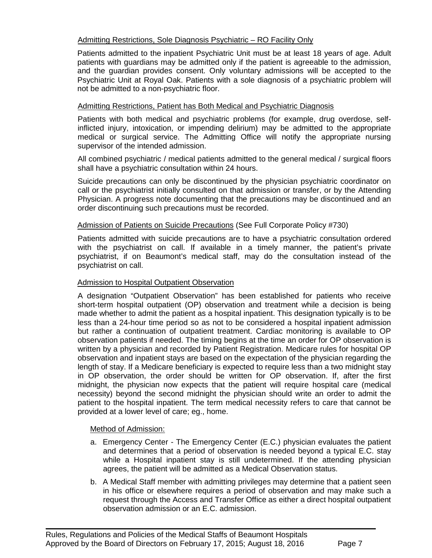#### Admitting Restrictions, Sole Diagnosis Psychiatric – RO Facility Only

Patients admitted to the inpatient Psychiatric Unit must be at least 18 years of age. Adult patients with guardians may be admitted only if the patient is agreeable to the admission, and the guardian provides consent. Only voluntary admissions will be accepted to the Psychiatric Unit at Royal Oak. Patients with a sole diagnosis of a psychiatric problem will not be admitted to a non-psychiatric floor.

#### Admitting Restrictions, Patient has Both Medical and Psychiatric Diagnosis

Patients with both medical and psychiatric problems (for example, drug overdose, selfinflicted injury, intoxication, or impending delirium) may be admitted to the appropriate medical or surgical service. The Admitting Office will notify the appropriate nursing supervisor of the intended admission.

All combined psychiatric / medical patients admitted to the general medical / surgical floors shall have a psychiatric consultation within 24 hours.

Suicide precautions can only be discontinued by the physician psychiatric coordinator on call or the psychiatrist initially consulted on that admission or transfer, or by the Attending Physician. A progress note documenting that the precautions may be discontinued and an order discontinuing such precautions must be recorded.

#### Admission of Patients on Suicide Precautions (See Full Corporate Policy #730)

Patients admitted with suicide precautions are to have a psychiatric consultation ordered with the psychiatrist on call. If available in a timely manner, the patient's private psychiatrist, if on Beaumont's medical staff, may do the consultation instead of the psychiatrist on call.

#### Admission to Hospital Outpatient Observation

A designation "Outpatient Observation" has been established for patients who receive short-term hospital outpatient (OP) observation and treatment while a decision is being made whether to admit the patient as a hospital inpatient. This designation typically is to be less than a 24-hour time period so as not to be considered a hospital inpatient admission but rather a continuation of outpatient treatment. Cardiac monitoring is available to OP observation patients if needed. The timing begins at the time an order for OP observation is written by a physician and recorded by Patient Registration. Medicare rules for hospital OP observation and inpatient stays are based on the expectation of the physician regarding the length of stay. If a Medicare beneficiary is expected to require less than a two midnight stay in OP observation, the order should be written for OP observation. If, after the first midnight, the physician now expects that the patient will require hospital care (medical necessity) beyond the second midnight the physician should write an order to admit the patient to the hospital inpatient. The term medical necessity refers to care that cannot be provided at a lower level of care; eg., home.

#### Method of Admission:

- a. Emergency Center The Emergency Center (E.C.) physician evaluates the patient and determines that a period of observation is needed beyond a typical E.C. stay while a Hospital inpatient stay is still undetermined. If the attending physician agrees, the patient will be admitted as a Medical Observation status.
- b. A Medical Staff member with admitting privileges may determine that a patient seen in his office or elsewhere requires a period of observation and may make such a request through the Access and Transfer Office as either a direct hospital outpatient observation admission or an E.C. admission.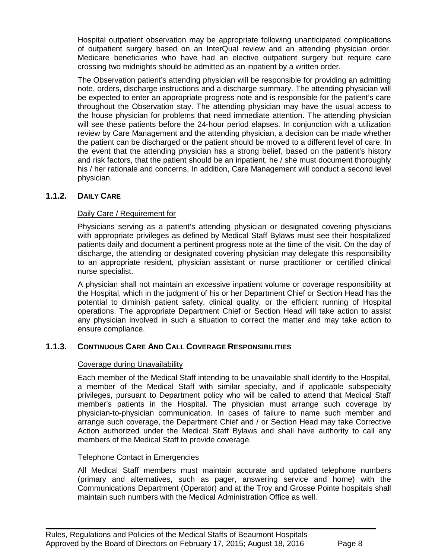Hospital outpatient observation may be appropriate following unanticipated complications of outpatient surgery based on an InterQual review and an attending physician order. Medicare beneficiaries who have had an elective outpatient surgery but require care crossing two midnights should be admitted as an inpatient by a written order.

The Observation patient's attending physician will be responsible for providing an admitting note, orders, discharge instructions and a discharge summary. The attending physician will be expected to enter an appropriate progress note and is responsible for the patient's care throughout the Observation stay. The attending physician may have the usual access to the house physician for problems that need immediate attention. The attending physician will see these patients before the 24-hour period elapses. In conjunction with a utilization review by Care Management and the attending physician, a decision can be made whether the patient can be discharged or the patient should be moved to a different level of care. In the event that the attending physician has a strong belief, based on the patient's history and risk factors, that the patient should be an inpatient, he / she must document thoroughly his / her rationale and concerns. In addition, Care Management will conduct a second level physician.

#### **1.1.2. DAILY CARE**

#### <span id="page-7-0"></span>Daily Care / Requirement for

Physicians serving as a patient's attending physician or designated covering physicians with appropriate privileges as defined by Medical Staff Bylaws must see their hospitalized patients daily and document a pertinent progress note at the time of the visit. On the day of discharge, the attending or designated covering physician may delegate this responsibility to an appropriate resident, physician assistant or nurse practitioner or certified clinical nurse specialist.

A physician shall not maintain an excessive inpatient volume or coverage responsibility at the Hospital, which in the judgment of his or her Department Chief or Section Head has the potential to diminish patient safety, clinical quality, or the efficient running of Hospital operations. The appropriate Department Chief or Section Head will take action to assist any physician involved in such a situation to correct the matter and may take action to ensure compliance.

#### **1.1.3. CONTINUOUS CARE AND CALL COVERAGE RESPONSIBILITIES**

#### <span id="page-7-1"></span>Coverage during Unavailability

Each member of the Medical Staff intending to be unavailable shall identify to the Hospital, a member of the Medical Staff with similar specialty, and if applicable subspecialty privileges, pursuant to Department policy who will be called to attend that Medical Staff member's patients in the Hospital. The physician must arrange such coverage by physician-to-physician communication. In cases of failure to name such member and arrange such coverage, the Department Chief and / or Section Head may take Corrective Action authorized under the Medical Staff Bylaws and shall have authority to call any members of the Medical Staff to provide coverage.

#### Telephone Contact in Emergencies

All Medical Staff members must maintain accurate and updated telephone numbers (primary and alternatives, such as pager, answering service and home) with the Communications Department (Operator) and at the Troy and Grosse Pointe hospitals shall maintain such numbers with the Medical Administration Office as well.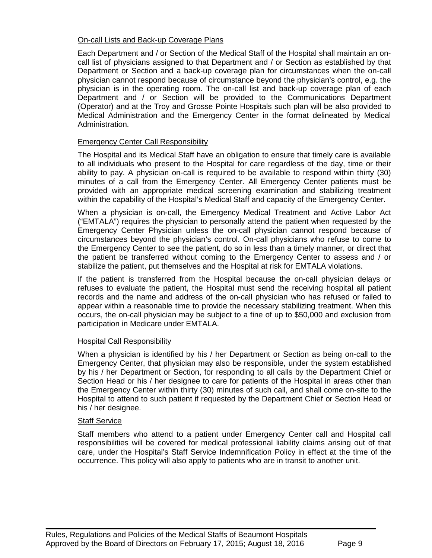#### On-call Lists and Back-up Coverage Plans

Each Department and / or Section of the Medical Staff of the Hospital shall maintain an oncall list of physicians assigned to that Department and / or Section as established by that Department or Section and a back-up coverage plan for circumstances when the on-call physician cannot respond because of circumstance beyond the physician's control, e.g. the physician is in the operating room. The on-call list and back-up coverage plan of each Department and / or Section will be provided to the Communications Department (Operator) and at the Troy and Grosse Pointe Hospitals such plan will be also provided to Medical Administration and the Emergency Center in the format delineated by Medical Administration.

#### Emergency Center Call Responsibility

The Hospital and its Medical Staff have an obligation to ensure that timely care is available to all individuals who present to the Hospital for care regardless of the day, time or their ability to pay. A physician on-call is required to be available to respond within thirty (30) minutes of a call from the Emergency Center. All Emergency Center patients must be provided with an appropriate medical screening examination and stabilizing treatment within the capability of the Hospital's Medical Staff and capacity of the Emergency Center.

When a physician is on-call, the Emergency Medical Treatment and Active Labor Act ("EMTALA") requires the physician to personally attend the patient when requested by the Emergency Center Physician unless the on-call physician cannot respond because of circumstances beyond the physician's control. On-call physicians who refuse to come to the Emergency Center to see the patient, do so in less than a timely manner, or direct that the patient be transferred without coming to the Emergency Center to assess and / or stabilize the patient, put themselves and the Hospital at risk for EMTALA violations.

If the patient is transferred from the Hospital because the on-call physician delays or refuses to evaluate the patient, the Hospital must send the receiving hospital all patient records and the name and address of the on-call physician who has refused or failed to appear within a reasonable time to provide the necessary stabilizing treatment. When this occurs, the on-call physician may be subject to a fine of up to \$50,000 and exclusion from participation in Medicare under EMTALA.

#### Hospital Call Responsibility

When a physician is identified by his / her Department or Section as being on-call to the Emergency Center, that physician may also be responsible, under the system established by his / her Department or Section, for responding to all calls by the Department Chief or Section Head or his / her designee to care for patients of the Hospital in areas other than the Emergency Center within thirty (30) minutes of such call, and shall come on-site to the Hospital to attend to such patient if requested by the Department Chief or Section Head or his / her designee.

#### Staff Service

Staff members who attend to a patient under Emergency Center call and Hospital call responsibilities will be covered for medical professional liability claims arising out of that care, under the Hospital's Staff Service Indemnification Policy in effect at the time of the occurrence. This policy will also apply to patients who are in transit to another unit.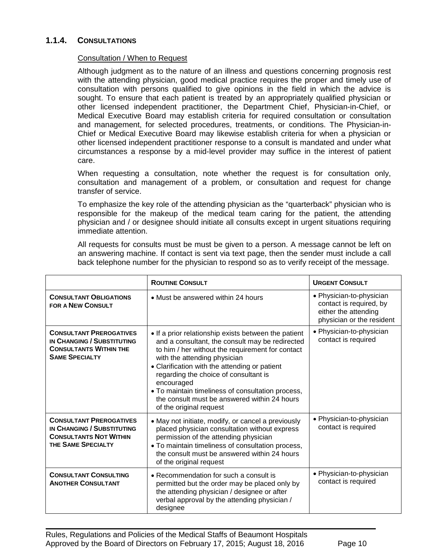#### **1.1.4. CONSULTATIONS**

#### <span id="page-9-0"></span>Consultation / When to Request

Although judgment as to the nature of an illness and questions concerning prognosis rest with the attending physician, good medical practice requires the proper and timely use of consultation with persons qualified to give opinions in the field in which the advice is sought. To ensure that each patient is treated by an appropriately qualified physician or other licensed independent practitioner, the Department Chief, Physician-in-Chief, or Medical Executive Board may establish criteria for required consultation or consultation and management, for selected procedures, treatments, or conditions. The Physician-in-Chief or Medical Executive Board may likewise establish criteria for when a physician or other licensed independent practitioner response to a consult is mandated and under what circumstances a response by a mid-level provider may suffice in the interest of patient care.

When requesting a consultation, note whether the request is for consultation only, consultation and management of a problem, or consultation and request for change transfer of service.

To emphasize the key role of the attending physician as the "quarterback" physician who is responsible for the makeup of the medical team caring for the patient, the attending physician and / or designee should initiate all consults except in urgent situations requiring immediate attention.

All requests for consults must be must be given to a person. A message cannot be left on an answering machine. If contact is sent via text page, then the sender must include a call back telephone number for the physician to respond so as to verify receipt of the message.

|                                                                                                                        | <b>ROUTINE CONSULT</b>                                                                                                                                                                                                                                                                                                                                                                                                              | <b>URGENT CONSULT</b>                                                                                    |
|------------------------------------------------------------------------------------------------------------------------|-------------------------------------------------------------------------------------------------------------------------------------------------------------------------------------------------------------------------------------------------------------------------------------------------------------------------------------------------------------------------------------------------------------------------------------|----------------------------------------------------------------------------------------------------------|
| <b>CONSULTANT OBLIGATIONS</b><br><b>FOR A NEW CONSULT</b>                                                              | • Must be answered within 24 hours                                                                                                                                                                                                                                                                                                                                                                                                  | • Physician-to-physician<br>contact is required, by<br>either the attending<br>physician or the resident |
| <b>CONSULTANT PREROGATIVES</b><br>IN CHANGING / SUBSTITUTING<br><b>CONSULTANTS WITHIN THE</b><br><b>SAME SPECIALTY</b> | • If a prior relationship exists between the patient<br>and a consultant, the consult may be redirected<br>to him / her without the requirement for contact<br>with the attending physician<br>• Clarification with the attending or patient<br>regarding the choice of consultant is<br>encouraged<br>• To maintain timeliness of consultation process,<br>the consult must be answered within 24 hours<br>of the original request | • Physician-to-physician<br>contact is required                                                          |
| <b>CONSULTANT PREROGATIVES</b><br>IN CHANGING / SUBSTITUTING<br><b>CONSULTANTS NOT WITHIN</b><br>THE SAME SPECIALTY    | • May not initiate, modify, or cancel a previously<br>placed physician consultation without express<br>permission of the attending physician<br>• To maintain timeliness of consultation process,<br>the consult must be answered within 24 hours<br>of the original request                                                                                                                                                        | • Physician-to-physician<br>contact is required                                                          |
| <b>CONSULTANT CONSULTING</b><br><b>ANOTHER CONSULTANT</b>                                                              | • Recommendation for such a consult is<br>permitted but the order may be placed only by<br>the attending physician / designee or after<br>verbal approval by the attending physician /<br>designee                                                                                                                                                                                                                                  | • Physician-to-physician<br>contact is required                                                          |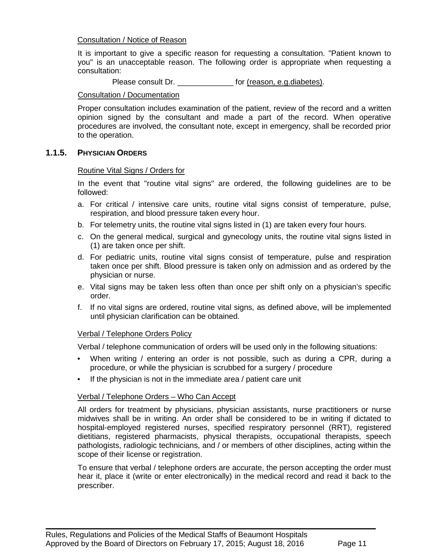#### Consultation / Notice of Reason

It is important to give a specific reason for requesting a consultation. "Patient known to you" is an unacceptable reason. The following order is appropriate when requesting a consultation:

Please consult Dr. \_\_\_\_\_\_\_\_\_\_\_\_\_ for (reason, e.g.diabetes).

#### Consultation / Documentation

Proper consultation includes examination of the patient, review of the record and a written opinion signed by the consultant and made a part of the record. When operative procedures are involved, the consultant note, except in emergency, shall be recorded prior to the operation.

#### **1.1.5. PHYSICIAN ORDERS**

#### <span id="page-10-0"></span>Routine Vital Signs / Orders for

In the event that "routine vital signs" are ordered, the following guidelines are to be followed:

- a. For critical / intensive care units, routine vital signs consist of temperature, pulse, respiration, and blood pressure taken every hour.
- b. For telemetry units, the routine vital signs listed in (1) are taken every four hours.
- c. On the general medical, surgical and gynecology units, the routine vital signs listed in (1) are taken once per shift.
- d. For pediatric units, routine vital signs consist of temperature, pulse and respiration taken once per shift. Blood pressure is taken only on admission and as ordered by the physician or nurse.
- e. Vital signs may be taken less often than once per shift only on a physician's specific order.
- f. If no vital signs are ordered, routine vital signs, as defined above, will be implemented until physician clarification can be obtained.

#### Verbal / Telephone Orders Policy

Verbal / telephone communication of orders will be used only in the following situations:

- When writing / entering an order is not possible, such as during a CPR, during a procedure, or while the physician is scrubbed for a surgery / procedure
- If the physician is not in the immediate area / patient care unit

#### Verbal / Telephone Orders – Who Can Accept

All orders for treatment by physicians, physician assistants, nurse practitioners or nurse midwives shall be in writing. An order shall be considered to be in writing if dictated to hospital-employed registered nurses, specified respiratory personnel (RRT), registered dietitians, registered pharmacists, physical therapists, occupational therapists, speech pathologists, radiologic technicians, and / or members of other disciplines, acting within the scope of their license or registration.

To ensure that verbal / telephone orders are accurate, the person accepting the order must hear it, place it (write or enter electronically) in the medical record and read it back to the prescriber.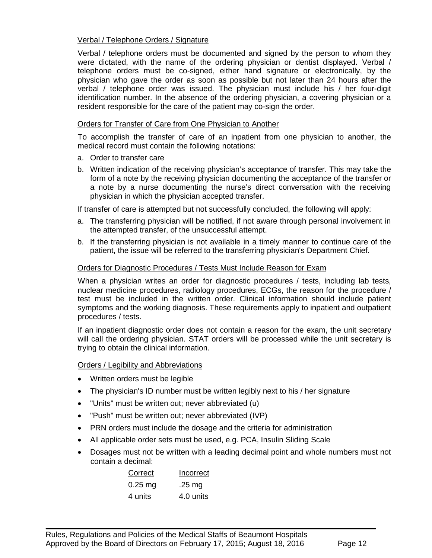#### Verbal / Telephone Orders / Signature

Verbal / telephone orders must be documented and signed by the person to whom they were dictated, with the name of the ordering physician or dentist displayed. Verbal / telephone orders must be co-signed, either hand signature or electronically, by the physician who gave the order as soon as possible but not later than 24 hours after the verbal / telephone order was issued. The physician must include his / her four-digit identification number. In the absence of the ordering physician, a covering physician or a resident responsible for the care of the patient may co-sign the order.

#### Orders for Transfer of Care from One Physician to Another

To accomplish the transfer of care of an inpatient from one physician to another, the medical record must contain the following notations:

- a. Order to transfer care
- b. Written indication of the receiving physician's acceptance of transfer. This may take the form of a note by the receiving physician documenting the acceptance of the transfer or a note by a nurse documenting the nurse's direct conversation with the receiving physician in which the physician accepted transfer.

If transfer of care is attempted but not successfully concluded, the following will apply:

- a. The transferring physician will be notified, if not aware through personal involvement in the attempted transfer, of the unsuccessful attempt.
- b. If the transferring physician is not available in a timely manner to continue care of the patient, the issue will be referred to the transferring physician's Department Chief.

#### Orders for Diagnostic Procedures / Tests Must Include Reason for Exam

When a physician writes an order for diagnostic procedures / tests, including lab tests, nuclear medicine procedures, radiology procedures, ECGs, the reason for the procedure / test must be included in the written order. Clinical information should include patient symptoms and the working diagnosis. These requirements apply to inpatient and outpatient procedures / tests.

If an inpatient diagnostic order does not contain a reason for the exam, the unit secretary will call the ordering physician. STAT orders will be processed while the unit secretary is trying to obtain the clinical information.

Orders / Legibility and Abbreviations

- Written orders must be legible
- The physician's ID number must be written legibly next to his / her signature
- "Units" must be written out; never abbreviated (u)
- "Push" must be written out; never abbreviated (IVP)
- PRN orders must include the dosage and the criteria for administration
- All applicable order sets must be used, e.g. PCA, Insulin Sliding Scale

 $\blacksquare$ 

• Dosages must not be written with a leading decimal point and whole numbers must not contain a decimal:

| Correct   | Incorrect |  |
|-----------|-----------|--|
| $0.25$ mg | .25 $mg$  |  |
| 4 units   | 4.0 units |  |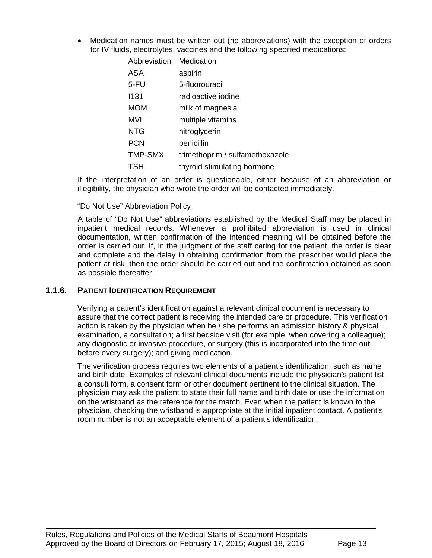• Medication names must be written out (no abbreviations) with the exception of orders for IV fluids, electrolytes, vaccines and the following specified medications:

| <b>Abbreviation</b> | Medication                      |
|---------------------|---------------------------------|
| <b>ASA</b>          | aspirin                         |
| 5-FU                | 5-fluorouracil                  |
| 1131                | radioactive iodine              |
| <b>MOM</b>          | milk of magnesia                |
| MVI                 | multiple vitamins               |
| <b>NTG</b>          | nitroglycerin                   |
| <b>PCN</b>          | penicillin                      |
| <b>TMP-SMX</b>      | trimethoprim / sulfamethoxazole |
| <b>TSH</b>          | thyroid stimulating hormone     |

If the interpretation of an order is questionable, either because of an abbreviation or illegibility, the physician who wrote the order will be contacted immediately.

#### "Do Not Use" Abbreviation Policy

A table of "Do Not Use" abbreviations established by the Medical Staff may be placed in inpatient medical records. Whenever a prohibited abbreviation is used in clinical documentation, written confirmation of the intended meaning will be obtained before the order is carried out. If, in the judgment of the staff caring for the patient, the order is clear and complete and the delay in obtaining confirmation from the prescriber would place the patient at risk, then the order should be carried out and the confirmation obtained as soon as possible thereafter.

#### **1.1.6. PATIENT IDENTIFICATION REQUIREMENT**

<span id="page-12-0"></span>Verifying a patient's identification against a relevant clinical document is necessary to assure that the correct patient is receiving the intended care or procedure. This verification action is taken by the physician when he / she performs an admission history & physical examination, a consultation; a first bedside visit (for example, when covering a colleague); any diagnostic or invasive procedure, or surgery (this is incorporated into the time out before every surgery); and giving medication.

The verification process requires two elements of a patient's identification, such as name and birth date. Examples of relevant clinical documents include the physician's patient list, a consult form, a consent form or other document pertinent to the clinical situation. The physician may ask the patient to state their full name and birth date or use the information on the wristband as the reference for the match. Even when the patient is known to the physician, checking the wristband is appropriate at the initial inpatient contact. A patient's room number is not an acceptable element of a patient's identification.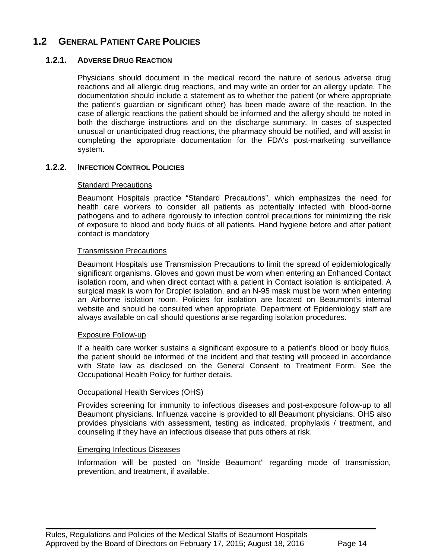## **1.2 GENERAL PATIENT CARE POLICIES**

#### **1.2.1. ADVERSE DRUG REACTION**

<span id="page-13-0"></span>Physicians should document in the medical record the nature of serious adverse drug reactions and all allergic drug reactions, and may write an order for an allergy update. The documentation should include a statement as to whether the patient (or where appropriate the patient's guardian or significant other) has been made aware of the reaction. In the case of allergic reactions the patient should be informed and the allergy should be noted in both the discharge instructions and on the discharge summary. In cases of suspected unusual or unanticipated drug reactions, the pharmacy should be notified, and will assist in completing the appropriate documentation for the FDA's post-marketing surveillance system.

#### **1.2.2. INFECTION CONTROL POLICIES**

#### <span id="page-13-1"></span>Standard Precautions

Beaumont Hospitals practice "Standard Precautions", which emphasizes the need for health care workers to consider all patients as potentially infected with blood-borne pathogens and to adhere rigorously to infection control precautions for minimizing the risk of exposure to blood and body fluids of all patients. Hand hygiene before and after patient contact is mandatory

#### Transmission Precautions

Beaumont Hospitals use Transmission Precautions to limit the spread of epidemiologically significant organisms. Gloves and gown must be worn when entering an Enhanced Contact isolation room, and when direct contact with a patient in Contact isolation is anticipated. A surgical mask is worn for Droplet isolation, and an N-95 mask must be worn when entering an Airborne isolation room. Policies for isolation are located on Beaumont's internal website and should be consulted when appropriate. Department of Epidemiology staff are always available on call should questions arise regarding isolation procedures.

#### Exposure Follow-up

If a health care worker sustains a significant exposure to a patient's blood or body fluids, the patient should be informed of the incident and that testing will proceed in accordance with State law as disclosed on the General Consent to Treatment Form. See the Occupational Health Policy for further details.

#### Occupational Health Services (OHS)

Provides screening for immunity to infectious diseases and post-exposure follow-up to all Beaumont physicians. Influenza vaccine is provided to all Beaumont physicians. OHS also provides physicians with assessment, testing as indicated, prophylaxis / treatment, and counseling if they have an infectious disease that puts others at risk.

#### Emerging Infectious Diseases

Information will be posted on "Inside Beaumont" regarding mode of transmission, prevention, and treatment, if available.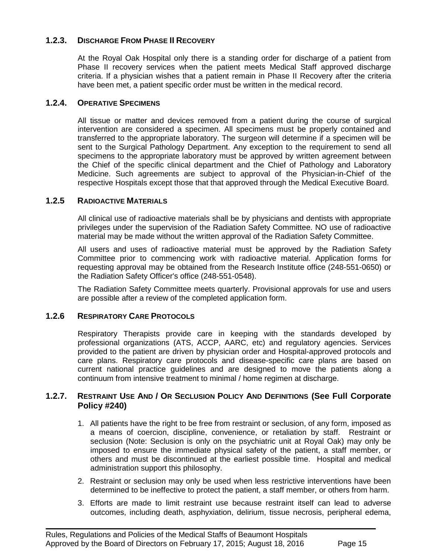#### **1.2.3. DISCHARGE FROM PHASE II RECOVERY**

<span id="page-14-0"></span>At the Royal Oak Hospital only there is a standing order for discharge of a patient from Phase II recovery services when the patient meets Medical Staff approved discharge criteria. If a physician wishes that a patient remain in Phase II Recovery after the criteria have been met, a patient specific order must be written in the medical record.

#### **1.2.4. OPERATIVE SPECIMENS**

<span id="page-14-1"></span>All tissue or matter and devices removed from a patient during the course of surgical intervention are considered a specimen. All specimens must be properly contained and transferred to the appropriate laboratory. The surgeon will determine if a specimen will be sent to the Surgical Pathology Department. Any exception to the requirement to send all specimens to the appropriate laboratory must be approved by written agreement between the Chief of the specific clinical department and the Chief of Pathology and Laboratory Medicine. Such agreements are subject to approval of the Physician-in-Chief of the respective Hospitals except those that that approved through the Medical Executive Board.

#### **1.2.5 RADIOACTIVE MATERIALS**

<span id="page-14-2"></span>All clinical use of radioactive materials shall be by physicians and dentists with appropriate privileges under the supervision of the Radiation Safety Committee. NO use of radioactive material may be made without the written approval of the Radiation Safety Committee.

All users and uses of radioactive material must be approved by the Radiation Safety Committee prior to commencing work with radioactive material. Application forms for requesting approval may be obtained from the Research Institute office (248-551-0650) or the Radiation Safety Officer's office (248-551-0548).

The Radiation Safety Committee meets quarterly. Provisional approvals for use and users are possible after a review of the completed application form.

#### <span id="page-14-3"></span>**1.2.6 RESPIRATORY CARE PROTOCOLS**

Respiratory Therapists provide care in keeping with the standards developed by professional organizations (ATS, ACCP, AARC, etc) and regulatory agencies. Services provided to the patient are driven by physician order and Hospital-approved protocols and care plans. Respiratory care protocols and disease-specific care plans are based on current national practice guidelines and are designed to move the patients along a continuum from intensive treatment to minimal / home regimen at discharge.

#### <span id="page-14-4"></span>**1.2.7. RESTRAINT USE AND / OR SECLUSION POLICY AND DEFINITIONS (See Full Corporate Policy #240)**

- 1. All patients have the right to be free from restraint or seclusion, of any form, imposed as a means of coercion, discipline, convenience, or retaliation by staff. Restraint or seclusion (Note: Seclusion is only on the psychiatric unit at Royal Oak) may only be imposed to ensure the immediate physical safety of the patient, a staff member, or others and must be discontinued at the earliest possible time. Hospital and medical administration support this philosophy.
- 2. Restraint or seclusion may only be used when less restrictive interventions have been determined to be ineffective to protect the patient, a staff member, or others from harm.
- 3. Efforts are made to limit restraint use because restraint itself can lead to adverse outcomes, including death, asphyxiation, delirium, tissue necrosis, peripheral edema,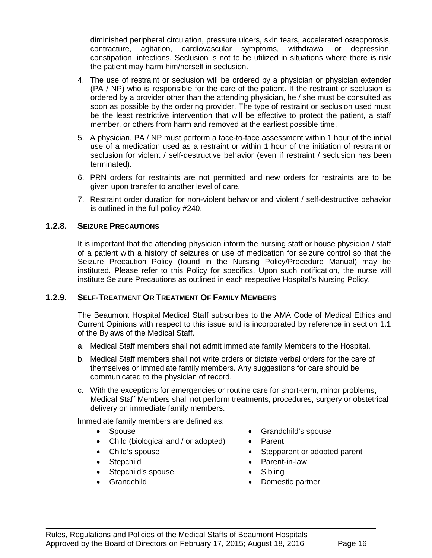diminished peripheral circulation, pressure ulcers, skin tears, accelerated osteoporosis, contracture, agitation, cardiovascular symptoms, withdrawal or depression, constipation, infections. Seclusion is not to be utilized in situations where there is risk the patient may harm him/herself in seclusion.

- 4. The use of restraint or seclusion will be ordered by a physician or physician extender (PA / NP) who is responsible for the care of the patient. If the restraint or seclusion is ordered by a provider other than the attending physician, he / she must be consulted as soon as possible by the ordering provider. The type of restraint or seclusion used must be the least restrictive intervention that will be effective to protect the patient, a staff member, or others from harm and removed at the earliest possible time.
- 5. A physician, PA / NP must perform a face-to-face assessment within 1 hour of the initial use of a medication used as a restraint or within 1 hour of the initiation of restraint or seclusion for violent / self-destructive behavior (even if restraint / seclusion has been terminated).
- 6. PRN orders for restraints are not permitted and new orders for restraints are to be given upon transfer to another level of care.
- 7. Restraint order duration for non-violent behavior and violent / self-destructive behavior is outlined in the full policy #240.

#### <span id="page-15-0"></span>**1.2.8. SEIZURE PRECAUTIONS**

It is important that the attending physician inform the nursing staff or house physician / staff of a patient with a history of seizures or use of medication for seizure control so that the Seizure Precaution Policy (found in the Nursing Policy/Procedure Manual) may be instituted. Please refer to this Policy for specifics. Upon such notification, the nurse will institute Seizure Precautions as outlined in each respective Hospital's Nursing Policy.

#### <span id="page-15-1"></span>**1.2.9. SELF-TREATMENT OR TREATMENT OF FAMILY MEMBERS**

The Beaumont Hospital Medical Staff subscribes to the AMA Code of Medical Ethics and Current Opinions with respect to this issue and is incorporated by reference in section 1.1 of the Bylaws of the Medical Staff.

- a. Medical Staff members shall not admit immediate family Members to the Hospital.
- b. Medical Staff members shall not write orders or dictate verbal orders for the care of themselves or immediate family members. Any suggestions for care should be communicated to the physician of record.
- c. With the exceptions for emergencies or routine care for short-term, minor problems, Medical Staff Members shall not perform treatments, procedures, surgery or obstetrical delivery on immediate family members.

Immediate family members are defined as:

- Spouse
- Child (biological and / or adopted)
- Child's spouse
- Stepchild
- Stepchild's spouse
- <span id="page-15-2"></span>• Grandchild
- Grandchild's spouse
- Parent
- Stepparent or adopted parent
- Parent-in-law
- Sibling
- Domestic partner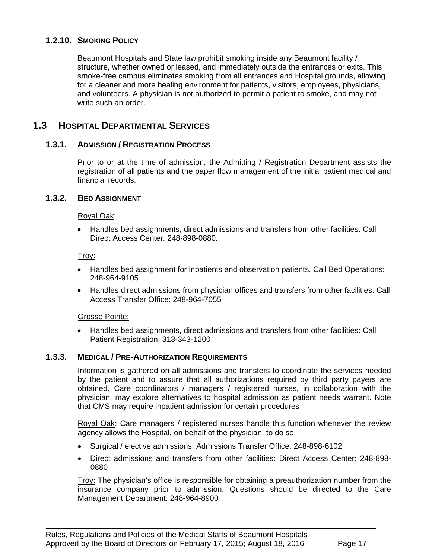#### **1.2.10. SMOKING POLICY**

Beaumont Hospitals and State law prohibit smoking inside any Beaumont facility / structure, whether owned or leased, and immediately outside the entrances or exits. This smoke-free campus eliminates smoking from all entrances and Hospital grounds, allowing for a cleaner and more healing environment for patients, visitors, employees, physicians, and volunteers. A physician is not authorized to permit a patient to smoke, and may not write such an order.

## **1.3 HOSPITAL DEPARTMENTAL SERVICES**

#### **1.3.1. ADMISSION / REGISTRATION PROCESS**

<span id="page-16-1"></span><span id="page-16-0"></span>Prior to or at the time of admission, the Admitting / Registration Department assists the registration of all patients and the paper flow management of the initial patient medical and financial records.

#### **1.3.2. BED ASSIGNMENT**

#### Royal Oak:

• Handles bed assignments, direct admissions and transfers from other facilities. Call Direct Access Center: 248-898-0880.

#### Troy:

- Handles bed assignment for inpatients and observation patients. Call Bed Operations: 248-964-9105
- Handles direct admissions from physician offices and transfers from other facilities: Call Access Transfer Office: 248-964-7055

#### Grosse Pointe:

<span id="page-16-2"></span>• Handles bed assignments, direct admissions and transfers from other facilities: Call Patient Registration: 313-343-1200

#### **1.3.3. MEDICAL / PRE-AUTHORIZATION REQUIREMENTS**

Information is gathered on all admissions and transfers to coordinate the services needed by the patient and to assure that all authorizations required by third party payers are obtained. Care coordinators / managers / registered nurses, in collaboration with the physician, may explore alternatives to hospital admission as patient needs warrant. Note that CMS may require inpatient admission for certain procedures

Royal Oak: Care managers / registered nurses handle this function whenever the review agency allows the Hospital, on behalf of the physician, to do so.

• Surgical / elective admissions: Admissions Transfer Office: 248-898-6102

 $\blacksquare$ 

• Direct admissions and transfers from other facilities: Direct Access Center: 248-898- 0880

Troy: The physician's office is responsible for obtaining a preauthorization number from the insurance company prior to admission. Questions should be directed to the Care Management Department: 248-964-8900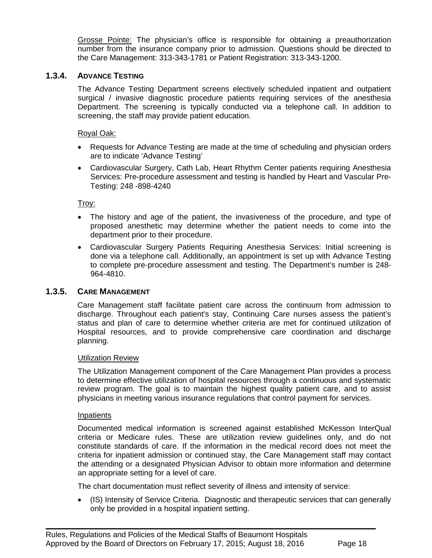Grosse Pointe: The physician's office is responsible for obtaining a preauthorization number from the insurance company prior to admission. Questions should be directed to the Care Management: 313-343-1781 or Patient Registration: 313-343-1200.

#### **1.3.4. ADVANCE TESTING**

<span id="page-17-0"></span>The Advance Testing Department screens electively scheduled inpatient and outpatient surgical / invasive diagnostic procedure patients requiring services of the anesthesia Department. The screening is typically conducted via a telephone call. In addition to screening, the staff may provide patient education.

#### Royal Oak:

- Requests for Advance Testing are made at the time of scheduling and physician orders are to indicate 'Advance Testing'
- Cardiovascular Surgery, Cath Lab, Heart Rhythm Center patients requiring Anesthesia Services: Pre-procedure assessment and testing is handled by Heart and Vascular Pre-Testing: 248 -898-4240

Troy:

- The history and age of the patient, the invasiveness of the procedure, and type of proposed anesthetic may determine whether the patient needs to come into the department prior to their procedure.
- Cardiovascular Surgery Patients Requiring Anesthesia Services: Initial screening is done via a telephone call. Additionally, an appointment is set up with Advance Testing to complete pre-procedure assessment and testing. The Department's number is 248- 964-4810.

#### **1.3.5. CARE MANAGEMENT**

<span id="page-17-1"></span>Care Management staff facilitate patient care across the continuum from admission to discharge. Throughout each patient's stay, Continuing Care nurses assess the patient's status and plan of care to determine whether criteria are met for continued utilization of Hospital resources, and to provide comprehensive care coordination and discharge planning.

#### Utilization Review

The Utilization Management component of the Care Management Plan provides a process to determine effective utilization of hospital resources through a continuous and systematic review program. The goal is to maintain the highest quality patient care, and to assist physicians in meeting various insurance regulations that control payment for services.

#### Inpatients

Documented medical information is screened against established McKesson InterQual criteria or Medicare rules. These are utilization review guidelines only, and do not constitute standards of care. If the information in the medical record does not meet the criteria for inpatient admission or continued stay, the Care Management staff may contact the attending or a designated Physician Advisor to obtain more information and determine an appropriate setting for a level of care.

The chart documentation must reflect severity of illness and intensity of service:

 $\blacksquare$ 

• (IS) Intensity of Service Criteria. Diagnostic and therapeutic services that can generally only be provided in a hospital inpatient setting.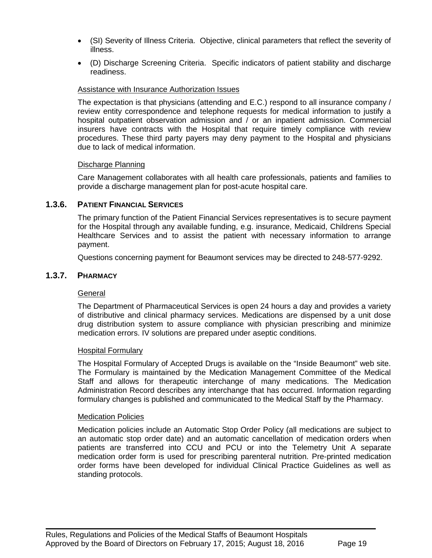- (SI) Severity of Illness Criteria. Objective, clinical parameters that reflect the severity of illness.
- (D) Discharge Screening Criteria. Specific indicators of patient stability and discharge readiness.

#### Assistance with Insurance Authorization Issues

The expectation is that physicians (attending and E.C.) respond to all insurance company / review entity correspondence and telephone requests for medical information to justify a hospital outpatient observation admission and / or an inpatient admission. Commercial insurers have contracts with the Hospital that require timely compliance with review procedures. These third party payers may deny payment to the Hospital and physicians due to lack of medical information.

#### Discharge Planning

<span id="page-18-0"></span>Care Management collaborates with all health care professionals, patients and families to provide a discharge management plan for post-acute hospital care.

#### **1.3.6. PATIENT FINANCIAL SERVICES**

The primary function of the Patient Financial Services representatives is to secure payment for the Hospital through any available funding, e.g. insurance, Medicaid, Childrens Special Healthcare Services and to assist the patient with necessary information to arrange payment.

<span id="page-18-1"></span>Questions concerning payment for Beaumont services may be directed to 248-577-9292.

#### **1.3.7. PHARMACY**

#### General

The Department of Pharmaceutical Services is open 24 hours a day and provides a variety of distributive and clinical pharmacy services. Medications are dispensed by a unit dose drug distribution system to assure compliance with physician prescribing and minimize medication errors. IV solutions are prepared under aseptic conditions.

#### Hospital Formulary

The Hospital Formulary of Accepted Drugs is available on the "Inside Beaumont" web site. The Formulary is maintained by the Medication Management Committee of the Medical Staff and allows for therapeutic interchange of many medications. The Medication Administration Record describes any interchange that has occurred. Information regarding formulary changes is published and communicated to the Medical Staff by the Pharmacy.

#### Medication Policies

Medication policies include an Automatic Stop Order Policy (all medications are subject to an automatic stop order date) and an automatic cancellation of medication orders when patients are transferred into CCU and PCU or into the Telemetry Unit A separate medication order form is used for prescribing parenteral nutrition. Pre-printed medication order forms have been developed for individual Clinical Practice Guidelines as well as standing protocols.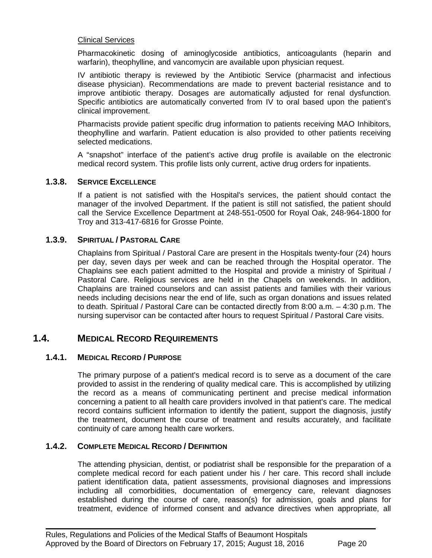#### Clinical Services

Pharmacokinetic dosing of aminoglycoside antibiotics, anticoagulants (heparin and warfarin), theophylline, and vancomycin are available upon physician request.

IV antibiotic therapy is reviewed by the Antibiotic Service (pharmacist and infectious disease physician). Recommendations are made to prevent bacterial resistance and to improve antibiotic therapy. Dosages are automatically adjusted for renal dysfunction. Specific antibiotics are automatically converted from IV to oral based upon the patient's clinical improvement.

Pharmacists provide patient specific drug information to patients receiving MAO Inhibitors, theophylline and warfarin. Patient education is also provided to other patients receiving selected medications.

<span id="page-19-0"></span>A "snapshot" interface of the patient's active drug profile is available on the electronic medical record system. This profile lists only current, active drug orders for inpatients.

#### **1.3.8. SERVICE EXCELLENCE**

If a patient is not satisfied with the Hospital's services, the patient should contact the manager of the involved Department. If the patient is still not satisfied, the patient should call the Service Excellence Department at 248-551-0500 for Royal Oak, 248-964-1800 for Troy and 313-417-6816 for Grosse Pointe.

#### **1.3.9. SPIRITUAL / PASTORAL CARE**

<span id="page-19-1"></span>Chaplains from Spiritual / Pastoral Care are present in the Hospitals twenty-four (24) hours per day, seven days per week and can be reached through the Hospital operator. The Chaplains see each patient admitted to the Hospital and provide a ministry of Spiritual / Pastoral Care. Religious services are held in the Chapels on weekends. In addition, Chaplains are trained counselors and can assist patients and families with their various needs including decisions near the end of life, such as organ donations and issues related to death. Spiritual / Pastoral Care can be contacted directly from 8:00 a.m. – 4:30 p.m. The nursing supervisor can be contacted after hours to request Spiritual / Pastoral Care visits.

#### **1.4. MEDICAL RECORD REQUIREMENTS**

#### <span id="page-19-2"></span>**1.4.1. MEDICAL RECORD / PURPOSE**

The primary purpose of a patient's medical record is to serve as a document of the care provided to assist in the rendering of quality medical care. This is accomplished by utilizing the record as a means of communicating pertinent and precise medical information concerning a patient to all health care providers involved in that patient's care. The medical record contains sufficient information to identify the patient, support the diagnosis, justify the treatment, document the course of treatment and results accurately, and facilitate continuity of care among health care workers.

#### <span id="page-19-3"></span>**1.4.2. COMPLETE MEDICAL RECORD / DEFINITION**

The attending physician, dentist, or podiatrist shall be responsible for the preparation of a complete medical record for each patient under his / her care. This record shall include patient identification data, patient assessments, provisional diagnoses and impressions including all comorbidities, documentation of emergency care, relevant diagnoses established during the course of care, reason(s) for admission, goals and plans for treatment, evidence of informed consent and advance directives when appropriate, all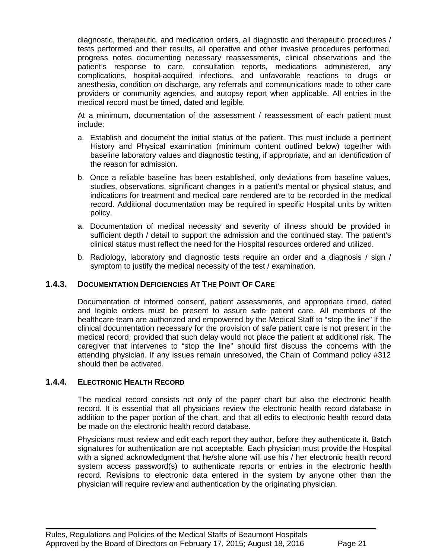diagnostic, therapeutic, and medication orders, all diagnostic and therapeutic procedures / tests performed and their results, all operative and other invasive procedures performed, progress notes documenting necessary reassessments, clinical observations and the patient's response to care, consultation reports, medications administered, any complications, hospital-acquired infections, and unfavorable reactions to drugs or anesthesia, condition on discharge, any referrals and communications made to other care providers or community agencies, and autopsy report when applicable. All entries in the medical record must be timed, dated and legible.

At a minimum, documentation of the assessment / reassessment of each patient must include:

- a. Establish and document the initial status of the patient. This must include a pertinent History and Physical examination (minimum content outlined below) together with baseline laboratory values and diagnostic testing, if appropriate, and an identification of the reason for admission.
- b. Once a reliable baseline has been established, only deviations from baseline values, studies, observations, significant changes in a patient's mental or physical status, and indications for treatment and medical care rendered are to be recorded in the medical record. Additional documentation may be required in specific Hospital units by written policy.
- a. Documentation of medical necessity and severity of illness should be provided in sufficient depth / detail to support the admission and the continued stay. The patient's clinical status must reflect the need for the Hospital resources ordered and utilized.
- b. Radiology, laboratory and diagnostic tests require an order and a diagnosis / sign / symptom to justify the medical necessity of the test / examination.

#### <span id="page-20-0"></span>**1.4.3. DOCUMENTATION DEFICIENCIES AT THE POINT OF CARE**

Documentation of informed consent, patient assessments, and appropriate timed, dated and legible orders must be present to assure safe patient care. All members of the healthcare team are authorized and empowered by the Medical Staff to "stop the line" if the clinical documentation necessary for the provision of safe patient care is not present in the medical record, provided that such delay would not place the patient at additional risk. The caregiver that intervenes to "stop the line" should first discuss the concerns with the attending physician. If any issues remain unresolved, the Chain of Command policy #312 should then be activated.

#### <span id="page-20-1"></span>**1.4.4. ELECTRONIC HEALTH RECORD**

The medical record consists not only of the paper chart but also the electronic health record. It is essential that all physicians review the electronic health record database in addition to the paper portion of the chart, and that all edits to electronic health record data be made on the electronic health record database.

Physicians must review and edit each report they author, before they authenticate it. Batch signatures for authentication are not acceptable. Each physician must provide the Hospital with a signed acknowledgment that he/she alone will use his / her electronic health record system access password(s) to authenticate reports or entries in the electronic health record. Revisions to electronic data entered in the system by anyone other than the physician will require review and authentication by the originating physician.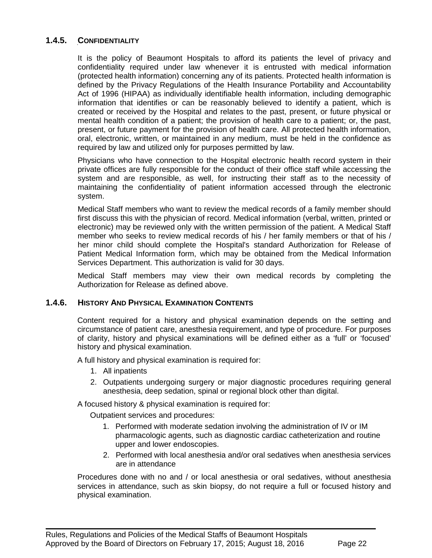#### **1.4.5. CONFIDENTIALITY**

<span id="page-21-0"></span>It is the policy of Beaumont Hospitals to afford its patients the level of privacy and confidentiality required under law whenever it is entrusted with medical information (protected health information) concerning any of its patients. Protected health information is defined by the Privacy Regulations of the Health Insurance Portability and Accountability Act of 1996 (HIPAA) as individually identifiable health information, including demographic information that identifies or can be reasonably believed to identify a patient, which is created or received by the Hospital and relates to the past, present, or future physical or mental health condition of a patient; the provision of health care to a patient; or, the past, present, or future payment for the provision of health care. All protected health information, oral, electronic, written, or maintained in any medium, must be held in the confidence as required by law and utilized only for purposes permitted by law.

Physicians who have connection to the Hospital electronic health record system in their private offices are fully responsible for the conduct of their office staff while accessing the system and are responsible, as well, for instructing their staff as to the necessity of maintaining the confidentiality of patient information accessed through the electronic system.

Medical Staff members who want to review the medical records of a family member should first discuss this with the physician of record. Medical information (verbal, written, printed or electronic) may be reviewed only with the written permission of the patient. A Medical Staff member who seeks to review medical records of his / her family members or that of his / her minor child should complete the Hospital's standard Authorization for Release of Patient Medical Information form, which may be obtained from the Medical Information Services Department. This authorization is valid for 30 days.

<span id="page-21-1"></span>Medical Staff members may view their own medical records by completing the Authorization for Release as defined above.

#### **1.4.6. HISTORY AND PHYSICAL EXAMINATION CONTENTS**

Content required for a history and physical examination depends on the setting and circumstance of patient care, anesthesia requirement, and type of procedure. For purposes of clarity, history and physical examinations will be defined either as a 'full' or 'focused' history and physical examination.

A full history and physical examination is required for:

- 1. All inpatients
- 2. Outpatients undergoing surgery or major diagnostic procedures requiring general anesthesia, deep sedation, spinal or regional block other than digital.

A focused history & physical examination is required for:

Outpatient services and procedures:

- 1. Performed with moderate sedation involving the administration of IV or IM pharmacologic agents, such as diagnostic cardiac catheterization and routine upper and lower endoscopies.
- 2. Performed with local anesthesia and/or oral sedatives when anesthesia services are in attendance

Procedures done with no and / or local anesthesia or oral sedatives, without anesthesia services in attendance, such as skin biopsy, do not require a full or focused history and physical examination.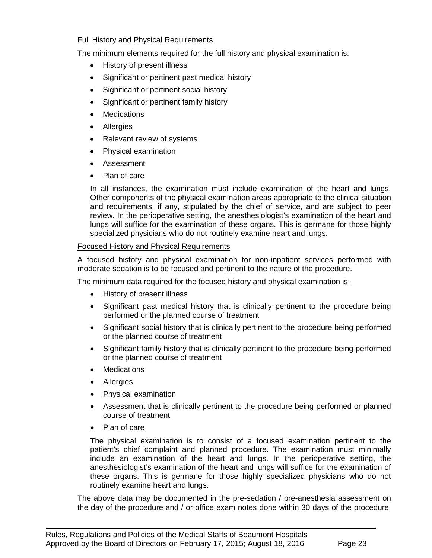#### Full History and Physical Requirements

The minimum elements required for the full history and physical examination is:

- History of present illness
- Significant or pertinent past medical history
- Significant or pertinent social history
- Significant or pertinent family history
- Medications
- Allergies
- Relevant review of systems
- Physical examination
- Assessment
- Plan of care

In all instances, the examination must include examination of the heart and lungs. Other components of the physical examination areas appropriate to the clinical situation and requirements, if any, stipulated by the chief of service, and are subject to peer review. In the perioperative setting, the anesthesiologist's examination of the heart and lungs will suffice for the examination of these organs. This is germane for those highly specialized physicians who do not routinely examine heart and lungs.

#### Focused History and Physical Requirements

A focused history and physical examination for non-inpatient services performed with moderate sedation is to be focused and pertinent to the nature of the procedure.

The minimum data required for the focused history and physical examination is:

- History of present illness
- Significant past medical history that is clinically pertinent to the procedure being performed or the planned course of treatment
- Significant social history that is clinically pertinent to the procedure being performed or the planned course of treatment
- Significant family history that is clinically pertinent to the procedure being performed or the planned course of treatment
- Medications
- Allergies
- Physical examination
- Assessment that is clinically pertinent to the procedure being performed or planned course of treatment
- Plan of care

The physical examination is to consist of a focused examination pertinent to the patient's chief complaint and planned procedure. The examination must minimally include an examination of the heart and lungs. In the perioperative setting, the anesthesiologist's examination of the heart and lungs will suffice for the examination of these organs. This is germane for those highly specialized physicians who do not routinely examine heart and lungs.

The above data may be documented in the pre-sedation / pre-anesthesia assessment on the day of the procedure and / or office exam notes done within 30 days of the procedure.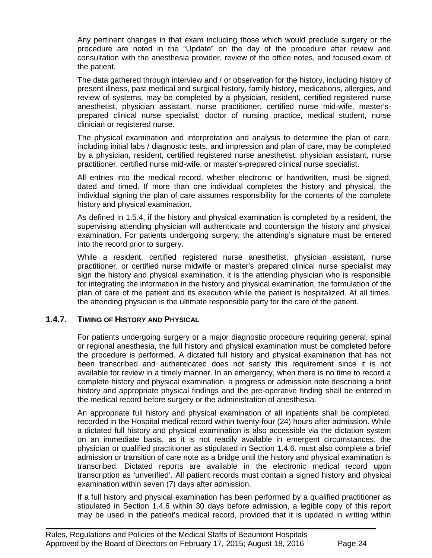Any pertinent changes in that exam including those which would preclude surgery or the procedure are noted in the "Update" on the day of the procedure after review and consultation with the anesthesia provider, review of the office notes, and focused exam of the patient.

The data gathered through interview and / or observation for the history, including history of present illness, past medical and surgical history, family history, medications, allergies, and review of systems, may be completed by a physician, resident, certified registered nurse anesthetist, physician assistant, nurse practitioner, certified nurse mid-wife, master'sprepared clinical nurse specialist, doctor of nursing practice, medical student, nurse clinician or registered nurse.

The physical examination and interpretation and analysis to determine the plan of care, including initial labs / diagnostic tests, and impression and plan of care, may be completed by a physician, resident, certified registered nurse anesthetist, physician assistant, nurse practitioner, certified nurse mid-wife, or master's-prepared clinical nurse specialist.

All entries into the medical record, whether electronic or handwritten, must be signed, dated and timed. If more than one individual completes the history and physical, the individual signing the plan of care assumes responsibility for the contents of the complete history and physical examination.

As defined in 1.5.4, if the history and physical examination is completed by a resident, the supervising attending physician will authenticate and countersign the history and physical examination. For patients undergoing surgery, the attending's signature must be entered into the record prior to surgery.

While a resident, certified registered nurse anesthetist, physician assistant, nurse practitioner, or certified nurse midwife or master's prepared clinical nurse specialist may sign the history and physical examination, it is the attending physician who is responsible for integrating the information in the history and physical examination, the formulation of the plan of care of the patient and its execution while the patient is hospitalized. At all times, the attending physician is the ultimate responsible party for the care of the patient.

#### <span id="page-23-0"></span>**1.4.7. TIMING OF HISTORY AND PHYSICAL**

For patients undergoing surgery or a major diagnostic procedure requiring general, spinal or regional anesthesia, the full history and physical examination must be completed before the procedure is performed. A dictated full history and physical examination that has not been transcribed and authenticated does not satisfy this requirement since it is not available for review in a timely manner. In an emergency, when there is no time to record a complete history and physical examination, a progress or admission note describing a brief history and appropriate physical findings and the pre-operative finding shall be entered in the medical record before surgery or the administration of anesthesia.

An appropriate full history and physical examination of all inpatients shall be completed, recorded in the Hospital medical record within twenty-four (24) hours after admission. While a dictated full history and physical examination is also accessible via the dictation system on an immediate basis, as it is not readily available in emergent circumstances, the physician or qualified practitioner as stipulated in Section 1.4.6. must also complete a brief admission or transition of care note as a bridge until the history and physical examination is transcribed. Dictated reports are available in the electronic medical record upon transcription as 'unverified'. All patient records must contain a signed history and physical examination within seven (7) days after admission.

If a full history and physical examination has been performed by a qualified practitioner as stipulated in Section 1.4.6 within 30 days before admission, a legible copy of this report may be used in the patient's medical record, provided that it is updated in writing within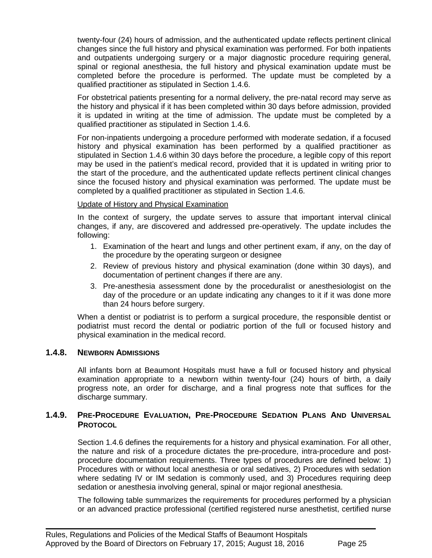twenty-four (24) hours of admission, and the authenticated update reflects pertinent clinical changes since the full history and physical examination was performed. For both inpatients and outpatients undergoing surgery or a major diagnostic procedure requiring general, spinal or regional anesthesia, the full history and physical examination update must be completed before the procedure is performed. The update must be completed by a qualified practitioner as stipulated in Section 1.4.6.

For obstetrical patients presenting for a normal delivery, the pre-natal record may serve as the history and physical if it has been completed within 30 days before admission, provided it is updated in writing at the time of admission. The update must be completed by a qualified practitioner as stipulated in Section 1.4.6.

For non-inpatients undergoing a procedure performed with moderate sedation, if a focused history and physical examination has been performed by a qualified practitioner as stipulated in Section 1.4.6 within 30 days before the procedure, a legible copy of this report may be used in the patient's medical record, provided that it is updated in writing prior to the start of the procedure, and the authenticated update reflects pertinent clinical changes since the focused history and physical examination was performed. The update must be completed by a qualified practitioner as stipulated in Section 1.4.6.

#### Update of History and Physical Examination

In the context of surgery, the update serves to assure that important interval clinical changes, if any, are discovered and addressed pre-operatively. The update includes the following:

- 1. Examination of the heart and lungs and other pertinent exam, if any, on the day of the procedure by the operating surgeon or designee
- 2. Review of previous history and physical examination (done within 30 days), and documentation of pertinent changes if there are any.
- 3. Pre-anesthesia assessment done by the proceduralist or anesthesiologist on the day of the procedure or an update indicating any changes to it if it was done more than 24 hours before surgery.

When a dentist or podiatrist is to perform a surgical procedure, the responsible dentist or podiatrist must record the dental or podiatric portion of the full or focused history and physical examination in the medical record.

#### <span id="page-24-0"></span>**1.4.8. NEWBORN ADMISSIONS**

All infants born at Beaumont Hospitals must have a full or focused history and physical examination appropriate to a newborn within twenty-four (24) hours of birth, a daily progress note, an order for discharge, and a final progress note that suffices for the discharge summary.

#### <span id="page-24-1"></span>**1.4.9. PRE-PROCEDURE EVALUATION, PRE-PROCEDURE SEDATION PLANS AND UNIVERSAL PROTOCOL**

Section 1.4.6 defines the requirements for a history and physical examination. For all other, the nature and risk of a procedure dictates the pre-procedure, intra-procedure and postprocedure documentation requirements. Three types of procedures are defined below: 1) Procedures with or without local anesthesia or oral sedatives, 2) Procedures with sedation where sedating IV or IM sedation is commonly used, and 3) Procedures requiring deep sedation or anesthesia involving general, spinal or major regional anesthesia.

The following table summarizes the requirements for procedures performed by a physician or an advanced practice professional (certified registered nurse anesthetist, certified nurse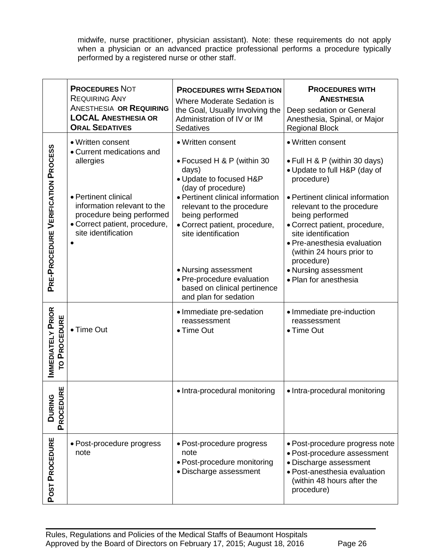midwife, nurse practitioner, physician assistant). Note: these requirements do not apply when a physician or an advanced practice professional performs a procedure typically performed by a registered nurse or other staff.

|                                                 | <b>PROCEDURES NOT</b><br><b>REQUIRING ANY</b><br><b>ANESTHESIA OR REQUIRING</b><br><b>LOCAL ANESTHESIA OR</b><br><b>ORAL SEDATIVES</b>                                                                  | <b>PROCEDURES WITH SEDATION</b><br>Where Moderate Sedation is<br>the Goal, Usually Involving the<br>Administration of IV or IM<br>Sedatives                                                                                                                                                                                                                          | <b>PROCEDURES WITH</b><br><b>ANESTHESIA</b><br>Deep sedation or General<br>Anesthesia, Spinal, or Major<br><b>Regional Block</b>                                                                                                                                                                                                                                        |
|-------------------------------------------------|---------------------------------------------------------------------------------------------------------------------------------------------------------------------------------------------------------|----------------------------------------------------------------------------------------------------------------------------------------------------------------------------------------------------------------------------------------------------------------------------------------------------------------------------------------------------------------------|-------------------------------------------------------------------------------------------------------------------------------------------------------------------------------------------------------------------------------------------------------------------------------------------------------------------------------------------------------------------------|
| PRE-PROCEDURE VERIFICATION PROCESS              | • Written consent<br>• Current medications and<br>allergies<br>• Pertinent clinical<br>information relevant to the<br>procedure being performed<br>· Correct patient, procedure,<br>site identification | • Written consent<br>• Focused H & P (within 30<br>days)<br>• Update to focused H&P<br>(day of procedure)<br>• Pertinent clinical information<br>relevant to the procedure<br>being performed<br>• Correct patient, procedure,<br>site identification<br>• Nursing assessment<br>• Pre-procedure evaluation<br>based on clinical pertinence<br>and plan for sedation | • Written consent<br>• Full H & P (within 30 days)<br>• Update to full H&P (day of<br>procedure)<br>• Pertinent clinical information<br>relevant to the procedure<br>being performed<br>• Correct patient, procedure,<br>site identification<br>• Pre-anesthesia evaluation<br>(within 24 hours prior to<br>procedure)<br>• Nursing assessment<br>• Plan for anesthesia |
| <b>IMMEDIATELY PRIOR</b><br><b>TO PROCEDURE</b> | • Time Out                                                                                                                                                                                              | • Immediate pre-sedation<br>reassessment<br>• Time Out                                                                                                                                                                                                                                                                                                               | • Immediate pre-induction<br>reassessment<br>• Time Out                                                                                                                                                                                                                                                                                                                 |
| 분<br><b>DURING</b><br>PROCEDU                   |                                                                                                                                                                                                         | • Intra-procedural monitoring                                                                                                                                                                                                                                                                                                                                        | • Intra-procedural monitoring                                                                                                                                                                                                                                                                                                                                           |
| POST PROCEDURE                                  | • Post-procedure progress<br>note                                                                                                                                                                       | • Post-procedure progress<br>note<br>• Post-procedure monitoring<br>· Discharge assessment                                                                                                                                                                                                                                                                           | · Post-procedure progress note<br>· Post-procedure assessment<br>· Discharge assessment<br>· Post-anesthesia evaluation<br>(within 48 hours after the<br>procedure)                                                                                                                                                                                                     |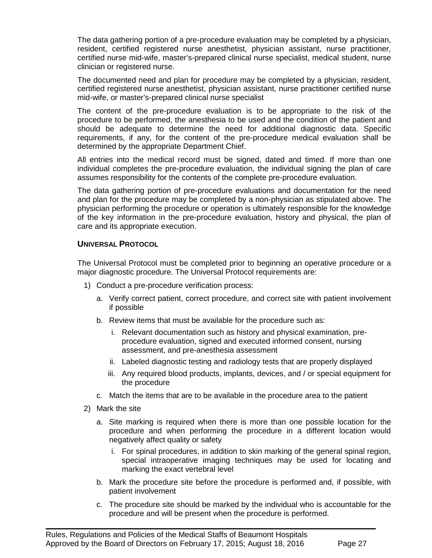The data gathering portion of a pre-procedure evaluation may be completed by a physician, resident, certified registered nurse anesthetist, physician assistant, nurse practitioner, certified nurse mid-wife, master's-prepared clinical nurse specialist, medical student, nurse clinician or registered nurse.

The documented need and plan for procedure may be completed by a physician, resident, certified registered nurse anesthetist, physician assistant, nurse practitioner certified nurse mid-wife, or master's-prepared clinical nurse specialist

The content of the pre-procedure evaluation is to be appropriate to the risk of the procedure to be performed, the anesthesia to be used and the condition of the patient and should be adequate to determine the need for additional diagnostic data. Specific requirements, if any, for the content of the pre-procedure medical evaluation shall be determined by the appropriate Department Chief.

All entries into the medical record must be signed, dated and timed. If more than one individual completes the pre-procedure evaluation, the individual signing the plan of care assumes responsibility for the contents of the complete pre-procedure evaluation.

The data gathering portion of pre-procedure evaluations and documentation for the need and plan for the procedure may be completed by a non-physician as stipulated above. The physician performing the procedure or operation is ultimately responsible for the knowledge of the key information in the pre-procedure evaluation, history and physical, the plan of care and its appropriate execution.

#### **UNIVERSAL PROTOCOL**

The Universal Protocol must be completed prior to beginning an operative procedure or a major diagnostic procedure. The Universal Protocol requirements are:

- 1) Conduct a pre-procedure verification process:
	- a. Verify correct patient, correct procedure, and correct site with patient involvement if possible
	- b. Review items that must be available for the procedure such as:
		- i. Relevant documentation such as history and physical examination, preprocedure evaluation, signed and executed informed consent, nursing assessment, and pre-anesthesia assessment
		- ii. Labeled diagnostic testing and radiology tests that are properly displayed
		- iii. Any required blood products, implants, devices, and / or special equipment for the procedure
	- c. Match the items that are to be available in the procedure area to the patient
- 2) Mark the site
	- a. Site marking is required when there is more than one possible location for the procedure and when performing the procedure in a different location would negatively affect quality or safety
		- i. For spinal procedures, in addition to skin marking of the general spinal region, special intraoperative imaging techniques may be used for locating and marking the exact vertebral level
	- b. Mark the procedure site before the procedure is performed and, if possible, with patient involvement
	- c. The procedure site should be marked by the individual who is accountable for the procedure and will be present when the procedure is performed.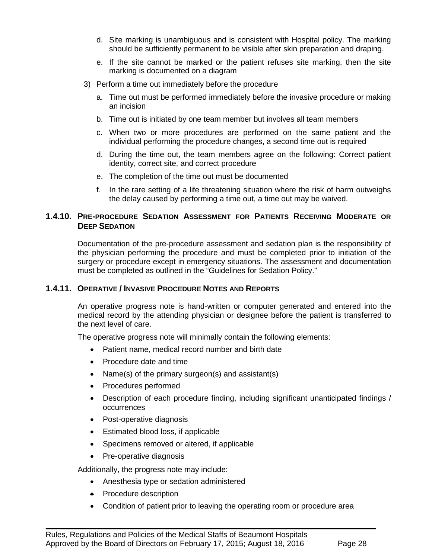- d. Site marking is unambiguous and is consistent with Hospital policy. The marking should be sufficiently permanent to be visible after skin preparation and draping.
- e. If the site cannot be marked or the patient refuses site marking, then the site marking is documented on a diagram
- 3) Perform a time out immediately before the procedure
	- a. Time out must be performed immediately before the invasive procedure or making an incision
	- b. Time out is initiated by one team member but involves all team members
	- c. When two or more procedures are performed on the same patient and the individual performing the procedure changes, a second time out is required
	- d. During the time out, the team members agree on the following: Correct patient identity, correct site, and correct procedure
	- e. The completion of the time out must be documented
	- f. In the rare setting of a life threatening situation where the risk of harm outweighs the delay caused by performing a time out, a time out may be waived.

#### <span id="page-27-1"></span><span id="page-27-0"></span>**1.4.10. PRE-PROCEDURE SEDATION ASSESSMENT FOR PATIENTS RECEIVING MODERATE OR DEEP SEDATION**

Documentation of the pre-procedure assessment and sedation plan is the responsibility of the physician performing the procedure and must be completed prior to initiation of the surgery or procedure except in emergency situations. The assessment and documentation must be completed as outlined in the "Guidelines for Sedation Policy."

#### **1.4.11. OPERATIVE / INVASIVE PROCEDURE NOTES AND REPORTS**

An operative progress note is hand-written or computer generated and entered into the medical record by the attending physician or designee before the patient is transferred to the next level of care.

The operative progress note will minimally contain the following elements:

- Patient name, medical record number and birth date
- Procedure date and time
- Name(s) of the primary surgeon(s) and assistant(s)
- Procedures performed
- Description of each procedure finding, including significant unanticipated findings / occurrences
- Post-operative diagnosis
- Estimated blood loss, if applicable
- Specimens removed or altered, if applicable
- Pre-operative diagnosis

Additionally, the progress note may include:

- Anesthesia type or sedation administered
- Procedure description
- Condition of patient prior to leaving the operating room or procedure area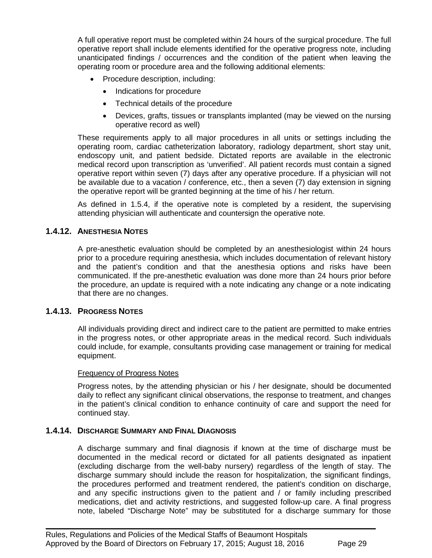A full operative report must be completed within 24 hours of the surgical procedure. The full operative report shall include elements identified for the operative progress note, including unanticipated findings / occurrences and the condition of the patient when leaving the operating room or procedure area and the following additional elements:

- Procedure description, including:
	- Indications for procedure
	- Technical details of the procedure
	- Devices, grafts, tissues or transplants implanted (may be viewed on the nursing operative record as well)

These requirements apply to all major procedures in all units or settings including the operating room, cardiac catheterization laboratory, radiology department, short stay unit, endoscopy unit, and patient bedside. Dictated reports are available in the electronic medical record upon transcription as 'unverified'. All patient records must contain a signed operative report within seven (7) days after any operative procedure. If a physician will not be available due to a vacation / conference, etc., then a seven (7) day extension in signing the operative report will be granted beginning at the time of his / her return.

As defined in 1.5.4, if the operative note is completed by a resident, the supervising attending physician will authenticate and countersign the operative note.

#### <span id="page-28-0"></span>**1.4.12. ANESTHESIA NOTES**

A pre-anesthetic evaluation should be completed by an anesthesiologist within 24 hours prior to a procedure requiring anesthesia, which includes documentation of relevant history and the patient's condition and that the anesthesia options and risks have been communicated. If the pre-anesthetic evaluation was done more than 24 hours prior before the procedure, an update is required with a note indicating any change or a note indicating that there are no changes.

#### **1.4.13. PROGRESS NOTES**

<span id="page-28-1"></span>All individuals providing direct and indirect care to the patient are permitted to make entries in the progress notes, or other appropriate areas in the medical record. Such individuals could include, for example, consultants providing case management or training for medical equipment.

#### Frequency of Progress Notes

Progress notes, by the attending physician or his / her designate, should be documented daily to reflect any significant clinical observations, the response to treatment, and changes in the patient's clinical condition to enhance continuity of care and support the need for continued stay.

#### <span id="page-28-2"></span>**1.4.14. DISCHARGE SUMMARY AND FINAL DIAGNOSIS**

A discharge summary and final diagnosis if known at the time of discharge must be documented in the medical record or dictated for all patients designated as inpatient (excluding discharge from the well-baby nursery) regardless of the length of stay. The discharge summary should include the reason for hospitalization, the significant findings, the procedures performed and treatment rendered, the patient's condition on discharge, and any specific instructions given to the patient and / or family including prescribed medications, diet and activity restrictions, and suggested follow-up care. A final progress note, labeled "Discharge Note" may be substituted for a discharge summary for those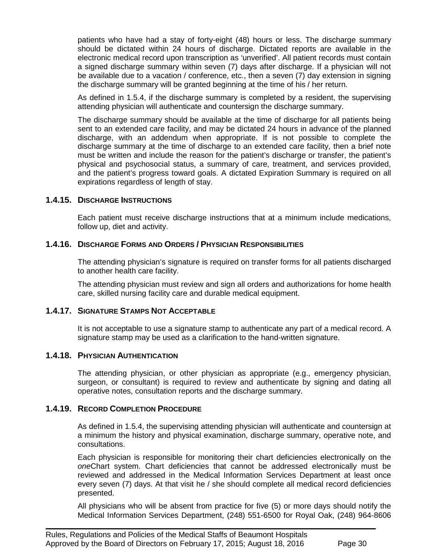patients who have had a stay of forty-eight (48) hours or less. The discharge summary should be dictated within 24 hours of discharge. Dictated reports are available in the electronic medical record upon transcription as 'unverified'. All patient records must contain a signed discharge summary within seven (7) days after discharge. If a physician will not be available due to a vacation / conference, etc., then a seven (7) day extension in signing the discharge summary will be granted beginning at the time of his / her return.

As defined in 1.5.4, if the discharge summary is completed by a resident, the supervising attending physician will authenticate and countersign the discharge summary.

The discharge summary should be available at the time of discharge for all patients being sent to an extended care facility, and may be dictated 24 hours in advance of the planned discharge, with an addendum when appropriate. If is not possible to complete the discharge summary at the time of discharge to an extended care facility, then a brief note must be written and include the reason for the patient's discharge or transfer, the patient's physical and psychosocial status, a summary of care, treatment, and services provided, and the patient's progress toward goals. A dictated Expiration Summary is required on all expirations regardless of length of stay.

#### <span id="page-29-0"></span>**1.4.15. DISCHARGE INSTRUCTIONS**

Each patient must receive discharge instructions that at a minimum include medications, follow up, diet and activity.

#### <span id="page-29-1"></span>**1.4.16. DISCHARGE FORMS AND ORDERS / PHYSICIAN RESPONSIBILITIES**

The attending physician's signature is required on transfer forms for all patients discharged to another health care facility.

The attending physician must review and sign all orders and authorizations for home health care, skilled nursing facility care and durable medical equipment.

#### <span id="page-29-2"></span>**1.4.17. SIGNATURE STAMPS NOT ACCEPTABLE**

It is not acceptable to use a signature stamp to authenticate any part of a medical record. A signature stamp may be used as a clarification to the hand-written signature.

#### <span id="page-29-3"></span>**1.4.18. PHYSICIAN AUTHENTICATION**

The attending physician, or other physician as appropriate (e.g., emergency physician, surgeon, or consultant) is required to review and authenticate by signing and dating all operative notes, consultation reports and the discharge summary.

#### <span id="page-29-4"></span>**1.4.19. RECORD COMPLETION PROCEDURE**

As defined in 1.5.4, the supervising attending physician will authenticate and countersign at a minimum the history and physical examination, discharge summary, operative note, and consultations.

Each physician is responsible for monitoring their chart deficiencies electronically on the *one*Chart system. Chart deficiencies that cannot be addressed electronically must be reviewed and addressed in the Medical Information Services Department at least once every seven (7) days. At that visit he / she should complete all medical record deficiencies presented.

All physicians who will be absent from practice for five (5) or more days should notify the Medical Information Services Department, (248) 551-6500 for Royal Oak, (248) 964-8606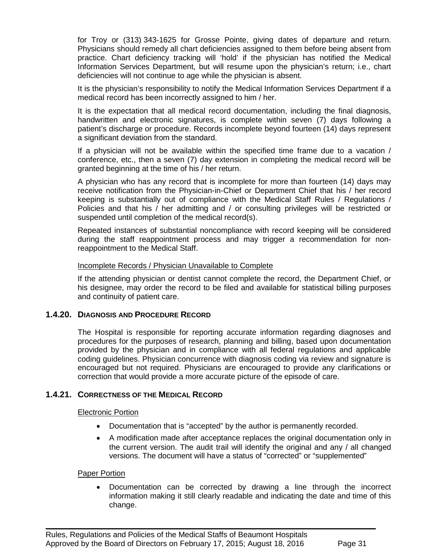for Troy or (313) 343-1625 for Grosse Pointe, giving dates of departure and return. Physicians should remedy all chart deficiencies assigned to them before being absent from practice. Chart deficiency tracking will 'hold' if the physician has notified the Medical Information Services Department, but will resume upon the physician's return; i.e., chart deficiencies will not continue to age while the physician is absent.

It is the physician's responsibility to notify the Medical Information Services Department if a medical record has been incorrectly assigned to him / her.

It is the expectation that all medical record documentation, including the final diagnosis, handwritten and electronic signatures, is complete within seven (7) days following a patient's discharge or procedure. Records incomplete beyond fourteen (14) days represent a significant deviation from the standard.

If a physician will not be available within the specified time frame due to a vacation / conference, etc., then a seven (7) day extension in completing the medical record will be granted beginning at the time of his / her return.

A physician who has any record that is incomplete for more than fourteen (14) days may receive notification from the Physician-in-Chief or Department Chief that his / her record keeping is substantially out of compliance with the Medical Staff Rules / Regulations / Policies and that his / her admitting and / or consulting privileges will be restricted or suspended until completion of the medical record(s).

Repeated instances of substantial noncompliance with record keeping will be considered during the staff reappointment process and may trigger a recommendation for nonreappointment to the Medical Staff.

#### Incomplete Records / Physician Unavailable to Complete

If the attending physician or dentist cannot complete the record, the Department Chief, or his designee, may order the record to be filed and available for statistical billing purposes and continuity of patient care.

#### <span id="page-30-0"></span>**1.4.20. DIAGNOSIS AND PROCEDURE RECORD**

The Hospital is responsible for reporting accurate information regarding diagnoses and procedures for the purposes of research, planning and billing, based upon documentation provided by the physician and in compliance with all federal regulations and applicable coding guidelines. Physician concurrence with diagnosis coding via review and signature is encouraged but not required. Physicians are encouraged to provide any clarifications or correction that would provide a more accurate picture of the episode of care.

#### <span id="page-30-1"></span>**1.4.21. CORRECTNESS OF THE MEDICAL RECORD**

#### Electronic Portion

- Documentation that is "accepted" by the author is permanently recorded.
- A modification made after acceptance replaces the original documentation only in the current version. The audit trail will identify the original and any / all changed versions. The document will have a status of "corrected" or "supplemented"

#### Paper Portion

• Documentation can be corrected by drawing a line through the incorrect information making it still clearly readable and indicating the date and time of this change.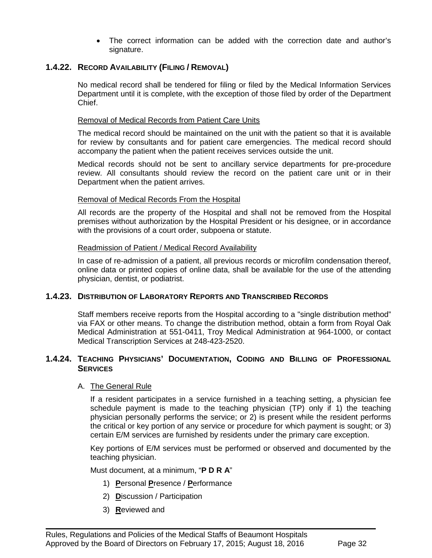• The correct information can be added with the correction date and author's signature.

#### <span id="page-31-0"></span>**1.4.22. RECORD AVAILABILITY (FILING / REMOVAL)**

No medical record shall be tendered for filing or filed by the Medical Information Services Department until it is complete, with the exception of those filed by order of the Department Chief.

#### Removal of Medical Records from Patient Care Units

The medical record should be maintained on the unit with the patient so that it is available for review by consultants and for patient care emergencies. The medical record should accompany the patient when the patient receives services outside the unit.

Medical records should not be sent to ancillary service departments for pre-procedure review. All consultants should review the record on the patient care unit or in their Department when the patient arrives.

#### Removal of Medical Records From the Hospital

All records are the property of the Hospital and shall not be removed from the Hospital premises without authorization by the Hospital President or his designee, or in accordance with the provisions of a court order, subpoena or statute.

#### Readmission of Patient / Medical Record Availability

In case of re-admission of a patient, all previous records or microfilm condensation thereof, online data or printed copies of online data, shall be available for the use of the attending physician, dentist, or podiatrist.

#### <span id="page-31-1"></span>**1.4.23. DISTRIBUTION OF LABORATORY REPORTS AND TRANSCRIBED RECORDS**

Staff members receive reports from the Hospital according to a "single distribution method" via FAX or other means. To change the distribution method, obtain a form from Royal Oak Medical Administration at 551-0411, Troy Medical Administration at 964-1000, or contact Medical Transcription Services at 248-423-2520.

#### <span id="page-31-2"></span>**1.4.24. TEACHING PHYSICIANS' DOCUMENTATION, CODING AND BILLING OF PROFESSIONAL SERVICES**

#### A. The General Rule

If a resident participates in a service furnished in a teaching setting, a physician fee schedule payment is made to the teaching physician (TP) only if 1) the teaching physician personally performs the service; or 2) is present while the resident performs the critical or key portion of any service or procedure for which payment is sought; or 3) certain E/M services are furnished by residents under the primary care exception.

Key portions of E/M services must be performed or observed and documented by the teaching physician.

Must document, at a minimum, "**P D R A**"

- 1) **P**ersonal **P**resence / **P**erformance
- 2) **D**iscussion / Participation
- 3) **R**eviewed and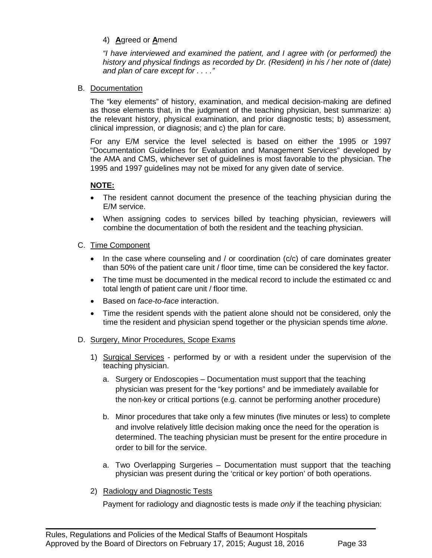#### 4) **A**greed or **A**mend

*"I have interviewed and examined the patient, and I agree with (or performed) the history and physical findings as recorded by Dr. (Resident) in his / her note of (date) and plan of care except for . . . ."*

#### B. Documentation

The "key elements" of history, examination, and medical decision-making are defined as those elements that, in the judgment of the teaching physician, best summarize: a) the relevant history, physical examination, and prior diagnostic tests; b) assessment, clinical impression, or diagnosis; and c) the plan for care.

For any E/M service the level selected is based on either the 1995 or 1997 "Documentation Guidelines for Evaluation and Management Services" developed by the AMA and CMS, whichever set of guidelines is most favorable to the physician. The 1995 and 1997 guidelines may not be mixed for any given date of service.

#### **NOTE:**

- The resident cannot document the presence of the teaching physician during the E/M service.
- When assigning codes to services billed by teaching physician, reviewers will combine the documentation of both the resident and the teaching physician.

#### C. Time Component

- In the case where counseling and / or coordination (c/c) of care dominates greater than 50% of the patient care unit / floor time, time can be considered the key factor.
- The time must be documented in the medical record to include the estimated cc and total length of patient care unit / floor time.
- Based on *face-to-face* interaction.
- Time the resident spends with the patient alone should not be considered, only the time the resident and physician spend together or the physician spends time *alone*.

#### D. Surgery, Minor Procedures, Scope Exams

- 1) Surgical Services performed by or with a resident under the supervision of the teaching physician.
	- a. Surgery or Endoscopies Documentation must support that the teaching physician was present for the "key portions" and be immediately available for the non-key or critical portions (e.g. cannot be performing another procedure)
	- b. Minor procedures that take only a few minutes (five minutes or less) to complete and involve relatively little decision making once the need for the operation is determined. The teaching physician must be present for the entire procedure in order to bill for the service.
	- a. Two Overlapping Surgeries Documentation must support that the teaching physician was present during the 'critical or key portion' of both operations.

#### 2) Radiology and Diagnostic Tests

Payment for radiology and diagnostic tests is made *only* if the teaching physician: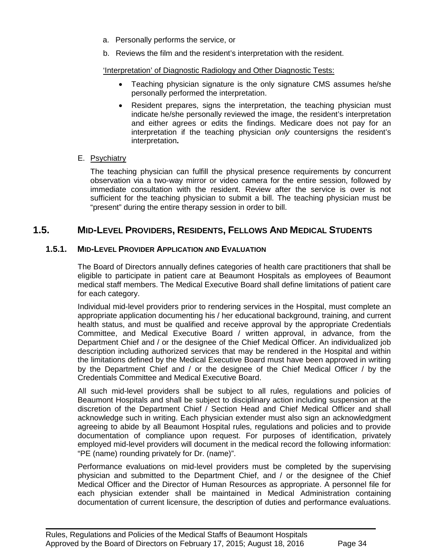- a. Personally performs the service, or
- b. Reviews the film and the resident's interpretation with the resident.

#### 'Interpretation' of Diagnostic Radiology and Other Diagnostic Tests:

- Teaching physician signature is the only signature CMS assumes he/she personally performed the interpretation.
- Resident prepares, signs the interpretation, the teaching physician must indicate he/she personally reviewed the image, the resident's interpretation and either agrees or edits the findings. Medicare does not pay for an interpretation if the teaching physician *only* countersigns the resident's interpretation**.**

#### E. Psychiatry

The teaching physician can fulfill the physical presence requirements by concurrent observation via a two-way mirror or video camera for the entire session, followed by immediate consultation with the resident. Review after the service is over is not sufficient for the teaching physician to submit a bill. The teaching physician must be "present" during the entire therapy session in order to bill.

## **1.5. MID-LEVEL PROVIDERS, RESIDENTS, FELLOWS AND MEDICAL STUDENTS**

#### **1.5.1. MID-LEVEL PROVIDER APPLICATION AND EVALUATION**

<span id="page-33-0"></span>The Board of Directors annually defines categories of health care practitioners that shall be eligible to participate in patient care at Beaumont Hospitals as employees of Beaumont medical staff members. The Medical Executive Board shall define limitations of patient care for each category.

Individual mid-level providers prior to rendering services in the Hospital, must complete an appropriate application documenting his / her educational background, training, and current health status, and must be qualified and receive approval by the appropriate Credentials Committee, and Medical Executive Board / written approval, in advance, from the Department Chief and / or the designee of the Chief Medical Officer. An individualized job description including authorized services that may be rendered in the Hospital and within the limitations defined by the Medical Executive Board must have been approved in writing by the Department Chief and / or the designee of the Chief Medical Officer / by the Credentials Committee and Medical Executive Board.

All such mid-level providers shall be subject to all rules, regulations and policies of Beaumont Hospitals and shall be subject to disciplinary action including suspension at the discretion of the Department Chief / Section Head and Chief Medical Officer and shall acknowledge such in writing. Each physician extender must also sign an acknowledgment agreeing to abide by all Beaumont Hospital rules, regulations and policies and to provide documentation of compliance upon request. For purposes of identification, privately employed mid-level providers will document in the medical record the following information: "PE (name) rounding privately for Dr. (name)".

Performance evaluations on mid-level providers must be completed by the supervising physician and submitted to the Department Chief, and / or the designee of the Chief Medical Officer and the Director of Human Resources as appropriate. A personnel file for each physician extender shall be maintained in Medical Administration containing documentation of current licensure, the description of duties and performance evaluations.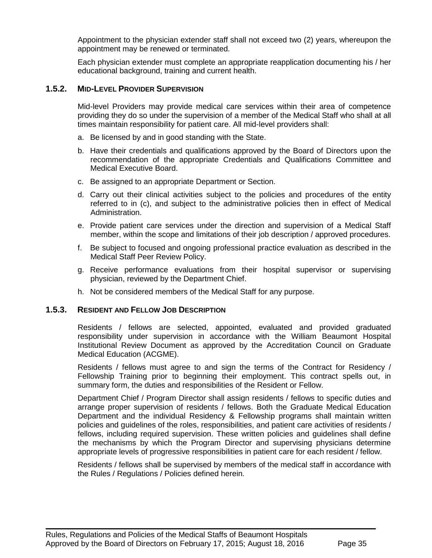Appointment to the physician extender staff shall not exceed two (2) years, whereupon the appointment may be renewed or terminated.

<span id="page-34-0"></span>Each physician extender must complete an appropriate reapplication documenting his / her educational background, training and current health.

#### **1.5.2. MID-LEVEL PROVIDER SUPERVISION**

Mid-level Providers may provide medical care services within their area of competence providing they do so under the supervision of a member of the Medical Staff who shall at all times maintain responsibility for patient care. All mid-level providers shall:

- a. Be licensed by and in good standing with the State.
- b. Have their credentials and qualifications approved by the Board of Directors upon the recommendation of the appropriate Credentials and Qualifications Committee and Medical Executive Board.
- c. Be assigned to an appropriate Department or Section.
- d. Carry out their clinical activities subject to the policies and procedures of the entity referred to in (c), and subject to the administrative policies then in effect of Medical Administration.
- e. Provide patient care services under the direction and supervision of a Medical Staff member, within the scope and limitations of their job description / approved procedures.
- f. Be subject to focused and ongoing professional practice evaluation as described in the Medical Staff Peer Review Policy.
- g. Receive performance evaluations from their hospital supervisor or supervising physician, reviewed by the Department Chief.
- <span id="page-34-1"></span>h. Not be considered members of the Medical Staff for any purpose.

#### **1.5.3. RESIDENT AND FELLOW JOB DESCRIPTION**

Residents / fellows are selected, appointed, evaluated and provided graduated responsibility under supervision in accordance with the William Beaumont Hospital Institutional Review Document as approved by the Accreditation Council on Graduate Medical Education (ACGME).

Residents / fellows must agree to and sign the terms of the Contract for Residency / Fellowship Training prior to beginning their employment. This contract spells out, in summary form, the duties and responsibilities of the Resident or Fellow.

Department Chief / Program Director shall assign residents / fellows to specific duties and arrange proper supervision of residents / fellows. Both the Graduate Medical Education Department and the individual Residency & Fellowship programs shall maintain written policies and guidelines of the roles, responsibilities, and patient care activities of residents / fellows, including required supervision. These written policies and guidelines shall define the mechanisms by which the Program Director and supervising physicians determine appropriate levels of progressive responsibilities in patient care for each resident / fellow.

Residents / fellows shall be supervised by members of the medical staff in accordance with the Rules / Regulations / Policies defined herein.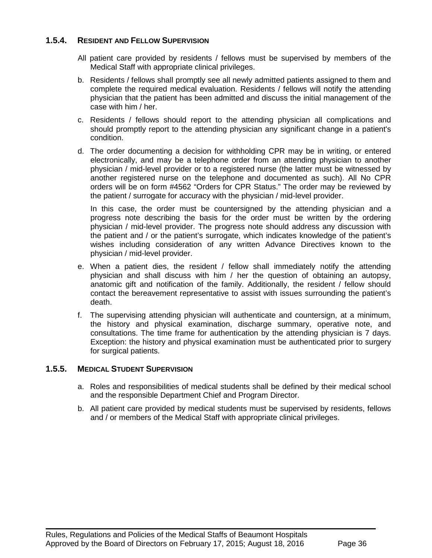#### **1.5.4. RESIDENT AND FELLOW SUPERVISION**

- <span id="page-35-0"></span>All patient care provided by residents / fellows must be supervised by members of the Medical Staff with appropriate clinical privileges.
- b. Residents / fellows shall promptly see all newly admitted patients assigned to them and complete the required medical evaluation. Residents / fellows will notify the attending physician that the patient has been admitted and discuss the initial management of the case with him / her.
- c. Residents / fellows should report to the attending physician all complications and should promptly report to the attending physician any significant change in a patient's condition.
- d. The order documenting a decision for withholding CPR may be in writing, or entered electronically, and may be a telephone order from an attending physician to another physician / mid-level provider or to a registered nurse (the latter must be witnessed by another registered nurse on the telephone and documented as such). All No CPR orders will be on form #4562 "Orders for CPR Status." The order may be reviewed by the patient / surrogate for accuracy with the physician / mid-level provider.

In this case, the order must be countersigned by the attending physician and a progress note describing the basis for the order must be written by the ordering physician / mid-level provider. The progress note should address any discussion with the patient and / or the patient's surrogate, which indicates knowledge of the patient's wishes including consideration of any written Advance Directives known to the physician / mid-level provider.

- e. When a patient dies, the resident / fellow shall immediately notify the attending physician and shall discuss with him / her the question of obtaining an autopsy, anatomic gift and notification of the family. Additionally, the resident / fellow should contact the bereavement representative to assist with issues surrounding the patient's death.
- f. The supervising attending physician will authenticate and countersign, at a minimum, the history and physical examination, discharge summary, operative note, and consultations. The time frame for authentication by the attending physician is 7 days. Exception: the history and physical examination must be authenticated prior to surgery for surgical patients.

#### **1.5.5. MEDICAL STUDENT SUPERVISION**

- <span id="page-35-1"></span>a. Roles and responsibilities of medical students shall be defined by their medical school and the responsible Department Chief and Program Director.
- b. All patient care provided by medical students must be supervised by residents, fellows and / or members of the Medical Staff with appropriate clinical privileges.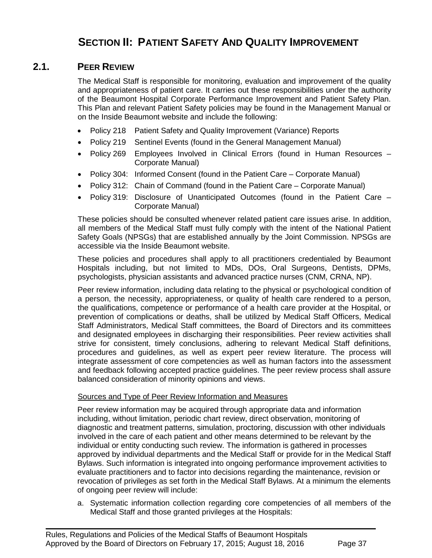# **2.1. PEER REVIEW**

The Medical Staff is responsible for monitoring, evaluation and improvement of the quality and appropriateness of patient care. It carries out these responsibilities under the authority of the Beaumont Hospital Corporate Performance Improvement and Patient Safety Plan. This Plan and relevant Patient Safety policies may be found in the Management Manual or on the Inside Beaumont website and include the following:

- Policy 218 Patient Safety and Quality Improvement (Variance) Reports
- Policy 219 Sentinel Events (found in the General Management Manual)
- Policy 269 Employees Involved in Clinical Errors (found in Human Resources Corporate Manual)
- Policy 304: Informed Consent (found in the Patient Care Corporate Manual)
- Policy 312: Chain of Command (found in the Patient Care Corporate Manual)
- Policy 319: Disclosure of Unanticipated Outcomes (found in the Patient Care Corporate Manual)

These policies should be consulted whenever related patient care issues arise. In addition, all members of the Medical Staff must fully comply with the intent of the National Patient Safety Goals (NPSGs) that are established annually by the Joint Commission. NPSGs are accessible via the Inside Beaumont website.

These policies and procedures shall apply to all practitioners credentialed by Beaumont Hospitals including, but not limited to MDs, DOs, Oral Surgeons, Dentists, DPMs, psychologists, physician assistants and advanced practice nurses (CNM, CRNA, NP).

Peer review information, including data relating to the physical or psychological condition of a person, the necessity, appropriateness, or quality of health care rendered to a person, the qualifications, competence or performance of a health care provider at the Hospital, or prevention of complications or deaths, shall be utilized by Medical Staff Officers, Medical Staff Administrators, Medical Staff committees, the Board of Directors and its committees and designated employees in discharging their responsibilities. Peer review activities shall strive for consistent, timely conclusions, adhering to relevant Medical Staff definitions, procedures and guidelines, as well as expert peer review literature. The process will integrate assessment of core competencies as well as human factors into the assessment and feedback following accepted practice guidelines. The peer review process shall assure balanced consideration of minority opinions and views.

# Sources and Type of Peer Review Information and Measures

Peer review information may be acquired through appropriate data and information including, without limitation, periodic chart review, direct observation, monitoring of diagnostic and treatment patterns, simulation, proctoring, discussion with other individuals involved in the care of each patient and other means determined to be relevant by the individual or entity conducting such review. The information is gathered in processes approved by individual departments and the Medical Staff or provide for in the Medical Staff Bylaws. Such information is integrated into ongoing performance improvement activities to evaluate practitioners and to factor into decisions regarding the maintenance, revision or revocation of privileges as set forth in the Medical Staff Bylaws. At a minimum the elements of ongoing peer review will include:

a. Systematic information collection regarding core competencies of all members of the Medical Staff and those granted privileges at the Hospitals: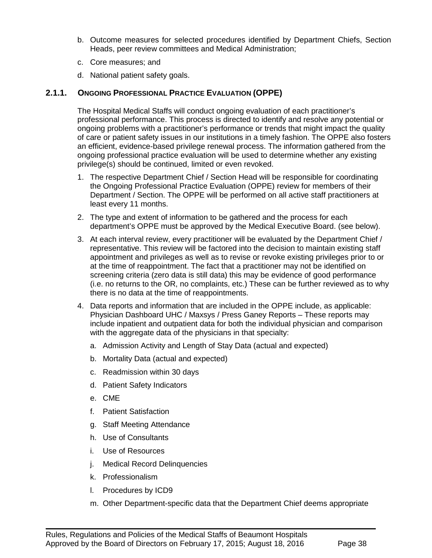- b. Outcome measures for selected procedures identified by Department Chiefs, Section Heads, peer review committees and Medical Administration;
- c. Core measures; and
- d. National patient safety goals.

# **2.1.1. ONGOING PROFESSIONAL PRACTICE EVALUATION (OPPE)**

The Hospital Medical Staffs will conduct ongoing evaluation of each practitioner's professional performance. This process is directed to identify and resolve any potential or ongoing problems with a practitioner's performance or trends that might impact the quality of care or patient safety issues in our institutions in a timely fashion. The OPPE also fosters an efficient, evidence-based privilege renewal process. The information gathered from the ongoing professional practice evaluation will be used to determine whether any existing privilege(s) should be continued, limited or even revoked.

- 1. The respective Department Chief / Section Head will be responsible for coordinating the Ongoing Professional Practice Evaluation (OPPE) review for members of their Department / Section. The OPPE will be performed on all active staff practitioners at least every 11 months.
- 2. The type and extent of information to be gathered and the process for each department's OPPE must be approved by the Medical Executive Board. (see below).
- 3. At each interval review, every practitioner will be evaluated by the Department Chief / representative. This review will be factored into the decision to maintain existing staff appointment and privileges as well as to revise or revoke existing privileges prior to or at the time of reappointment. The fact that a practitioner may not be identified on screening criteria (zero data is still data) this may be evidence of good performance (i.e. no returns to the OR, no complaints, etc.) These can be further reviewed as to why there is no data at the time of reappointments.
- 4. Data reports and information that are included in the OPPE include, as applicable: Physician Dashboard UHC / Maxsys / Press Ganey Reports – These reports may include inpatient and outpatient data for both the individual physician and comparison with the aggregate data of the physicians in that specialty:
	- a. Admission Activity and Length of Stay Data (actual and expected)
	- b. Mortality Data (actual and expected)
	- c. Readmission within 30 days
	- d. Patient Safety Indicators
	- e. CME
	- f. Patient Satisfaction
	- g. Staff Meeting Attendance
	- h. Use of Consultants
	- i. Use of Resources
	- j. Medical Record Delinquencies
	- k. Professionalism
	- l. Procedures by ICD9
	- m. Other Department-specific data that the Department Chief deems appropriate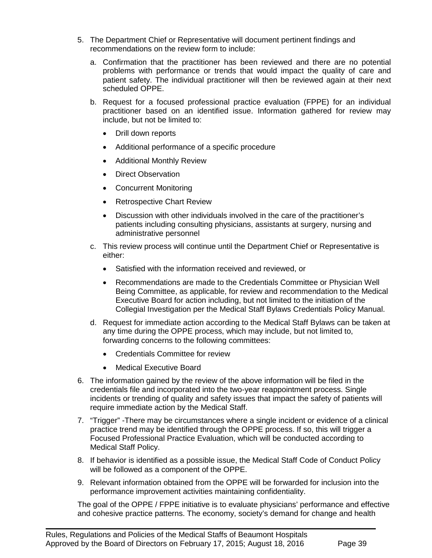- 5. The Department Chief or Representative will document pertinent findings and recommendations on the review form to include:
	- a. Confirmation that the practitioner has been reviewed and there are no potential problems with performance or trends that would impact the quality of care and patient safety. The individual practitioner will then be reviewed again at their next scheduled OPPE.
	- b. Request for a focused professional practice evaluation (FPPE) for an individual practitioner based on an identified issue. Information gathered for review may include, but not be limited to:
		- Drill down reports
		- Additional performance of a specific procedure
		- Additional Monthly Review
		- Direct Observation
		- Concurrent Monitoring
		- Retrospective Chart Review
		- Discussion with other individuals involved in the care of the practitioner's patients including consulting physicians, assistants at surgery, nursing and administrative personnel
	- c. This review process will continue until the Department Chief or Representative is either:
		- Satisfied with the information received and reviewed, or
		- Recommendations are made to the Credentials Committee or Physician Well Being Committee, as applicable, for review and recommendation to the Medical Executive Board for action including, but not limited to the initiation of the Collegial Investigation per the Medical Staff Bylaws Credentials Policy Manual.
	- d. Request for immediate action according to the Medical Staff Bylaws can be taken at any time during the OPPE process, which may include, but not limited to, forwarding concerns to the following committees:
		- Credentials Committee for review
		- Medical Executive Board
- 6. The information gained by the review of the above information will be filed in the credentials file and incorporated into the two-year reappointment process. Single incidents or trending of quality and safety issues that impact the safety of patients will require immediate action by the Medical Staff.
- 7. "Trigger" -There may be circumstances where a single incident or evidence of a clinical practice trend may be identified through the OPPE process. If so, this will trigger a Focused Professional Practice Evaluation, which will be conducted according to Medical Staff Policy.
- 8. If behavior is identified as a possible issue, the Medical Staff Code of Conduct Policy will be followed as a component of the OPPE.
- 9. Relevant information obtained from the OPPE will be forwarded for inclusion into the performance improvement activities maintaining confidentiality.

 $\blacksquare$ 

The goal of the OPPE / FPPE initiative is to evaluate physicians' performance and effective and cohesive practice patterns. The economy, society's demand for change and health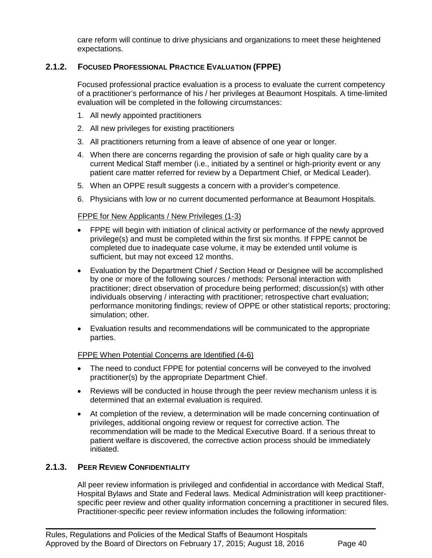care reform will continue to drive physicians and organizations to meet these heightened expectations.

# **2.1.2. FOCUSED PROFESSIONAL PRACTICE EVALUATION (FPPE)**

Focused professional practice evaluation is a process to evaluate the current competency of a practitioner's performance of his / her privileges at Beaumont Hospitals. A time-limited evaluation will be completed in the following circumstances:

- 1. All newly appointed practitioners
- 2. All new privileges for existing practitioners
- 3. All practitioners returning from a leave of absence of one year or longer.
- 4. When there are concerns regarding the provision of safe or high quality care by a current Medical Staff member (i.e., initiated by a sentinel or high-priority event or any patient care matter referred for review by a Department Chief, or Medical Leader).
- 5. When an OPPE result suggests a concern with a provider's competence.
- 6. Physicians with low or no current documented performance at Beaumont Hospitals.

#### FPPE for New Applicants / New Privileges (1-3)

- FPPE will begin with initiation of clinical activity or performance of the newly approved privilege(s) and must be completed within the first six months. If FPPE cannot be completed due to inadequate case volume, it may be extended until volume is sufficient, but may not exceed 12 months.
- Evaluation by the Department Chief / Section Head or Designee will be accomplished by one or more of the following sources / methods: Personal interaction with practitioner; direct observation of procedure being performed; discussion(s) with other individuals observing / interacting with practitioner; retrospective chart evaluation; performance monitoring findings; review of OPPE or other statistical reports; proctoring; simulation; other.
- Evaluation results and recommendations will be communicated to the appropriate parties.

#### FPPE When Potential Concerns are Identified (4-6)

- The need to conduct FPPE for potential concerns will be conveyed to the involved practitioner(s) by the appropriate Department Chief.
- Reviews will be conducted in house through the peer review mechanism unless it is determined that an external evaluation is required.
- At completion of the review, a determination will be made concerning continuation of privileges, additional ongoing review or request for corrective action. The recommendation will be made to the Medical Executive Board. If a serious threat to patient welfare is discovered, the corrective action process should be immediately initiated.

#### **2.1.3. PEER REVIEW CONFIDENTIALITY**

All peer review information is privileged and confidential in accordance with Medical Staff, Hospital Bylaws and State and Federal laws. Medical Administration will keep practitionerspecific peer review and other quality information concerning a practitioner in secured files. Practitioner-specific peer review information includes the following information: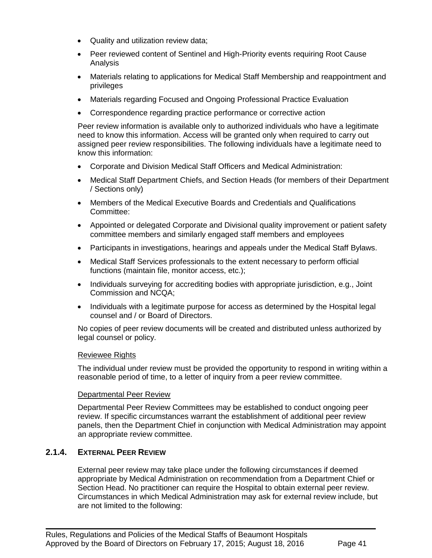- Quality and utilization review data;
- Peer reviewed content of Sentinel and High-Priority events requiring Root Cause Analysis
- Materials relating to applications for Medical Staff Membership and reappointment and privileges
- Materials regarding Focused and Ongoing Professional Practice Evaluation
- Correspondence regarding practice performance or corrective action

Peer review information is available only to authorized individuals who have a legitimate need to know this information. Access will be granted only when required to carry out assigned peer review responsibilities. The following individuals have a legitimate need to know this information:

- Corporate and Division Medical Staff Officers and Medical Administration:
- Medical Staff Department Chiefs, and Section Heads (for members of their Department / Sections only)
- Members of the Medical Executive Boards and Credentials and Qualifications Committee:
- Appointed or delegated Corporate and Divisional quality improvement or patient safety committee members and similarly engaged staff members and employees
- Participants in investigations, hearings and appeals under the Medical Staff Bylaws.
- Medical Staff Services professionals to the extent necessary to perform official functions (maintain file, monitor access, etc.);
- Individuals surveying for accrediting bodies with appropriate jurisdiction, e.g., Joint Commission and NCQA;
- Individuals with a legitimate purpose for access as determined by the Hospital legal counsel and / or Board of Directors.

No copies of peer review documents will be created and distributed unless authorized by legal counsel or policy.

#### Reviewee Rights

The individual under review must be provided the opportunity to respond in writing within a reasonable period of time, to a letter of inquiry from a peer review committee.

#### Departmental Peer Review

Departmental Peer Review Committees may be established to conduct ongoing peer review. If specific circumstances warrant the establishment of additional peer review panels, then the Department Chief in conjunction with Medical Administration may appoint an appropriate review committee.

#### **2.1.4. EXTERNAL PEER REVIEW**

External peer review may take place under the following circumstances if deemed appropriate by Medical Administration on recommendation from a Department Chief or Section Head. No practitioner can require the Hospital to obtain external peer review. Circumstances in which Medical Administration may ask for external review include, but are not limited to the following: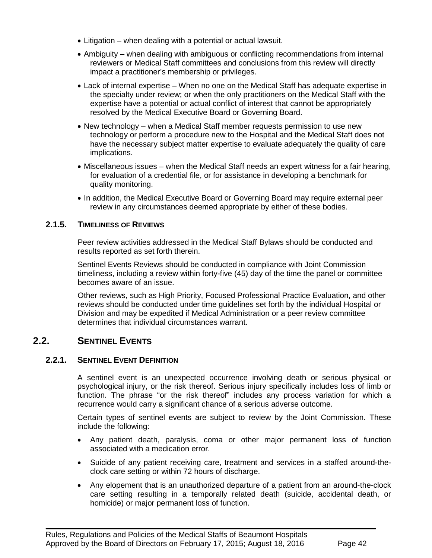- Litigation when dealing with a potential or actual lawsuit.
- Ambiguity when dealing with ambiguous or conflicting recommendations from internal reviewers or Medical Staff committees and conclusions from this review will directly impact a practitioner's membership or privileges.
- Lack of internal expertise When no one on the Medical Staff has adequate expertise in the specialty under review; or when the only practitioners on the Medical Staff with the expertise have a potential or actual conflict of interest that cannot be appropriately resolved by the Medical Executive Board or Governing Board.
- New technology when a Medical Staff member requests permission to use new technology or perform a procedure new to the Hospital and the Medical Staff does not have the necessary subject matter expertise to evaluate adequately the quality of care implications.
- Miscellaneous issues when the Medical Staff needs an expert witness for a fair hearing, for evaluation of a credential file, or for assistance in developing a benchmark for quality monitoring.
- In addition, the Medical Executive Board or Governing Board may require external peer review in any circumstances deemed appropriate by either of these bodies.

# **2.1.5. TIMELINESS OF REVIEWS**

Peer review activities addressed in the Medical Staff Bylaws should be conducted and results reported as set forth therein.

Sentinel Events Reviews should be conducted in compliance with Joint Commission timeliness, including a review within forty-five (45) day of the time the panel or committee becomes aware of an issue.

Other reviews, such as High Priority, Focused Professional Practice Evaluation, and other reviews should be conducted under time guidelines set forth by the individual Hospital or Division and may be expedited if Medical Administration or a peer review committee determines that individual circumstances warrant.

# **2.2. SENTINEL EVENTS**

# **2.2.1. SENTINEL EVENT DEFINITION**

A sentinel event is an unexpected occurrence involving death or serious physical or psychological injury, or the risk thereof. Serious injury specifically includes loss of limb or function. The phrase "or the risk thereof" includes any process variation for which a recurrence would carry a significant chance of a serious adverse outcome.

Certain types of sentinel events are subject to review by the Joint Commission. These include the following:

- Any patient death, paralysis, coma or other major permanent loss of function associated with a medication error.
- Suicide of any patient receiving care, treatment and services in a staffed around-theclock care setting or within 72 hours of discharge.
- Any elopement that is an unauthorized departure of a patient from an around-the-clock care setting resulting in a temporally related death (suicide, accidental death, or homicide) or major permanent loss of function.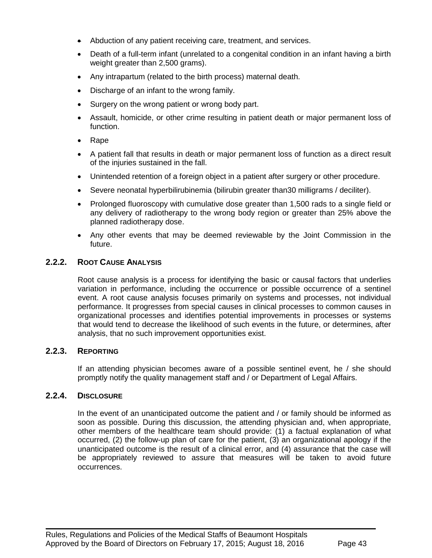- Abduction of any patient receiving care, treatment, and services.
- Death of a full-term infant (unrelated to a congenital condition in an infant having a birth weight greater than 2,500 grams).
- Any intrapartum (related to the birth process) maternal death.
- Discharge of an infant to the wrong family.
- Surgery on the wrong patient or wrong body part.
- Assault, homicide, or other crime resulting in patient death or major permanent loss of function.
- Rape
- A patient fall that results in death or major permanent loss of function as a direct result of the injuries sustained in the fall.
- Unintended retention of a foreign object in a patient after surgery or other procedure.
- Severe neonatal hyperbilirubinemia (bilirubin greater than30 milligrams / deciliter).
- Prolonged fluoroscopy with cumulative dose greater than 1,500 rads to a single field or any delivery of radiotherapy to the wrong body region or greater than 25% above the planned radiotherapy dose.
- Any other events that may be deemed reviewable by the Joint Commission in the future.

### **2.2.2. ROOT CAUSE ANALYSIS**

Root cause analysis is a process for identifying the basic or causal factors that underlies variation in performance, including the occurrence or possible occurrence of a sentinel event. A root cause analysis focuses primarily on systems and processes, not individual performance. It progresses from special causes in clinical processes to common causes in organizational processes and identifies potential improvements in processes or systems that would tend to decrease the likelihood of such events in the future, or determines, after analysis, that no such improvement opportunities exist.

#### **2.2.3. REPORTING**

If an attending physician becomes aware of a possible sentinel event, he / she should promptly notify the quality management staff and / or Department of Legal Affairs.

#### **2.2.4. DISCLOSURE**

In the event of an unanticipated outcome the patient and / or family should be informed as soon as possible. During this discussion, the attending physician and, when appropriate, other members of the healthcare team should provide: (1) a factual explanation of what occurred, (2) the follow-up plan of care for the patient, (3) an organizational apology if the unanticipated outcome is the result of a clinical error, and (4) assurance that the case will be appropriately reviewed to assure that measures will be taken to avoid future occurrences.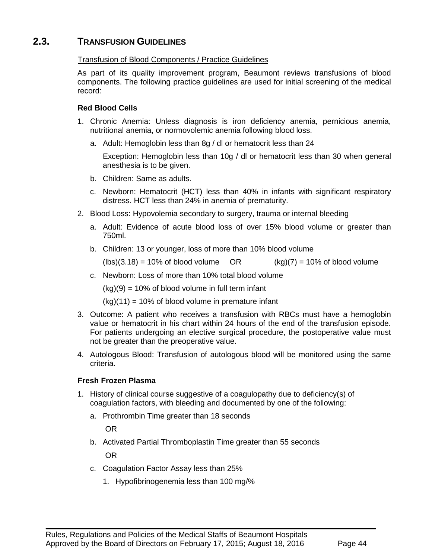# **2.3. TRANSFUSION GUIDELINES**

### Transfusion of Blood Components / Practice Guidelines

As part of its quality improvement program, Beaumont reviews transfusions of blood components. The following practice guidelines are used for initial screening of the medical record:

### **Red Blood Cells**

- 1. Chronic Anemia: Unless diagnosis is iron deficiency anemia, pernicious anemia, nutritional anemia, or normovolemic anemia following blood loss.
	- a. Adult: Hemoglobin less than 8g / dl or hematocrit less than 24

Exception: Hemoglobin less than 10g / dl or hematocrit less than 30 when general anesthesia is to be given.

- b. Children: Same as adults.
- c. Newborn: Hematocrit (HCT) less than 40% in infants with significant respiratory distress. HCT less than 24% in anemia of prematurity.
- 2. Blood Loss: Hypovolemia secondary to surgery, trauma or internal bleeding
	- a. Adult: Evidence of acute blood loss of over 15% blood volume or greater than 750ml.
	- b. Children: 13 or younger, loss of more than 10% blood volume

 $(hbs)(3.18) = 10\%$  of blood volume OR  $(kg)(7) = 10\%$  of blood volume

c. Newborn: Loss of more than 10% total blood volume

 $(kg)(9) = 10\%$  of blood volume in full term infant

 $(kg)(11) = 10\%$  of blood volume in premature infant

- 3. Outcome: A patient who receives a transfusion with RBCs must have a hemoglobin value or hematocrit in his chart within 24 hours of the end of the transfusion episode. For patients undergoing an elective surgical procedure, the postoperative value must not be greater than the preoperative value.
- 4. Autologous Blood: Transfusion of autologous blood will be monitored using the same criteria.

# **Fresh Frozen Plasma**

- 1. History of clinical course suggestive of a coagulopathy due to deficiency(s) of coagulation factors, with bleeding and documented by one of the following:
	- a. Prothrombin Time greater than 18 seconds

OR

b. Activated Partial Thromboplastin Time greater than 55 seconds OR

- c. Coagulation Factor Assay less than 25%
	- 1. Hypofibrinogenemia less than 100 mg/%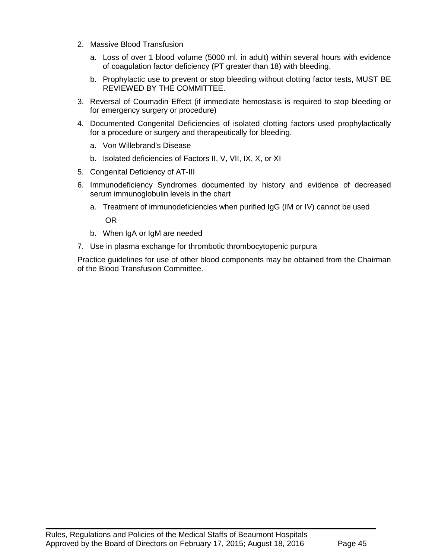- 2. Massive Blood Transfusion
	- a. Loss of over 1 blood volume (5000 ml. in adult) within several hours with evidence of coagulation factor deficiency (PT greater than 18) with bleeding.
	- b. Prophylactic use to prevent or stop bleeding without clotting factor tests, MUST BE REVIEWED BY THE COMMITTEE.
- 3. Reversal of Coumadin Effect (if immediate hemostasis is required to stop bleeding or for emergency surgery or procedure)
- 4. Documented Congenital Deficiencies of isolated clotting factors used prophylactically for a procedure or surgery and therapeutically for bleeding.
	- a. Von Willebrand's Disease
	- b. Isolated deficiencies of Factors II, V, VII, IX, X, or XI
- 5. Congenital Deficiency of AT-III
- 6. Immunodeficiency Syndromes documented by history and evidence of decreased serum immunoglobulin levels in the chart
	- a. Treatment of immunodeficiencies when purified IgG (IM or IV) cannot be used

OR

- b. When IgA or IgM are needed
- 7. Use in plasma exchange for thrombotic thrombocytopenic purpura

Practice guidelines for use of other blood components may be obtained from the Chairman of the Blood Transfusion Committee.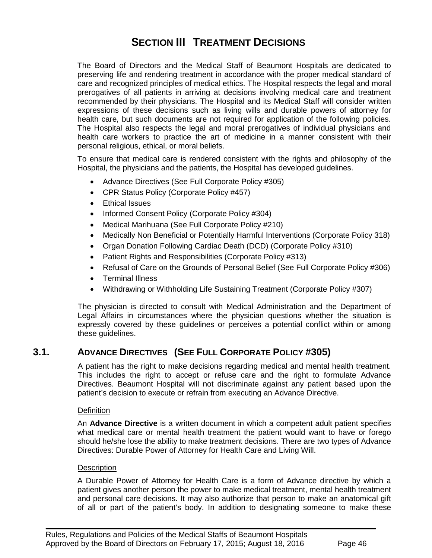# **SECTION III TREATMENT DECISIONS**

The Board of Directors and the Medical Staff of Beaumont Hospitals are dedicated to preserving life and rendering treatment in accordance with the proper medical standard of care and recognized principles of medical ethics. The Hospital respects the legal and moral prerogatives of all patients in arriving at decisions involving medical care and treatment recommended by their physicians. The Hospital and its Medical Staff will consider written expressions of these decisions such as living wills and durable powers of attorney for health care, but such documents are not required for application of the following policies. The Hospital also respects the legal and moral prerogatives of individual physicians and health care workers to practice the art of medicine in a manner consistent with their personal religious, ethical, or moral beliefs.

To ensure that medical care is rendered consistent with the rights and philosophy of the Hospital, the physicians and the patients, the Hospital has developed guidelines.

- Advance Directives (See Full Corporate Policy #305)
- CPR Status Policy (Corporate Policy #457)
- Ethical Issues
- Informed Consent Policy (Corporate Policy #304)
- Medical Marihuana (See Full Corporate Policy #210)
- Medically Non Beneficial or Potentially Harmful Interventions (Corporate Policy 318)
- Organ Donation Following Cardiac Death (DCD) (Corporate Policy #310)
- Patient Rights and Responsibilities (Corporate Policy #313)
- Refusal of Care on the Grounds of Personal Belief (See Full Corporate Policy #306)
- Terminal Illness
- Withdrawing or Withholding Life Sustaining Treatment (Corporate Policy #307)

The physician is directed to consult with Medical Administration and the Department of Legal Affairs in circumstances where the physician questions whether the situation is expressly covered by these guidelines or perceives a potential conflict within or among these guidelines.

# **3.1. ADVANCE DIRECTIVES (SEE FULL CORPORATE POLICY #305)**

A patient has the right to make decisions regarding medical and mental health treatment. This includes the right to accept or refuse care and the right to formulate Advance Directives. Beaumont Hospital will not discriminate against any patient based upon the patient's decision to execute or refrain from executing an Advance Directive.

#### **Definition**

An **Advance Directive** is a written document in which a competent adult patient specifies what medical care or mental health treatment the patient would want to have or forego should he/she lose the ability to make treatment decisions. There are two types of Advance Directives: Durable Power of Attorney for Health Care and Living Will.

#### **Description**

A Durable Power of Attorney for Health Care is a form of Advance directive by which a patient gives another person the power to make medical treatment, mental health treatment and personal care decisions. It may also authorize that person to make an anatomical gift of all or part of the patient's body. In addition to designating someone to make these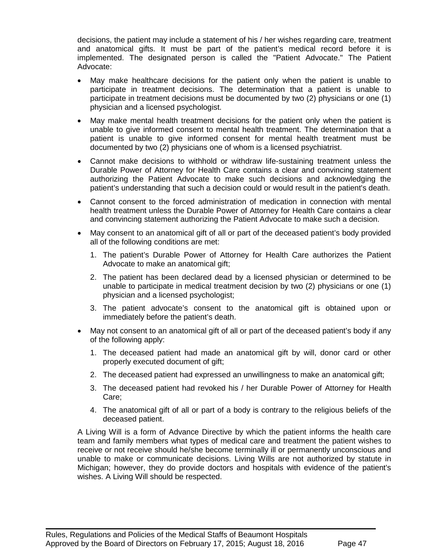decisions, the patient may include a statement of his / her wishes regarding care, treatment and anatomical gifts. It must be part of the patient's medical record before it is implemented. The designated person is called the "Patient Advocate." The Patient Advocate:

- May make healthcare decisions for the patient only when the patient is unable to participate in treatment decisions. The determination that a patient is unable to participate in treatment decisions must be documented by two (2) physicians or one (1) physician and a licensed psychologist.
- May make mental health treatment decisions for the patient only when the patient is unable to give informed consent to mental health treatment. The determination that a patient is unable to give informed consent for mental health treatment must be documented by two (2) physicians one of whom is a licensed psychiatrist.
- Cannot make decisions to withhold or withdraw life-sustaining treatment unless the Durable Power of Attorney for Health Care contains a clear and convincing statement authorizing the Patient Advocate to make such decisions and acknowledging the patient's understanding that such a decision could or would result in the patient's death.
- Cannot consent to the forced administration of medication in connection with mental health treatment unless the Durable Power of Attorney for Health Care contains a clear and convincing statement authorizing the Patient Advocate to make such a decision.
- May consent to an anatomical gift of all or part of the deceased patient's body provided all of the following conditions are met:
	- 1. The patient's Durable Power of Attorney for Health Care authorizes the Patient Advocate to make an anatomical gift;
	- 2. The patient has been declared dead by a licensed physician or determined to be unable to participate in medical treatment decision by two (2) physicians or one (1) physician and a licensed psychologist;
	- 3. The patient advocate's consent to the anatomical gift is obtained upon or immediately before the patient's death.
- May not consent to an anatomical gift of all or part of the deceased patient's body if any of the following apply:
	- 1. The deceased patient had made an anatomical gift by will, donor card or other properly executed document of gift;
	- 2. The deceased patient had expressed an unwillingness to make an anatomical gift;
	- 3. The deceased patient had revoked his / her Durable Power of Attorney for Health Care;
	- 4. The anatomical gift of all or part of a body is contrary to the religious beliefs of the deceased patient.

A Living Will is a form of Advance Directive by which the patient informs the health care team and family members what types of medical care and treatment the patient wishes to receive or not receive should he/she become terminally ill or permanently unconscious and unable to make or communicate decisions. Living Wills are not authorized by statute in Michigan; however, they do provide doctors and hospitals with evidence of the patient's wishes. A Living Will should be respected.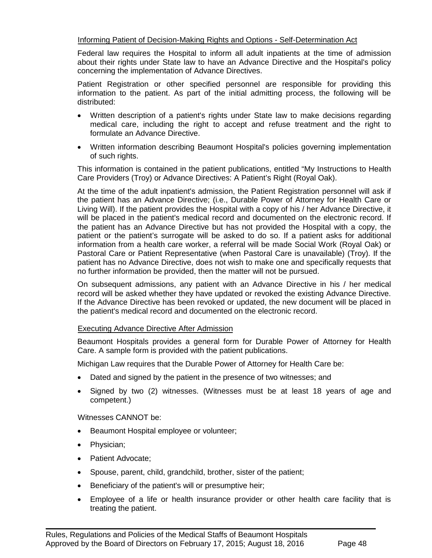#### Informing Patient of Decision-Making Rights and Options - Self-Determination Act

Federal law requires the Hospital to inform all adult inpatients at the time of admission about their rights under State law to have an Advance Directive and the Hospital's policy concerning the implementation of Advance Directives.

Patient Registration or other specified personnel are responsible for providing this information to the patient. As part of the initial admitting process, the following will be distributed:

- Written description of a patient's rights under State law to make decisions regarding medical care, including the right to accept and refuse treatment and the right to formulate an Advance Directive.
- Written information describing Beaumont Hospital's policies governing implementation of such rights.

This information is contained in the patient publications, entitled "My Instructions to Health Care Providers (Troy) or Advance Directives: A Patient's Right (Royal Oak).

At the time of the adult inpatient's admission, the Patient Registration personnel will ask if the patient has an Advance Directive; (i.e., Durable Power of Attorney for Health Care or Living Will). If the patient provides the Hospital with a copy of his / her Advance Directive, it will be placed in the patient's medical record and documented on the electronic record. If the patient has an Advance Directive but has not provided the Hospital with a copy, the patient or the patient's surrogate will be asked to do so. If a patient asks for additional information from a health care worker, a referral will be made Social Work (Royal Oak) or Pastoral Care or Patient Representative (when Pastoral Care is unavailable) (Troy). If the patient has no Advance Directive, does not wish to make one and specifically requests that no further information be provided, then the matter will not be pursued.

On subsequent admissions, any patient with an Advance Directive in his / her medical record will be asked whether they have updated or revoked the existing Advance Directive. If the Advance Directive has been revoked or updated, the new document will be placed in the patient's medical record and documented on the electronic record.

#### Executing Advance Directive After Admission

Beaumont Hospitals provides a general form for Durable Power of Attorney for Health Care. A sample form is provided with the patient publications.

Michigan Law requires that the Durable Power of Attorney for Health Care be:

- Dated and signed by the patient in the presence of two witnesses; and
- Signed by two (2) witnesses. (Witnesses must be at least 18 years of age and competent.)

Witnesses CANNOT be:

- Beaumont Hospital employee or volunteer;
- Physician;
- Patient Advocate;
- Spouse, parent, child, grandchild, brother, sister of the patient;
- Beneficiary of the patient's will or presumptive heir;
- Employee of a life or health insurance provider or other health care facility that is treating the patient.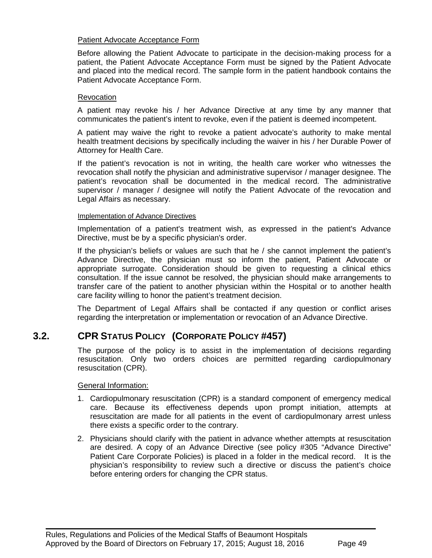#### Patient Advocate Acceptance Form

Before allowing the Patient Advocate to participate in the decision-making process for a patient, the Patient Advocate Acceptance Form must be signed by the Patient Advocate and placed into the medical record. The sample form in the patient handbook contains the Patient Advocate Acceptance Form.

#### **Revocation**

A patient may revoke his / her Advance Directive at any time by any manner that communicates the patient's intent to revoke, even if the patient is deemed incompetent.

A patient may waive the right to revoke a patient advocate's authority to make mental health treatment decisions by specifically including the waiver in his / her Durable Power of Attorney for Health Care.

If the patient's revocation is not in writing, the health care worker who witnesses the revocation shall notify the physician and administrative supervisor / manager designee. The patient's revocation shall be documented in the medical record. The administrative supervisor / manager / designee will notify the Patient Advocate of the revocation and Legal Affairs as necessary.

#### Implementation of Advance Directives

Implementation of a patient's treatment wish, as expressed in the patient's Advance Directive, must be by a specific physician's order.

If the physician's beliefs or values are such that he / she cannot implement the patient's Advance Directive, the physician must so inform the patient, Patient Advocate or appropriate surrogate. Consideration should be given to requesting a clinical ethics consultation. If the issue cannot be resolved, the physician should make arrangements to transfer care of the patient to another physician within the Hospital or to another health care facility willing to honor the patient's treatment decision.

The Department of Legal Affairs shall be contacted if any question or conflict arises regarding the interpretation or implementation or revocation of an Advance Directive.

# **3.2. CPR STATUS POLICY (CORPORATE POLICY #457)**

The purpose of the policy is to assist in the implementation of decisions regarding resuscitation. Only two orders choices are permitted regarding cardiopulmonary resuscitation (CPR).

General Information:

- 1. Cardiopulmonary resuscitation (CPR) is a standard component of emergency medical care. Because its effectiveness depends upon prompt initiation, attempts at resuscitation are made for all patients in the event of cardiopulmonary arrest unless there exists a specific order to the contrary.
- 2. Physicians should clarify with the patient in advance whether attempts at resuscitation are desired. A copy of an Advance Directive (see policy #305 "Advance Directive" Patient Care Corporate Policies) is placed in a folder in the medical record. It is the physician's responsibility to review such a directive or discuss the patient's choice before entering orders for changing the CPR status.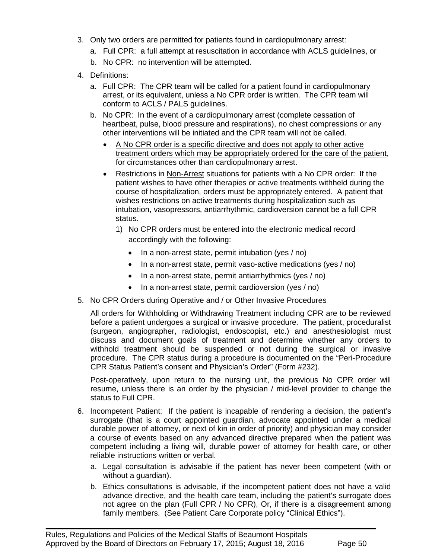- 3. Only two orders are permitted for patients found in cardiopulmonary arrest:
	- a. Full CPR: a full attempt at resuscitation in accordance with ACLS guidelines, or
	- b. No CPR: no intervention will be attempted.
- 4. Definitions:
	- a. Full CPR: The CPR team will be called for a patient found in cardiopulmonary arrest, or its equivalent, unless a No CPR order is written. The CPR team will conform to ACLS / PALS guidelines.
	- b. No CPR: In the event of a cardiopulmonary arrest (complete cessation of heartbeat, pulse, blood pressure and respirations), no chest compressions or any other interventions will be initiated and the CPR team will not be called.
		- A No CPR order is a specific directive and does not apply to other active treatment orders which may be appropriately ordered for the care of the patient, for circumstances other than cardiopulmonary arrest.
		- Restrictions in Non-Arrest situations for patients with a No CPR order: If the patient wishes to have other therapies or active treatments withheld during the course of hospitalization, orders must be appropriately entered. A patient that wishes restrictions on active treatments during hospitalization such as intubation, vasopressors, antiarrhythmic, cardioversion cannot be a full CPR status.
			- 1) No CPR orders must be entered into the electronic medical record accordingly with the following:
				- In a non-arrest state, permit intubation (yes / no)
				- In a non-arrest state, permit vaso-active medications (yes / no)
				- In a non-arrest state, permit antiarrhythmics (yes / no)
				- In a non-arrest state, permit cardioversion (yes / no)
- 5. No CPR Orders during Operative and / or Other Invasive Procedures

All orders for Withholding or Withdrawing Treatment including CPR are to be reviewed before a patient undergoes a surgical or invasive procedure. The patient, proceduralist (surgeon, angiographer, radiologist, endoscopist, etc.) and anesthesiologist must discuss and document goals of treatment and determine whether any orders to withhold treatment should be suspended or not during the surgical or invasive procedure. The CPR status during a procedure is documented on the "Peri-Procedure CPR Status Patient's consent and Physician's Order" (Form #232).

Post-operatively, upon return to the nursing unit, the previous No CPR order will resume, unless there is an order by the physician / mid-level provider to change the status to Full CPR.

- 6. Incompetent Patient: If the patient is incapable of rendering a decision, the patient's surrogate (that is a court appointed guardian, advocate appointed under a medical durable power of attorney, or next of kin in order of priority) and physician may consider a course of events based on any advanced directive prepared when the patient was competent including a living will, durable power of attorney for health care, or other reliable instructions written or verbal.
	- a. Legal consultation is advisable if the patient has never been competent (with or without a guardian).
	- b. Ethics consultations is advisable, if the incompetent patient does not have a valid advance directive, and the health care team, including the patient's surrogate does not agree on the plan (Full CPR / No CPR), Or, if there is a disagreement among family members. (See Patient Care Corporate policy "Clinical Ethics").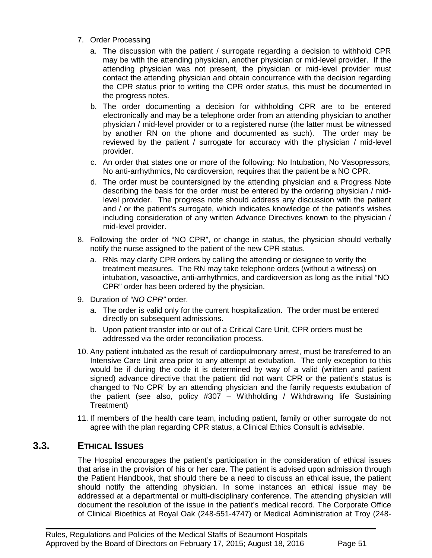- 7. Order Processing
	- a. The discussion with the patient / surrogate regarding a decision to withhold CPR may be with the attending physician, another physician or mid-level provider. If the attending physician was not present, the physician or mid-level provider must contact the attending physician and obtain concurrence with the decision regarding the CPR status prior to writing the CPR order status, this must be documented in the progress notes.
	- b. The order documenting a decision for withholding CPR are to be entered electronically and may be a telephone order from an attending physician to another physician / mid-level provider or to a registered nurse (the latter must be witnessed by another RN on the phone and documented as such). The order may be reviewed by the patient / surrogate for accuracy with the physician / mid-level provider.
	- c. An order that states one or more of the following: No Intubation, No Vasopressors, No anti-arrhythmics, No cardioversion, requires that the patient be a NO CPR.
	- d. The order must be countersigned by the attending physician and a Progress Note describing the basis for the order must be entered by the ordering physician / midlevel provider. The progress note should address any discussion with the patient and / or the patient's surrogate, which indicates knowledge of the patient's wishes including consideration of any written Advance Directives known to the physician / mid-level provider.
- 8. Following the order of "NO CPR", or change in status, the physician should verbally notify the nurse assigned to the patient of the new CPR status.
	- a. RNs may clarify CPR orders by calling the attending or designee to verify the treatment measures. The RN may take telephone orders (without a witness) on intubation, vasoactive, anti-arrhythmics, and cardioversion as long as the initial "NO CPR" order has been ordered by the physician.
- 9. Duration of *"NO CPR"* order.
	- a. The order is valid only for the current hospitalization. The order must be entered directly on subsequent admissions.
	- b. Upon patient transfer into or out of a Critical Care Unit, CPR orders must be addressed via the order reconciliation process.
- 10. Any patient intubated as the result of cardiopulmonary arrest, must be transferred to an Intensive Care Unit area prior to any attempt at extubation. The only exception to this would be if during the code it is determined by way of a valid (written and patient signed) advance directive that the patient did not want CPR or the patient's status is changed to 'No CPR' by an attending physician and the family requests extubation of the patient (see also, policy  $#307 -$  Withholding / Withdrawing life Sustaining Treatment)
- 11. If members of the health care team, including patient, family or other surrogate do not agree with the plan regarding CPR status, a Clinical Ethics Consult is advisable.

# **3.3. ETHICAL ISSUES**

The Hospital encourages the patient's participation in the consideration of ethical issues that arise in the provision of his or her care. The patient is advised upon admission through the Patient Handbook, that should there be a need to discuss an ethical issue, the patient should notify the attending physician. In some instances an ethical issue may be addressed at a departmental or multi-disciplinary conference. The attending physician will document the resolution of the issue in the patient's medical record. The Corporate Office of Clinical Bioethics at Royal Oak (248-551-4747) or Medical Administration at Troy (248-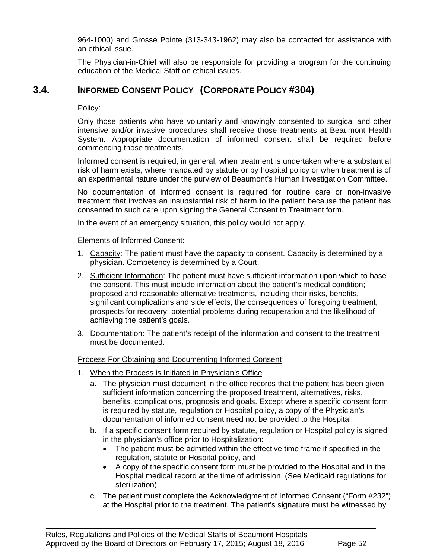964-1000) and Grosse Pointe (313-343-1962) may also be contacted for assistance with an ethical issue.

The Physician-in-Chief will also be responsible for providing a program for the continuing education of the Medical Staff on ethical issues.

# **3.4. INFORMED CONSENT POLICY (CORPORATE POLICY #304)**

### Policy:

Only those patients who have voluntarily and knowingly consented to surgical and other intensive and/or invasive procedures shall receive those treatments at Beaumont Health System. Appropriate documentation of informed consent shall be required before commencing those treatments.

Informed consent is required, in general, when treatment is undertaken where a substantial risk of harm exists, where mandated by statute or by hospital policy or when treatment is of an experimental nature under the purview of Beaumont's Human Investigation Committee.

No documentation of informed consent is required for routine care or non-invasive treatment that involves an insubstantial risk of harm to the patient because the patient has consented to such care upon signing the General Consent to Treatment form.

In the event of an emergency situation, this policy would not apply.

#### Elements of Informed Consent:

- 1. Capacity: The patient must have the capacity to consent. Capacity is determined by a physician. Competency is determined by a Court.
- 2. Sufficient Information: The patient must have sufficient information upon which to base the consent. This must include information about the patient's medical condition; proposed and reasonable alternative treatments, including their risks, benefits, significant complications and side effects; the consequences of foregoing treatment; prospects for recovery; potential problems during recuperation and the likelihood of achieving the patient's goals.
- 3. Documentation: The patient's receipt of the information and consent to the treatment must be documented.

#### Process For Obtaining and Documenting Informed Consent

- 1. When the Process is Initiated in Physician's Office
	- a. The physician must document in the office records that the patient has been given sufficient information concerning the proposed treatment, alternatives, risks, benefits, complications, prognosis and goals. Except where a specific consent form is required by statute, regulation or Hospital policy, a copy of the Physician's documentation of informed consent need not be provided to the Hospital.
	- b. If a specific consent form required by statute, regulation or Hospital policy is signed in the physician's office prior to Hospitalization:
		- The patient must be admitted within the effective time frame if specified in the regulation, statute or Hospital policy, and
		- A copy of the specific consent form must be provided to the Hospital and in the Hospital medical record at the time of admission. (See Medicaid regulations for sterilization).
	- c. The patient must complete the Acknowledgment of Informed Consent ("Form #232") at the Hospital prior to the treatment. The patient's signature must be witnessed by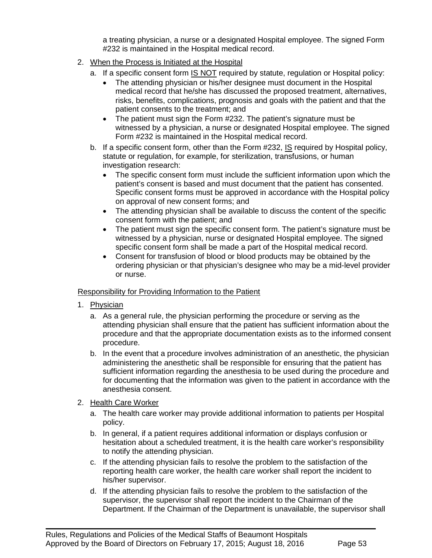a treating physician, a nurse or a designated Hospital employee. The signed Form #232 is maintained in the Hospital medical record.

- 2. When the Process is Initiated at the Hospital
	- a. If a specific consent form IS NOT required by statute, regulation or Hospital policy:
		- The attending physician or his/her designee must document in the Hospital medical record that he/she has discussed the proposed treatment, alternatives, risks, benefits, complications, prognosis and goals with the patient and that the patient consents to the treatment; and
		- The patient must sign the Form #232. The patient's signature must be witnessed by a physician, a nurse or designated Hospital employee. The signed Form #232 is maintained in the Hospital medical record.
	- b. If a specific consent form, other than the Form  $\#232$ , IS required by Hospital policy, statute or regulation, for example, for sterilization, transfusions, or human investigation research:
		- The specific consent form must include the sufficient information upon which the patient's consent is based and must document that the patient has consented. Specific consent forms must be approved in accordance with the Hospital policy on approval of new consent forms; and
		- The attending physician shall be available to discuss the content of the specific consent form with the patient; and
		- The patient must sign the specific consent form. The patient's signature must be witnessed by a physician, nurse or designated Hospital employee. The signed specific consent form shall be made a part of the Hospital medical record.
		- Consent for transfusion of blood or blood products may be obtained by the ordering physician or that physician's designee who may be a mid-level provider or nurse.

#### Responsibility for Providing Information to the Patient

- 1. Physician
	- a. As a general rule, the physician performing the procedure or serving as the attending physician shall ensure that the patient has sufficient information about the procedure and that the appropriate documentation exists as to the informed consent procedure.
	- b. In the event that a procedure involves administration of an anesthetic, the physician administering the anesthetic shall be responsible for ensuring that the patient has sufficient information regarding the anesthesia to be used during the procedure and for documenting that the information was given to the patient in accordance with the anesthesia consent.

#### 2. Health Care Worker

- a. The health care worker may provide additional information to patients per Hospital policy.
- b. In general, if a patient requires additional information or displays confusion or hesitation about a scheduled treatment, it is the health care worker's responsibility to notify the attending physician.
- c. If the attending physician fails to resolve the problem to the satisfaction of the reporting health care worker, the health care worker shall report the incident to his/her supervisor.

 $\blacksquare$ 

d. If the attending physician fails to resolve the problem to the satisfaction of the supervisor, the supervisor shall report the incident to the Chairman of the Department. If the Chairman of the Department is unavailable, the supervisor shall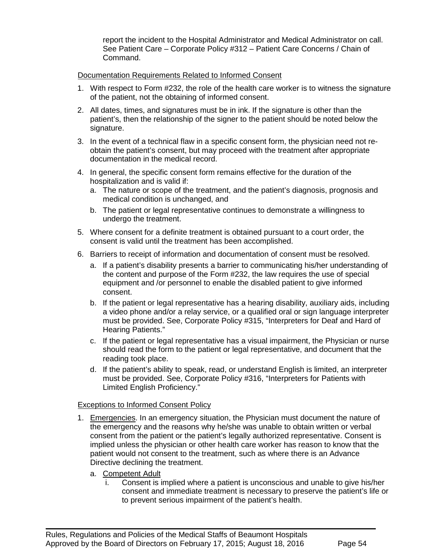report the incident to the Hospital Administrator and Medical Administrator on call. See Patient Care – Corporate Policy #312 – Patient Care Concerns / Chain of Command.

Documentation Requirements Related to Informed Consent

- 1. With respect to Form #232, the role of the health care worker is to witness the signature of the patient, not the obtaining of informed consent.
- 2. All dates, times, and signatures must be in ink. If the signature is other than the patient's, then the relationship of the signer to the patient should be noted below the signature.
- 3. In the event of a technical flaw in a specific consent form, the physician need not reobtain the patient's consent, but may proceed with the treatment after appropriate documentation in the medical record.
- 4. In general, the specific consent form remains effective for the duration of the hospitalization and is valid if:
	- a. The nature or scope of the treatment, and the patient's diagnosis, prognosis and medical condition is unchanged, and
	- b. The patient or legal representative continues to demonstrate a willingness to undergo the treatment.
- 5. Where consent for a definite treatment is obtained pursuant to a court order, the consent is valid until the treatment has been accomplished.
- 6. Barriers to receipt of information and documentation of consent must be resolved.
	- a. If a patient's disability presents a barrier to communicating his/her understanding of the content and purpose of the Form #232, the law requires the use of special equipment and /or personnel to enable the disabled patient to give informed consent.
	- b. If the patient or legal representative has a hearing disability, auxiliary aids, including a video phone and/or a relay service, or a qualified oral or sign language interpreter must be provided. See, Corporate Policy #315, "Interpreters for Deaf and Hard of Hearing Patients."
	- c. If the patient or legal representative has a visual impairment, the Physician or nurse should read the form to the patient or legal representative, and document that the reading took place.
	- d. If the patient's ability to speak, read, or understand English is limited, an interpreter must be provided. See, Corporate Policy #316, "Interpreters for Patients with Limited English Proficiency."

#### Exceptions to Informed Consent Policy

- 1. Emergencies. In an emergency situation, the Physician must document the nature of the emergency and the reasons why he/she was unable to obtain written or verbal consent from the patient or the patient's legally authorized representative. Consent is implied unless the physician or other health care worker has reason to know that the patient would not consent to the treatment, such as where there is an Advance Directive declining the treatment.
	- a. Competent Adult
		- i. Consent is implied where a patient is unconscious and unable to give his/her consent and immediate treatment is necessary to preserve the patient's life or to prevent serious impairment of the patient's health.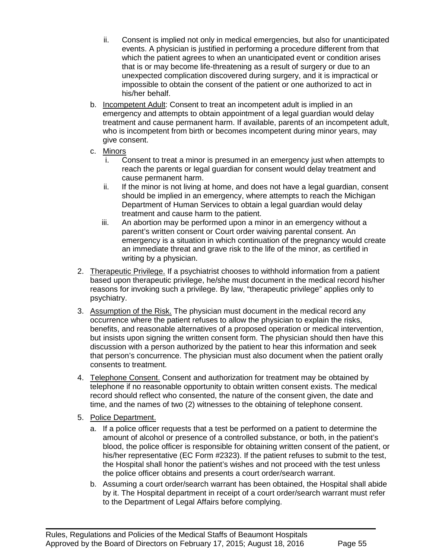- ii. Consent is implied not only in medical emergencies, but also for unanticipated events. A physician is justified in performing a procedure different from that which the patient agrees to when an unanticipated event or condition arises that is or may become life-threatening as a result of surgery or due to an unexpected complication discovered during surgery, and it is impractical or impossible to obtain the consent of the patient or one authorized to act in his/her behalf.
- b. Incompetent Adult: Consent to treat an incompetent adult is implied in an emergency and attempts to obtain appointment of a legal guardian would delay treatment and cause permanent harm. If available, parents of an incompetent adult, who is incompetent from birth or becomes incompetent during minor years, may give consent.
- c. Minors
	- i. Consent to treat a minor is presumed in an emergency just when attempts to reach the parents or legal guardian for consent would delay treatment and cause permanent harm.
	- ii. If the minor is not living at home, and does not have a legal guardian, consent should be implied in an emergency, where attempts to reach the Michigan Department of Human Services to obtain a legal guardian would delay treatment and cause harm to the patient.
	- iii. An abortion may be performed upon a minor in an emergency without a parent's written consent or Court order waiving parental consent. An emergency is a situation in which continuation of the pregnancy would create an immediate threat and grave risk to the life of the minor, as certified in writing by a physician.
- 2. Therapeutic Privilege. If a psychiatrist chooses to withhold information from a patient based upon therapeutic privilege, he/she must document in the medical record his/her reasons for invoking such a privilege. By law, "therapeutic privilege" applies only to psychiatry.
- 3. Assumption of the Risk. The physician must document in the medical record any occurrence where the patient refuses to allow the physician to explain the risks, benefits, and reasonable alternatives of a proposed operation or medical intervention, but insists upon signing the written consent form. The physician should then have this discussion with a person authorized by the patient to hear this information and seek that person's concurrence. The physician must also document when the patient orally consents to treatment.
- 4. Telephone Consent. Consent and authorization for treatment may be obtained by telephone if no reasonable opportunity to obtain written consent exists. The medical record should reflect who consented, the nature of the consent given, the date and time, and the names of two (2) witnesses to the obtaining of telephone consent.
- 5. Police Department.
	- a. If a police officer requests that a test be performed on a patient to determine the amount of alcohol or presence of a controlled substance, or both, in the patient's blood, the police officer is responsible for obtaining written consent of the patient, or his/her representative (EC Form #2323). If the patient refuses to submit to the test, the Hospital shall honor the patient's wishes and not proceed with the test unless the police officer obtains and presents a court order/search warrant.
	- b. Assuming a court order/search warrant has been obtained, the Hospital shall abide by it. The Hospital department in receipt of a court order/search warrant must refer to the Department of Legal Affairs before complying.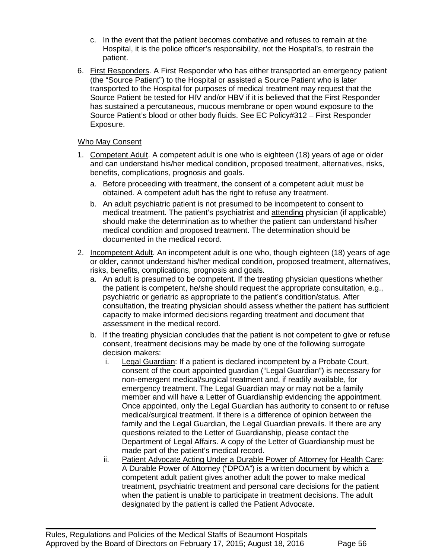- c. In the event that the patient becomes combative and refuses to remain at the Hospital, it is the police officer's responsibility, not the Hospital's, to restrain the patient.
- 6. First Responders. A First Responder who has either transported an emergency patient (the "Source Patient") to the Hospital or assisted a Source Patient who is later transported to the Hospital for purposes of medical treatment may request that the Source Patient be tested for HIV and/or HBV if it is believed that the First Responder has sustained a percutaneous, mucous membrane or open wound exposure to the Source Patient's blood or other body fluids. See EC Policy#312 – First Responder Exposure.

### Who May Consent

- 1. Competent Adult. A competent adult is one who is eighteen (18) years of age or older and can understand his/her medical condition, proposed treatment, alternatives, risks, benefits, complications, prognosis and goals.
	- a. Before proceeding with treatment, the consent of a competent adult must be obtained. A competent adult has the right to refuse any treatment.
	- b. An adult psychiatric patient is not presumed to be incompetent to consent to medical treatment. The patient's psychiatrist and attending physician (if applicable) should make the determination as to whether the patient can understand his/her medical condition and proposed treatment. The determination should be documented in the medical record.
- 2. Incompetent Adult. An incompetent adult is one who, though eighteen (18) years of age or older, cannot understand his/her medical condition, proposed treatment, alternatives, risks, benefits, complications, prognosis and goals.
	- a. An adult is presumed to be competent. If the treating physician questions whether the patient is competent, he/she should request the appropriate consultation, e.g., psychiatric or geriatric as appropriate to the patient's condition/status. After consultation, the treating physician should assess whether the patient has sufficient capacity to make informed decisions regarding treatment and document that assessment in the medical record.
	- b. If the treating physician concludes that the patient is not competent to give or refuse consent, treatment decisions may be made by one of the following surrogate decision makers:
		- i. Legal Guardian: If a patient is declared incompetent by a Probate Court, consent of the court appointed guardian ("Legal Guardian") is necessary for non-emergent medical/surgical treatment and, if readily available, for emergency treatment. The Legal Guardian may or may not be a family member and will have a Letter of Guardianship evidencing the appointment. Once appointed, only the Legal Guardian has authority to consent to or refuse medical/surgical treatment. If there is a difference of opinion between the family and the Legal Guardian, the Legal Guardian prevails. If there are any questions related to the Letter of Guardianship, please contact the Department of Legal Affairs. A copy of the Letter of Guardianship must be made part of the patient's medical record.
		- ii. Patient Advocate Acting Under a Durable Power of Attorney for Health Care: A Durable Power of Attorney ("DPOA") is a written document by which a competent adult patient gives another adult the power to make medical treatment, psychiatric treatment and personal care decisions for the patient when the patient is unable to participate in treatment decisions. The adult designated by the patient is called the Patient Advocate.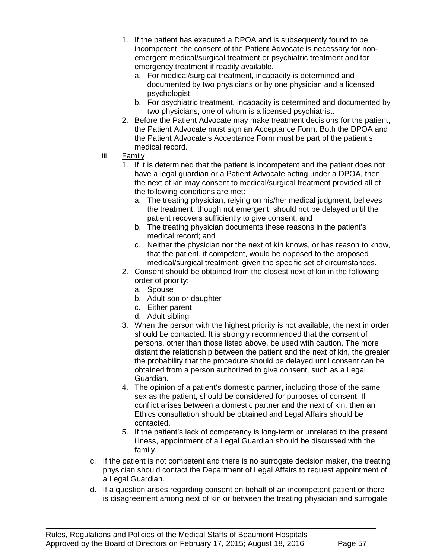- 1. If the patient has executed a DPOA and is subsequently found to be incompetent, the consent of the Patient Advocate is necessary for nonemergent medical/surgical treatment or psychiatric treatment and for emergency treatment if readily available.
	- a. For medical/surgical treatment, incapacity is determined and documented by two physicians or by one physician and a licensed psychologist.
	- b. For psychiatric treatment, incapacity is determined and documented by two physicians, one of whom is a licensed psychiatrist.
- 2. Before the Patient Advocate may make treatment decisions for the patient, the Patient Advocate must sign an Acceptance Form. Both the DPOA and the Patient Advocate's Acceptance Form must be part of the patient's medical record.
- iii. Family
	- 1. If it is determined that the patient is incompetent and the patient does not have a legal guardian or a Patient Advocate acting under a DPOA, then the next of kin may consent to medical/surgical treatment provided all of the following conditions are met:
		- a. The treating physician, relying on his/her medical judgment, believes the treatment, though not emergent, should not be delayed until the patient recovers sufficiently to give consent; and
		- b. The treating physician documents these reasons in the patient's medical record; and
		- c. Neither the physician nor the next of kin knows, or has reason to know, that the patient, if competent, would be opposed to the proposed medical/surgical treatment, given the specific set of circumstances.
	- 2. Consent should be obtained from the closest next of kin in the following order of priority:
		- a. Spouse
		- b. Adult son or daughter
		- c. Either parent
		- d. Adult sibling
	- 3. When the person with the highest priority is not available, the next in order should be contacted. It is strongly recommended that the consent of persons, other than those listed above, be used with caution. The more distant the relationship between the patient and the next of kin, the greater the probability that the procedure should be delayed until consent can be obtained from a person authorized to give consent, such as a Legal Guardian.
	- 4. The opinion of a patient's domestic partner, including those of the same sex as the patient, should be considered for purposes of consent. If conflict arises between a domestic partner and the next of kin, then an Ethics consultation should be obtained and Legal Affairs should be contacted.
	- 5. If the patient's lack of competency is long-term or unrelated to the present illness, appointment of a Legal Guardian should be discussed with the family.
- c. If the patient is not competent and there is no surrogate decision maker, the treating physician should contact the Department of Legal Affairs to request appointment of a Legal Guardian.
- d. If a question arises regarding consent on behalf of an incompetent patient or there is disagreement among next of kin or between the treating physician and surrogate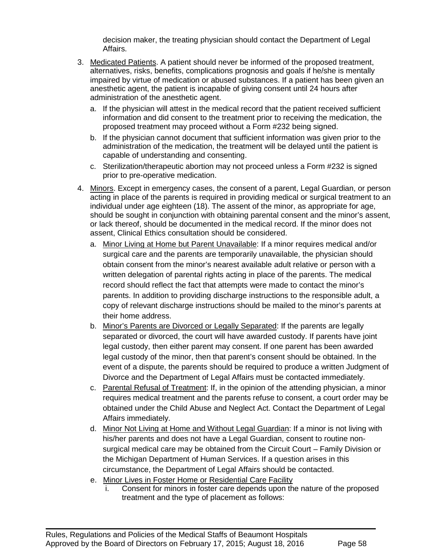decision maker, the treating physician should contact the Department of Legal Affairs.

- 3. Medicated Patients. A patient should never be informed of the proposed treatment, alternatives, risks, benefits, complications prognosis and goals if he/she is mentally impaired by virtue of medication or abused substances. If a patient has been given an anesthetic agent, the patient is incapable of giving consent until 24 hours after administration of the anesthetic agent.
	- a. If the physician will attest in the medical record that the patient received sufficient information and did consent to the treatment prior to receiving the medication, the proposed treatment may proceed without a Form #232 being signed.
	- b. If the physician cannot document that sufficient information was given prior to the administration of the medication, the treatment will be delayed until the patient is capable of understanding and consenting.
	- c. Sterilization/therapeutic abortion may not proceed unless a Form #232 is signed prior to pre-operative medication.
- 4. Minors. Except in emergency cases, the consent of a parent, Legal Guardian, or person acting in place of the parents is required in providing medical or surgical treatment to an individual under age eighteen (18). The assent of the minor, as appropriate for age, should be sought in conjunction with obtaining parental consent and the minor's assent, or lack thereof, should be documented in the medical record. If the minor does not assent, Clinical Ethics consultation should be considered.
	- a. Minor Living at Home but Parent Unavailable: If a minor requires medical and/or surgical care and the parents are temporarily unavailable, the physician should obtain consent from the minor's nearest available adult relative or person with a written delegation of parental rights acting in place of the parents. The medical record should reflect the fact that attempts were made to contact the minor's parents. In addition to providing discharge instructions to the responsible adult, a copy of relevant discharge instructions should be mailed to the minor's parents at their home address.
	- b. Minor's Parents are Divorced or Legally Separated: If the parents are legally separated or divorced, the court will have awarded custody. If parents have joint legal custody, then either parent may consent. If one parent has been awarded legal custody of the minor, then that parent's consent should be obtained. In the event of a dispute, the parents should be required to produce a written Judgment of Divorce and the Department of Legal Affairs must be contacted immediately.
	- c. Parental Refusal of Treatment: If, in the opinion of the attending physician, a minor requires medical treatment and the parents refuse to consent, a court order may be obtained under the Child Abuse and Neglect Act. Contact the Department of Legal Affairs immediately.
	- d. Minor Not Living at Home and Without Legal Guardian: If a minor is not living with his/her parents and does not have a Legal Guardian, consent to routine nonsurgical medical care may be obtained from the Circuit Court – Family Division or the Michigan Department of Human Services. If a question arises in this circumstance, the Department of Legal Affairs should be contacted.
	- e. Minor Lives in Foster Home or Residential Care Facility

 $\blacksquare$ 

i. Consent for minors in foster care depends upon the nature of the proposed treatment and the type of placement as follows: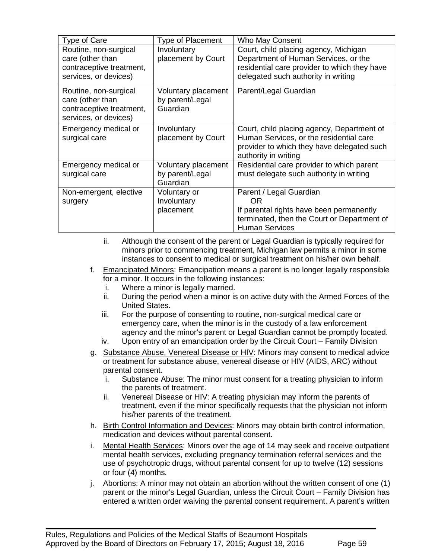| <b>Type of Care</b>                                                                            | <b>Type of Placement</b>                           | Who May Consent                                                                                                                                                      |
|------------------------------------------------------------------------------------------------|----------------------------------------------------|----------------------------------------------------------------------------------------------------------------------------------------------------------------------|
| Routine, non-surgical<br>care (other than<br>contraceptive treatment,<br>services, or devices) | Involuntary<br>placement by Court                  | Court, child placing agency, Michigan<br>Department of Human Services, or the<br>residential care provider to which they have<br>delegated such authority in writing |
| Routine, non-surgical<br>care (other than<br>contraceptive treatment,<br>services, or devices) | Voluntary placement<br>by parent/Legal<br>Guardian | Parent/Legal Guardian                                                                                                                                                |
| Emergency medical or<br>surgical care                                                          | Involuntary<br>placement by Court                  | Court, child placing agency, Department of<br>Human Services, or the residential care<br>provider to which they have delegated such<br>authority in writing          |
| Emergency medical or<br>surgical care                                                          | Voluntary placement<br>by parent/Legal<br>Guardian | Residential care provider to which parent<br>must delegate such authority in writing                                                                                 |
| Non-emergent, elective<br>surgery                                                              | Voluntary or<br>Involuntary<br>placement           | Parent / Legal Guardian<br>OR.<br>If parental rights have been permanently<br>terminated, then the Court or Department of<br><b>Human Services</b>                   |

- ii. Although the consent of the parent or Legal Guardian is typically required for minors prior to commencing treatment, Michigan law permits a minor in some instances to consent to medical or surgical treatment on his/her own behalf.
- f. Emancipated Minors: Emancipation means a parent is no longer legally responsible for a minor. It occurs in the following instances:
	- i. Where a minor is legally married.
	- ii. During the period when a minor is on active duty with the Armed Forces of the United States.
	- iii. For the purpose of consenting to routine, non-surgical medical care or emergency care, when the minor is in the custody of a law enforcement agency and the minor's parent or Legal Guardian cannot be promptly located.
	- iv. Upon entry of an emancipation order by the Circuit Court Family Division
- g. Substance Abuse, Venereal Disease or HIV: Minors may consent to medical advice or treatment for substance abuse, venereal disease or HIV (AIDS, ARC) without parental consent.
	- i. Substance Abuse: The minor must consent for a treating physician to inform the parents of treatment.
	- ii. Venereal Disease or HIV: A treating physician may inform the parents of treatment, even if the minor specifically requests that the physician not inform his/her parents of the treatment.
- h. Birth Control Information and Devices: Minors may obtain birth control information, medication and devices without parental consent.
- i. Mental Health Services: Minors over the age of 14 may seek and receive outpatient mental health services, excluding pregnancy termination referral services and the use of psychotropic drugs, without parental consent for up to twelve (12) sessions or four (4) months.
- j. Abortions: A minor may not obtain an abortion without the written consent of one  $(1)$ parent or the minor's Legal Guardian, unless the Circuit Court – Family Division has entered a written order waiving the parental consent requirement. A parent's written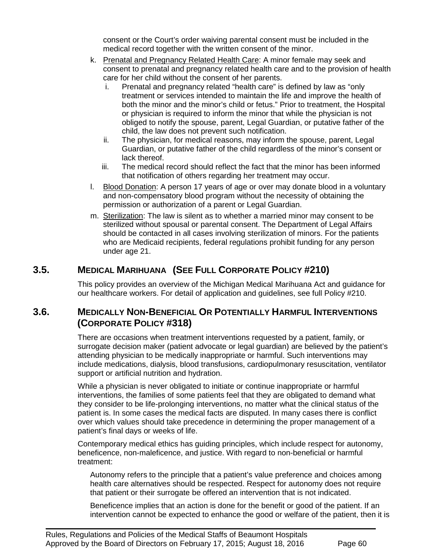consent or the Court's order waiving parental consent must be included in the medical record together with the written consent of the minor.

- k. Prenatal and Pregnancy Related Health Care: A minor female may seek and consent to prenatal and pregnancy related health care and to the provision of health care for her child without the consent of her parents.
	- i. Prenatal and pregnancy related "health care" is defined by law as "only treatment or services intended to maintain the life and improve the health of both the minor and the minor's child or fetus." Prior to treatment, the Hospital or physician is required to inform the minor that while the physician is not obliged to notify the spouse, parent, Legal Guardian, or putative father of the child, the law does not prevent such notification.
	- ii. The physician, for medical reasons, may inform the spouse, parent, Legal Guardian, or putative father of the child regardless of the minor's consent or lack thereof.
	- iii. The medical record should reflect the fact that the minor has been informed that notification of others regarding her treatment may occur.
- l. Blood Donation: A person 17 years of age or over may donate blood in a voluntary and non-compensatory blood program without the necessity of obtaining the permission or authorization of a parent or Legal Guardian.
- m. Sterilization: The law is silent as to whether a married minor may consent to be sterilized without spousal or parental consent. The Department of Legal Affairs should be contacted in all cases involving sterilization of minors. For the patients who are Medicaid recipients, federal regulations prohibit funding for any person under age 21.

# **3.5. MEDICAL MARIHUANA (SEE FULL CORPORATE POLICY #210)**

This policy provides an overview of the Michigan Medical Marihuana Act and guidance for our healthcare workers. For detail of application and guidelines, see full Policy #210.

# **3.6. MEDICALLY NON-BENEFICIAL OR POTENTIALLY HARMFUL INTERVENTIONS (CORPORATE POLICY #318)**

There are occasions when treatment interventions requested by a patient, family, or surrogate decision maker (patient advocate or legal guardian) are believed by the patient's attending physician to be medically inappropriate or harmful. Such interventions may include medications, dialysis, blood transfusions, cardiopulmonary resuscitation, ventilator support or artificial nutrition and hydration.

While a physician is never obligated to initiate or continue inappropriate or harmful interventions, the families of some patients feel that they are obligated to demand what they consider to be life-prolonging interventions, no matter what the clinical status of the patient is. In some cases the medical facts are disputed. In many cases there is conflict over which values should take precedence in determining the proper management of a patient's final days or weeks of life.

Contemporary medical ethics has guiding principles, which include respect for autonomy, beneficence, non-maleficence, and justice. With regard to non-beneficial or harmful treatment:

Autonomy refers to the principle that a patient's value preference and choices among health care alternatives should be respected. Respect for autonomy does not require that patient or their surrogate be offered an intervention that is not indicated.

Beneficence implies that an action is done for the benefit or good of the patient. If an intervention cannot be expected to enhance the good or welfare of the patient, then it is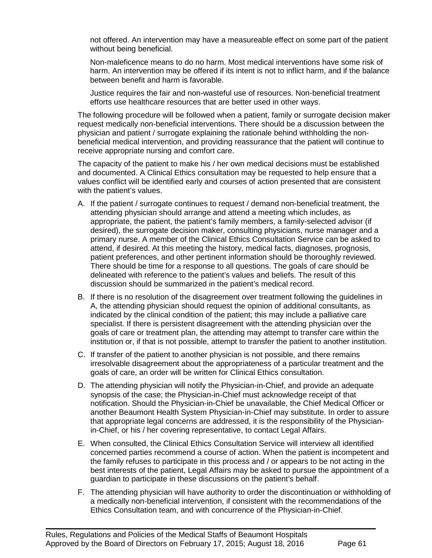not offered. An intervention may have a measureable effect on some part of the patient without being beneficial.

Non-maleficence means to do no harm. Most medical interventions have some risk of harm. An intervention may be offered if its intent is not to inflict harm, and if the balance between benefit and harm is favorable.

Justice requires the fair and non-wasteful use of resources. Non-beneficial treatment efforts use healthcare resources that are better used in other ways.

The following procedure will be followed when a patient, family or surrogate decision maker request medically non-beneficial interventions. There should be a discussion between the physician and patient / surrogate explaining the rationale behind withholding the nonbeneficial medical intervention, and providing reassurance that the patient will continue to receive appropriate nursing and comfort care.

The capacity of the patient to make his / her own medical decisions must be established and documented. A Clinical Ethics consultation may be requested to help ensure that a values conflict will be identified early and courses of action presented that are consistent with the patient's values.

- A. If the patient / surrogate continues to request / demand non-beneficial treatment, the attending physician should arrange and attend a meeting which includes, as appropriate, the patient, the patient's family members, a family-selected advisor (if desired), the surrogate decision maker, consulting physicians, nurse manager and a primary nurse. A member of the Clinical Ethics Consultation Service can be asked to attend, if desired. At this meeting the history, medical facts, diagnoses, prognosis, patient preferences, and other pertinent information should be thoroughly reviewed. There should be time for a response to all questions. The goals of care should be delineated with reference to the patient's values and beliefs. The result of this discussion should be summarized in the patient's medical record.
- B. If there is no resolution of the disagreement over treatment following the guidelines in A, the attending physician should request the opinion of additional consultants, as indicated by the clinical condition of the patient; this may include a palliative care specialist. If there is persistent disagreement with the attending physician over the goals of care or treatment plan, the attending may attempt to transfer care within the institution or, if that is not possible, attempt to transfer the patient to another institution.
- C. If transfer of the patient to another physician is not possible, and there remains irresolvable disagreement about the appropriateness of a particular treatment and the goals of care, an order will be written for Clinical Ethics consultation.
- D. The attending physician will notify the Physician-in-Chief, and provide an adequate synopsis of the case; the Physician-in-Chief must acknowledge receipt of that notification. Should the Physician-in-Chief be unavailable, the Chief Medical Officer or another Beaumont Health System Physician-in-Chief may substitute. In order to assure that appropriate legal concerns are addressed, it is the responsibility of the Physicianin-Chief, or his / her covering representative, to contact Legal Affairs.
- E. When consulted, the Clinical Ethics Consultation Service will interview all identified concerned parties recommend a course of action. When the patient is incompetent and the family refuses to participate in this process and / or appears to be not acting in the best interests of the patient, Legal Affairs may be asked to pursue the appointment of a guardian to participate in these discussions on the patient's behalf.
- F. The attending physician will have authority to order the discontinuation or withholding of a medically non-beneficial intervention, if consistent with the recommendations of the Ethics Consultation team, and with concurrence of the Physician-in-Chief.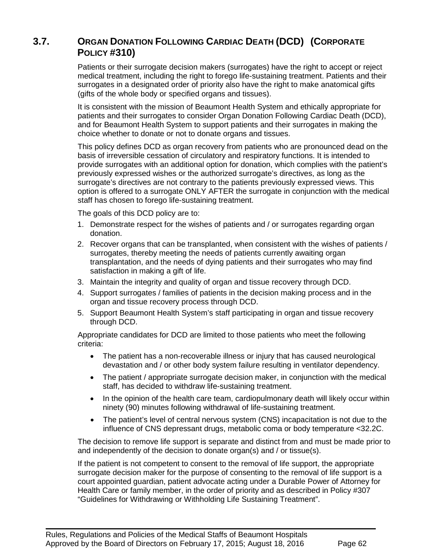# **3.7. ORGAN DONATION FOLLOWING CARDIAC DEATH (DCD) (CORPORATE POLICY #310)**

Patients or their surrogate decision makers (surrogates) have the right to accept or reject medical treatment, including the right to forego life-sustaining treatment. Patients and their surrogates in a designated order of priority also have the right to make anatomical gifts (gifts of the whole body or specified organs and tissues).

It is consistent with the mission of Beaumont Health System and ethically appropriate for patients and their surrogates to consider Organ Donation Following Cardiac Death (DCD), and for Beaumont Health System to support patients and their surrogates in making the choice whether to donate or not to donate organs and tissues.

This policy defines DCD as organ recovery from patients who are pronounced dead on the basis of irreversible cessation of circulatory and respiratory functions. It is intended to provide surrogates with an additional option for donation, which complies with the patient's previously expressed wishes or the authorized surrogate's directives, as long as the surrogate's directives are not contrary to the patients previously expressed views. This option is offered to a surrogate ONLY AFTER the surrogate in conjunction with the medical staff has chosen to forego life-sustaining treatment.

The goals of this DCD policy are to:

- 1. Demonstrate respect for the wishes of patients and / or surrogates regarding organ donation.
- 2. Recover organs that can be transplanted, when consistent with the wishes of patients / surrogates, thereby meeting the needs of patients currently awaiting organ transplantation, and the needs of dying patients and their surrogates who may find satisfaction in making a gift of life.
- 3. Maintain the integrity and quality of organ and tissue recovery through DCD.
- 4. Support surrogates / families of patients in the decision making process and in the organ and tissue recovery process through DCD.
- 5. Support Beaumont Health System's staff participating in organ and tissue recovery through DCD.

Appropriate candidates for DCD are limited to those patients who meet the following criteria:

- The patient has a non-recoverable illness or injury that has caused neurological devastation and / or other body system failure resulting in ventilator dependency.
- The patient / appropriate surrogate decision maker, in conjunction with the medical staff, has decided to withdraw life-sustaining treatment.
- In the opinion of the health care team, cardiopulmonary death will likely occur within ninety (90) minutes following withdrawal of life-sustaining treatment.
- The patient's level of central nervous system (CNS) incapacitation is not due to the influence of CNS depressant drugs, metabolic coma or body temperature <32.2C.

The decision to remove life support is separate and distinct from and must be made prior to and independently of the decision to donate organ(s) and / or tissue(s).

If the patient is not competent to consent to the removal of life support, the appropriate surrogate decision maker for the purpose of consenting to the removal of life support is a court appointed guardian, patient advocate acting under a Durable Power of Attorney for Health Care or family member, in the order of priority and as described in Policy #307 "Guidelines for Withdrawing or Withholding Life Sustaining Treatment".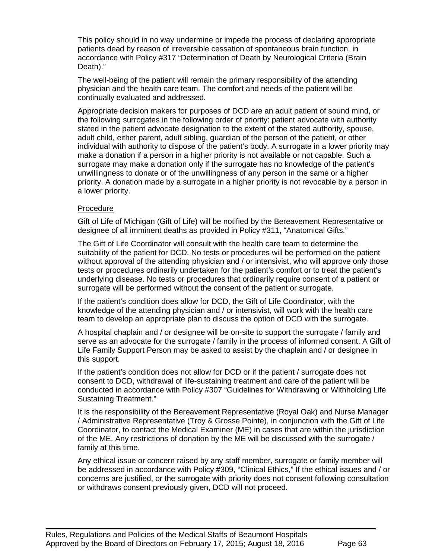This policy should in no way undermine or impede the process of declaring appropriate patients dead by reason of irreversible cessation of spontaneous brain function, in accordance with Policy #317 "Determination of Death by Neurological Criteria (Brain Death)."

The well-being of the patient will remain the primary responsibility of the attending physician and the health care team. The comfort and needs of the patient will be continually evaluated and addressed.

Appropriate decision makers for purposes of DCD are an adult patient of sound mind, or the following surrogates in the following order of priority: patient advocate with authority stated in the patient advocate designation to the extent of the stated authority, spouse, adult child, either parent, adult sibling, guardian of the person of the patient, or other individual with authority to dispose of the patient's body. A surrogate in a lower priority may make a donation if a person in a higher priority is not available or not capable. Such a surrogate may make a donation only if the surrogate has no knowledge of the patient's unwillingness to donate or of the unwillingness of any person in the same or a higher priority. A donation made by a surrogate in a higher priority is not revocable by a person in a lower priority.

#### Procedure

Gift of Life of Michigan (Gift of Life) will be notified by the Bereavement Representative or designee of all imminent deaths as provided in Policy #311, "Anatomical Gifts."

The Gift of Life Coordinator will consult with the health care team to determine the suitability of the patient for DCD. No tests or procedures will be performed on the patient without approval of the attending physician and / or intensivist, who will approve only those tests or procedures ordinarily undertaken for the patient's comfort or to treat the patient's underlying disease. No tests or procedures that ordinarily require consent of a patient or surrogate will be performed without the consent of the patient or surrogate.

If the patient's condition does allow for DCD, the Gift of Life Coordinator, with the knowledge of the attending physician and / or intensivist, will work with the health care team to develop an appropriate plan to discuss the option of DCD with the surrogate.

A hospital chaplain and / or designee will be on-site to support the surrogate / family and serve as an advocate for the surrogate / family in the process of informed consent. A Gift of Life Family Support Person may be asked to assist by the chaplain and / or designee in this support.

If the patient's condition does not allow for DCD or if the patient / surrogate does not consent to DCD, withdrawal of life-sustaining treatment and care of the patient will be conducted in accordance with Policy #307 "Guidelines for Withdrawing or Withholding Life Sustaining Treatment."

It is the responsibility of the Bereavement Representative (Royal Oak) and Nurse Manager / Administrative Representative (Troy & Grosse Pointe), in conjunction with the Gift of Life Coordinator, to contact the Medical Examiner (ME) in cases that are within the jurisdiction of the ME. Any restrictions of donation by the ME will be discussed with the surrogate / family at this time.

Any ethical issue or concern raised by any staff member, surrogate or family member will be addressed in accordance with Policy #309, "Clinical Ethics," If the ethical issues and / or concerns are justified, or the surrogate with priority does not consent following consultation or withdraws consent previously given, DCD will not proceed.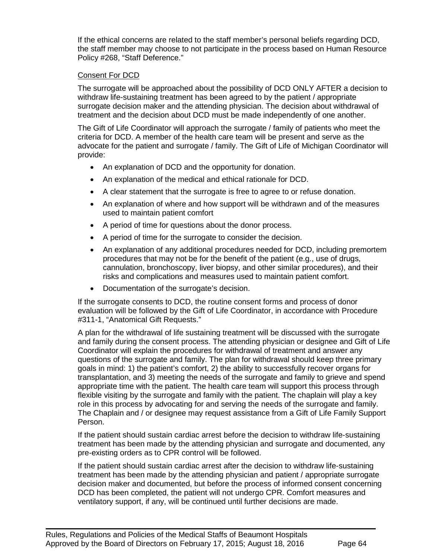If the ethical concerns are related to the staff member's personal beliefs regarding DCD, the staff member may choose to not participate in the process based on Human Resource Policy #268, "Staff Deference."

### Consent For DCD

The surrogate will be approached about the possibility of DCD ONLY AFTER a decision to withdraw life-sustaining treatment has been agreed to by the patient / appropriate surrogate decision maker and the attending physician. The decision about withdrawal of treatment and the decision about DCD must be made independently of one another.

The Gift of Life Coordinator will approach the surrogate / family of patients who meet the criteria for DCD. A member of the health care team will be present and serve as the advocate for the patient and surrogate / family. The Gift of Life of Michigan Coordinator will provide:

- An explanation of DCD and the opportunity for donation.
- An explanation of the medical and ethical rationale for DCD.
- A clear statement that the surrogate is free to agree to or refuse donation.
- An explanation of where and how support will be withdrawn and of the measures used to maintain patient comfort
- A period of time for questions about the donor process.
- A period of time for the surrogate to consider the decision.
- An explanation of any additional procedures needed for DCD, including premortem procedures that may not be for the benefit of the patient (e.g., use of drugs, cannulation, bronchoscopy, liver biopsy, and other similar procedures), and their risks and complications and measures used to maintain patient comfort.
- Documentation of the surrogate's decision.

If the surrogate consents to DCD, the routine consent forms and process of donor evaluation will be followed by the Gift of Life Coordinator, in accordance with Procedure #311-1, "Anatomical Gift Requests."

A plan for the withdrawal of life sustaining treatment will be discussed with the surrogate and family during the consent process. The attending physician or designee and Gift of Life Coordinator will explain the procedures for withdrawal of treatment and answer any questions of the surrogate and family. The plan for withdrawal should keep three primary goals in mind: 1) the patient's comfort, 2) the ability to successfully recover organs for transplantation, and 3) meeting the needs of the surrogate and family to grieve and spend appropriate time with the patient. The health care team will support this process through flexible visiting by the surrogate and family with the patient. The chaplain will play a key role in this process by advocating for and serving the needs of the surrogate and family. The Chaplain and / or designee may request assistance from a Gift of Life Family Support Person.

If the patient should sustain cardiac arrest before the decision to withdraw life-sustaining treatment has been made by the attending physician and surrogate and documented, any pre-existing orders as to CPR control will be followed.

If the patient should sustain cardiac arrest after the decision to withdraw life-sustaining treatment has been made by the attending physician and patient / appropriate surrogate decision maker and documented, but before the process of informed consent concerning DCD has been completed, the patient will not undergo CPR. Comfort measures and ventilatory support, if any, will be continued until further decisions are made.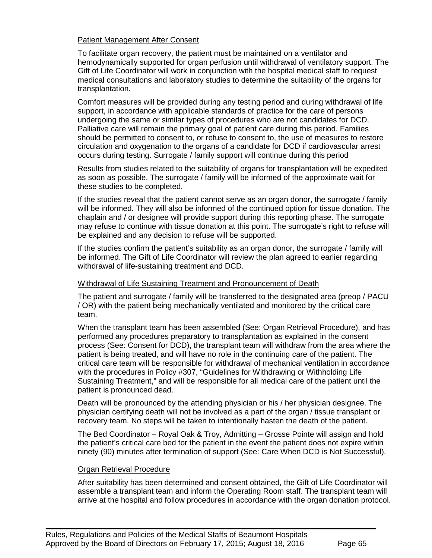#### Patient Management After Consent

To facilitate organ recovery, the patient must be maintained on a ventilator and hemodynamically supported for organ perfusion until withdrawal of ventilatory support. The Gift of Life Coordinator will work in conjunction with the hospital medical staff to request medical consultations and laboratory studies to determine the suitability of the organs for transplantation.

Comfort measures will be provided during any testing period and during withdrawal of life support, in accordance with applicable standards of practice for the care of persons undergoing the same or similar types of procedures who are not candidates for DCD. Palliative care will remain the primary goal of patient care during this period. Families should be permitted to consent to, or refuse to consent to, the use of measures to restore circulation and oxygenation to the organs of a candidate for DCD if cardiovascular arrest occurs during testing. Surrogate / family support will continue during this period

Results from studies related to the suitability of organs for transplantation will be expedited as soon as possible. The surrogate / family will be informed of the approximate wait for these studies to be completed.

If the studies reveal that the patient cannot serve as an organ donor, the surrogate / family will be informed. They will also be informed of the continued option for tissue donation. The chaplain and / or designee will provide support during this reporting phase. The surrogate may refuse to continue with tissue donation at this point. The surrogate's right to refuse will be explained and any decision to refuse will be supported.

If the studies confirm the patient's suitability as an organ donor, the surrogate / family will be informed. The Gift of Life Coordinator will review the plan agreed to earlier regarding withdrawal of life-sustaining treatment and DCD.

#### Withdrawal of Life Sustaining Treatment and Pronouncement of Death

The patient and surrogate / family will be transferred to the designated area (preop / PACU / OR) with the patient being mechanically ventilated and monitored by the critical care team.

When the transplant team has been assembled (See: Organ Retrieval Procedure), and has performed any procedures preparatory to transplantation as explained in the consent process (See: Consent for DCD), the transplant team will withdraw from the area where the patient is being treated, and will have no role in the continuing care of the patient. The critical care team will be responsible for withdrawal of mechanical ventilation in accordance with the procedures in Policy #307, "Guidelines for Withdrawing or Withholding Life Sustaining Treatment," and will be responsible for all medical care of the patient until the patient is pronounced dead.

Death will be pronounced by the attending physician or his / her physician designee. The physician certifying death will not be involved as a part of the organ / tissue transplant or recovery team. No steps will be taken to intentionally hasten the death of the patient.

The Bed Coordinator – Royal Oak & Troy, Admitting – Grosse Pointe will assign and hold the patient's critical care bed for the patient in the event the patient does not expire within ninety (90) minutes after termination of support (See: Care When DCD is Not Successful).

#### Organ Retrieval Procedure

After suitability has been determined and consent obtained, the Gift of Life Coordinator will assemble a transplant team and inform the Operating Room staff. The transplant team will arrive at the hospital and follow procedures in accordance with the organ donation protocol.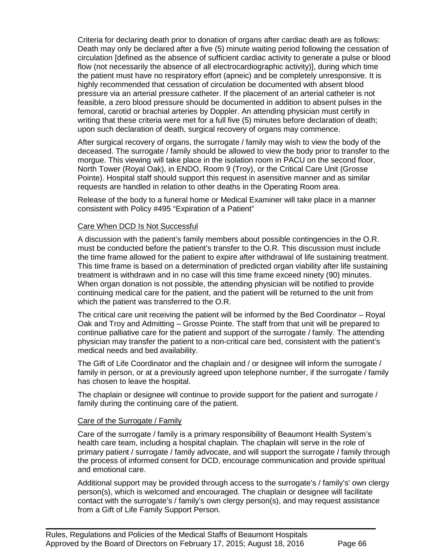Criteria for declaring death prior to donation of organs after cardiac death are as follows: Death may only be declared after a five (5) minute waiting period following the cessation of circulation [defined as the absence of sufficient cardiac activity to generate a pulse or blood flow (not necessarily the absence of all electrocardiographic activity)], during which time the patient must have no respiratory effort (apneic) and be completely unresponsive. It is highly recommended that cessation of circulation be documented with absent blood pressure via an arterial pressure catheter. If the placement of an arterial catheter is not feasible, a zero blood pressure should be documented in addition to absent pulses in the femoral, carotid or brachial arteries by Doppler. An attending physician must certify in writing that these criteria were met for a full five (5) minutes before declaration of death; upon such declaration of death, surgical recovery of organs may commence.

After surgical recovery of organs, the surrogate / family may wish to view the body of the deceased. The surrogate / family should be allowed to view the body prior to transfer to the morgue. This viewing will take place in the isolation room in PACU on the second floor, North Tower (Royal Oak), in ENDO, Room 9 (Troy), or the Critical Care Unit (Grosse Pointe). Hospital staff should support this request in asensitive manner and as similar requests are handled in relation to other deaths in the Operating Room area.

Release of the body to a funeral home or Medical Examiner will take place in a manner consistent with Policy #495 "Expiration of a Patient"

#### Care When DCD Is Not Successful

A discussion with the patient's family members about possible contingencies in the O.R. must be conducted before the patient's transfer to the O.R. This discussion must include the time frame allowed for the patient to expire after withdrawal of life sustaining treatment. This time frame is based on a determination of predicted organ viability after life sustaining treatment is withdrawn and in no case will this time frame exceed ninety (90) minutes. When organ donation is not possible, the attending physician will be notified to provide continuing medical care for the patient, and the patient will be returned to the unit from which the patient was transferred to the O.R.

The critical care unit receiving the patient will be informed by the Bed Coordinator – Royal Oak and Troy and Admitting – Grosse Pointe. The staff from that unit will be prepared to continue palliative care for the patient and support of the surrogate / family. The attending physician may transfer the patient to a non-critical care bed, consistent with the patient's medical needs and bed availability.

The Gift of Life Coordinator and the chaplain and / or designee will inform the surrogate / family in person, or at a previously agreed upon telephone number, if the surrogate / family has chosen to leave the hospital.

The chaplain or designee will continue to provide support for the patient and surrogate / family during the continuing care of the patient.

#### Care of the Surrogate / Family

Care of the surrogate / family is a primary responsibility of Beaumont Health System's health care team, including a hospital chaplain. The chaplain will serve in the role of primary patient / surrogate / family advocate, and will support the surrogate / family through the process of informed consent for DCD, encourage communication and provide spiritual and emotional care.

Additional support may be provided through access to the surrogate's / family's' own clergy person(s), which is welcomed and encouraged. The chaplain or designee will facilitate contact with the surrogate's / family's own clergy person(s), and may request assistance from a Gift of Life Family Support Person.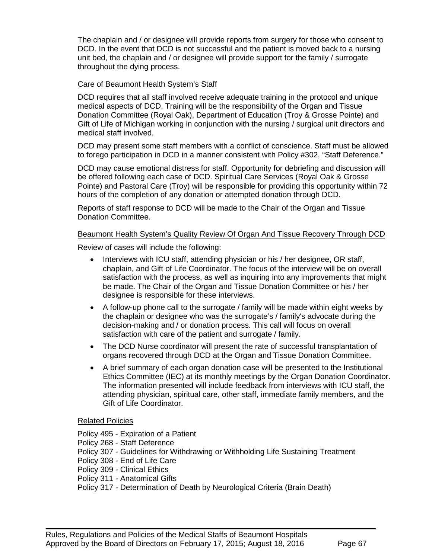The chaplain and / or designee will provide reports from surgery for those who consent to DCD. In the event that DCD is not successful and the patient is moved back to a nursing unit bed, the chaplain and / or designee will provide support for the family / surrogate throughout the dying process.

### Care of Beaumont Health System's Staff

DCD requires that all staff involved receive adequate training in the protocol and unique medical aspects of DCD. Training will be the responsibility of the Organ and Tissue Donation Committee (Royal Oak), Department of Education (Troy & Grosse Pointe) and Gift of Life of Michigan working in conjunction with the nursing / surgical unit directors and medical staff involved.

DCD may present some staff members with a conflict of conscience. Staff must be allowed to forego participation in DCD in a manner consistent with Policy #302, "Staff Deference."

DCD may cause emotional distress for staff. Opportunity for debriefing and discussion will be offered following each case of DCD. Spiritual Care Services (Royal Oak & Grosse Pointe) and Pastoral Care (Troy) will be responsible for providing this opportunity within 72 hours of the completion of any donation or attempted donation through DCD.

Reports of staff response to DCD will be made to the Chair of the Organ and Tissue Donation Committee.

#### Beaumont Health System's Quality Review Of Organ And Tissue Recovery Through DCD

Review of cases will include the following:

- Interviews with ICU staff, attending physician or his / her designee, OR staff, chaplain, and Gift of Life Coordinator. The focus of the interview will be on overall satisfaction with the process, as well as inquiring into any improvements that might be made. The Chair of the Organ and Tissue Donation Committee or his / her designee is responsible for these interviews.
- A follow-up phone call to the surrogate / family will be made within eight weeks by the chaplain or designee who was the surrogate's / family's advocate during the decision-making and / or donation process. This call will focus on overall satisfaction with care of the patient and surrogate / family.
- The DCD Nurse coordinator will present the rate of successful transplantation of organs recovered through DCD at the Organ and Tissue Donation Committee.
- A brief summary of each organ donation case will be presented to the Institutional Ethics Committee (IEC) at its monthly meetings by the Organ Donation Coordinator. The information presented will include feedback from interviews with ICU staff, the attending physician, spiritual care, other staff, immediate family members, and the Gift of Life Coordinator.

#### Related Policies

Policy 495 - Expiration of a Patient Policy 268 - Staff Deference Policy 307 - Guidelines for Withdrawing or Withholding Life Sustaining Treatment Policy 308 - End of Life Care Policy 309 - Clinical Ethics Policy 311 - Anatomical Gifts Policy 317 - Determination of Death by Neurological Criteria (Brain Death)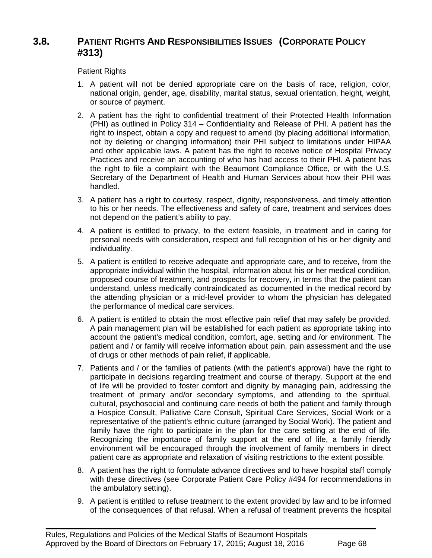# **3.8. PATIENT RIGHTS AND RESPONSIBILITIES ISSUES (CORPORATE POLICY #313)**

### Patient Rights

- 1. A patient will not be denied appropriate care on the basis of race, religion, color, national origin, gender, age, disability, marital status, sexual orientation, height, weight, or source of payment.
- 2. A patient has the right to confidential treatment of their Protected Health Information (PHI) as outlined in Policy 314 – Confidentiality and Release of PHI. A patient has the right to inspect, obtain a copy and request to amend (by placing additional information, not by deleting or changing information) their PHI subject to limitations under HIPAA and other applicable laws. A patient has the right to receive notice of Hospital Privacy Practices and receive an accounting of who has had access to their PHI. A patient has the right to file a complaint with the Beaumont Compliance Office, or with the U.S. Secretary of the Department of Health and Human Services about how their PHI was handled.
- 3. A patient has a right to courtesy, respect, dignity, responsiveness, and timely attention to his or her needs. The effectiveness and safety of care, treatment and services does not depend on the patient's ability to pay.
- 4. A patient is entitled to privacy, to the extent feasible, in treatment and in caring for personal needs with consideration, respect and full recognition of his or her dignity and individuality.
- 5. A patient is entitled to receive adequate and appropriate care, and to receive, from the appropriate individual within the hospital, information about his or her medical condition, proposed course of treatment, and prospects for recovery, in terms that the patient can understand, unless medically contraindicated as documented in the medical record by the attending physician or a mid-level provider to whom the physician has delegated the performance of medical care services.
- 6. A patient is entitled to obtain the most effective pain relief that may safely be provided. A pain management plan will be established for each patient as appropriate taking into account the patient's medical condition, comfort, age, setting and /or environment. The patient and / or family will receive information about pain, pain assessment and the use of drugs or other methods of pain relief, if applicable.
- 7. Patients and / or the families of patients (with the patient's approval) have the right to participate in decisions regarding treatment and course of therapy. Support at the end of life will be provided to foster comfort and dignity by managing pain, addressing the treatment of primary and/or secondary symptoms, and attending to the spiritual, cultural, psychosocial and continuing care needs of both the patient and family through a Hospice Consult, Palliative Care Consult, Spiritual Care Services, Social Work or a representative of the patient's ethnic culture (arranged by Social Work). The patient and family have the right to participate in the plan for the care setting at the end of life. Recognizing the importance of family support at the end of life, a family friendly environment will be encouraged through the involvement of family members in direct patient care as appropriate and relaxation of visiting restrictions to the extent possible.
- 8. A patient has the right to formulate advance directives and to have hospital staff comply with these directives (see Corporate Patient Care Policy #494 for recommendations in the ambulatory setting).
- 9. A patient is entitled to refuse treatment to the extent provided by law and to be informed of the consequences of that refusal. When a refusal of treatment prevents the hospital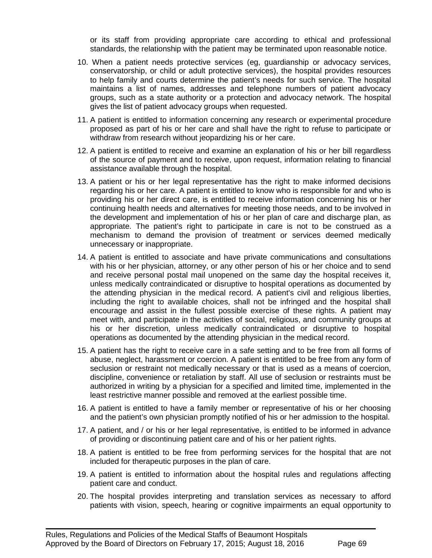or its staff from providing appropriate care according to ethical and professional standards, the relationship with the patient may be terminated upon reasonable notice.

- 10. When a patient needs protective services (eg, guardianship or advocacy services, conservatorship, or child or adult protective services), the hospital provides resources to help family and courts determine the patient's needs for such service. The hospital maintains a list of names, addresses and telephone numbers of patient advocacy groups, such as a state authority or a protection and advocacy network. The hospital gives the list of patient advocacy groups when requested.
- 11. A patient is entitled to information concerning any research or experimental procedure proposed as part of his or her care and shall have the right to refuse to participate or withdraw from research without jeopardizing his or her care.
- 12. A patient is entitled to receive and examine an explanation of his or her bill regardless of the source of payment and to receive, upon request, information relating to financial assistance available through the hospital.
- 13. A patient or his or her legal representative has the right to make informed decisions regarding his or her care. A patient is entitled to know who is responsible for and who is providing his or her direct care, is entitled to receive information concerning his or her continuing health needs and alternatives for meeting those needs, and to be involved in the development and implementation of his or her plan of care and discharge plan, as appropriate. The patient's right to participate in care is not to be construed as a mechanism to demand the provision of treatment or services deemed medically unnecessary or inappropriate.
- 14. A patient is entitled to associate and have private communications and consultations with his or her physician, attorney, or any other person of his or her choice and to send and receive personal postal mail unopened on the same day the hospital receives it, unless medically contraindicated or disruptive to hospital operations as documented by the attending physician in the medical record. A patient's civil and religious liberties, including the right to available choices, shall not be infringed and the hospital shall encourage and assist in the fullest possible exercise of these rights. A patient may meet with, and participate in the activities of social, religious, and community groups at his or her discretion, unless medically contraindicated or disruptive to hospital operations as documented by the attending physician in the medical record.
- 15. A patient has the right to receive care in a safe setting and to be free from all forms of abuse, neglect, harassment or coercion. A patient is entitled to be free from any form of seclusion or restraint not medically necessary or that is used as a means of coercion, discipline, convenience or retaliation by staff. All use of seclusion or restraints must be authorized in writing by a physician for a specified and limited time, implemented in the least restrictive manner possible and removed at the earliest possible time.
- 16. A patient is entitled to have a family member or representative of his or her choosing and the patient's own physician promptly notified of his or her admission to the hospital.
- 17. A patient, and / or his or her legal representative, is entitled to be informed in advance of providing or discontinuing patient care and of his or her patient rights.
- 18. A patient is entitled to be free from performing services for the hospital that are not included for therapeutic purposes in the plan of care.
- 19. A patient is entitled to information about the hospital rules and regulations affecting patient care and conduct.
- 20. The hospital provides interpreting and translation services as necessary to afford patients with vision, speech, hearing or cognitive impairments an equal opportunity to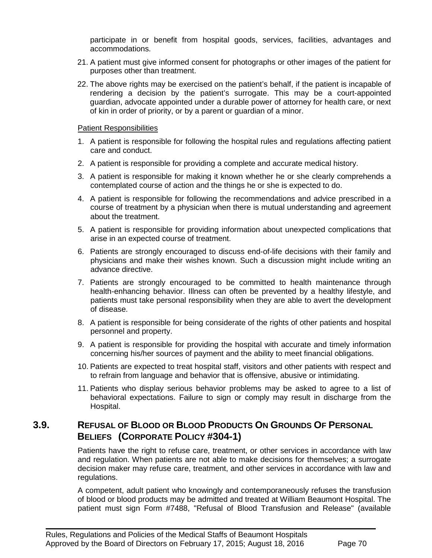participate in or benefit from hospital goods, services, facilities, advantages and accommodations.

- 21. A patient must give informed consent for photographs or other images of the patient for purposes other than treatment.
- 22. The above rights may be exercised on the patient's behalf, if the patient is incapable of rendering a decision by the patient's surrogate. This may be a court-appointed guardian, advocate appointed under a durable power of attorney for health care, or next of kin in order of priority, or by a parent or guardian of a minor.

#### Patient Responsibilities

- 1. A patient is responsible for following the hospital rules and regulations affecting patient care and conduct.
- 2. A patient is responsible for providing a complete and accurate medical history.
- 3. A patient is responsible for making it known whether he or she clearly comprehends a contemplated course of action and the things he or she is expected to do.
- 4. A patient is responsible for following the recommendations and advice prescribed in a course of treatment by a physician when there is mutual understanding and agreement about the treatment.
- 5. A patient is responsible for providing information about unexpected complications that arise in an expected course of treatment.
- 6. Patients are strongly encouraged to discuss end-of-life decisions with their family and physicians and make their wishes known. Such a discussion might include writing an advance directive.
- 7. Patients are strongly encouraged to be committed to health maintenance through health-enhancing behavior. Illness can often be prevented by a healthy lifestyle, and patients must take personal responsibility when they are able to avert the development of disease.
- 8. A patient is responsible for being considerate of the rights of other patients and hospital personnel and property.
- 9. A patient is responsible for providing the hospital with accurate and timely information concerning his/her sources of payment and the ability to meet financial obligations.
- 10. Patients are expected to treat hospital staff, visitors and other patients with respect and to refrain from language and behavior that is offensive, abusive or intimidating.
- 11. Patients who display serious behavior problems may be asked to agree to a list of behavioral expectations. Failure to sign or comply may result in discharge from the Hospital.

# **3.9. REFUSAL OF BLOOD OR BLOOD PRODUCTS ON GROUNDS OF PERSONAL BELIEFS (CORPORATE POLICY #304-1)**

 $\blacksquare$ 

Patients have the right to refuse care, treatment, or other services in accordance with law and regulation. When patients are not able to make decisions for themselves; a surrogate decision maker may refuse care, treatment, and other services in accordance with law and regulations.

A competent, adult patient who knowingly and contemporaneously refuses the transfusion of blood or blood products may be admitted and treated at William Beaumont Hospital. The patient must sign Form #7488, "Refusal of Blood Transfusion and Release" (available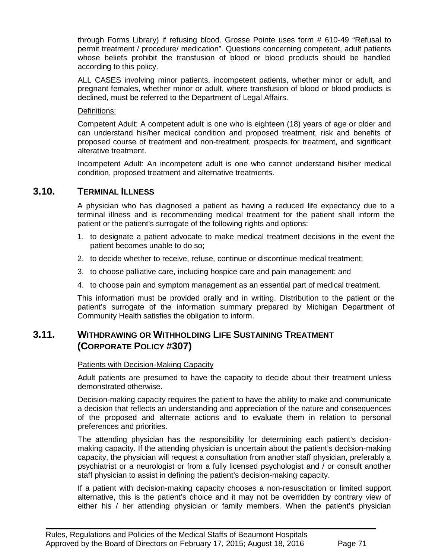through Forms Library) if refusing blood. Grosse Pointe uses form # 610-49 "Refusal to permit treatment / procedure/ medication". Questions concerning competent, adult patients whose beliefs prohibit the transfusion of blood or blood products should be handled according to this policy.

ALL CASES involving minor patients, incompetent patients, whether minor or adult, and pregnant females, whether minor or adult, where transfusion of blood or blood products is declined, must be referred to the Department of Legal Affairs.

#### Definitions:

Competent Adult: A competent adult is one who is eighteen (18) years of age or older and can understand his/her medical condition and proposed treatment, risk and benefits of proposed course of treatment and non-treatment, prospects for treatment, and significant alterative treatment.

Incompetent Adult: An incompetent adult is one who cannot understand his/her medical condition, proposed treatment and alternative treatments.

# **3.10. TERMINAL ILLNESS**

A physician who has diagnosed a patient as having a reduced life expectancy due to a terminal illness and is recommending medical treatment for the patient shall inform the patient or the patient's surrogate of the following rights and options:

- 1. to designate a patient advocate to make medical treatment decisions in the event the patient becomes unable to do so;
- 2. to decide whether to receive, refuse, continue or discontinue medical treatment;
- 3. to choose palliative care, including hospice care and pain management; and
- 4. to choose pain and symptom management as an essential part of medical treatment.

This information must be provided orally and in writing. Distribution to the patient or the patient's surrogate of the information summary prepared by Michigan Department of Community Health satisfies the obligation to inform.

# **3.11. WITHDRAWING OR WITHHOLDING LIFE SUSTAINING TREATMENT (CORPORATE POLICY #307)**

#### Patients with Decision-Making Capacity

Adult patients are presumed to have the capacity to decide about their treatment unless demonstrated otherwise.

Decision-making capacity requires the patient to have the ability to make and communicate a decision that reflects an understanding and appreciation of the nature and consequences of the proposed and alternate actions and to evaluate them in relation to personal preferences and priorities.

The attending physician has the responsibility for determining each patient's decisionmaking capacity. If the attending physician is uncertain about the patient's decision-making capacity, the physician will request a consultation from another staff physician, preferably a psychiatrist or a neurologist or from a fully licensed psychologist and / or consult another staff physician to assist in defining the patient's decision-making capacity.

If a patient with decision-making capacity chooses a non-resuscitation or limited support alternative, this is the patient's choice and it may not be overridden by contrary view of either his / her attending physician or family members. When the patient's physician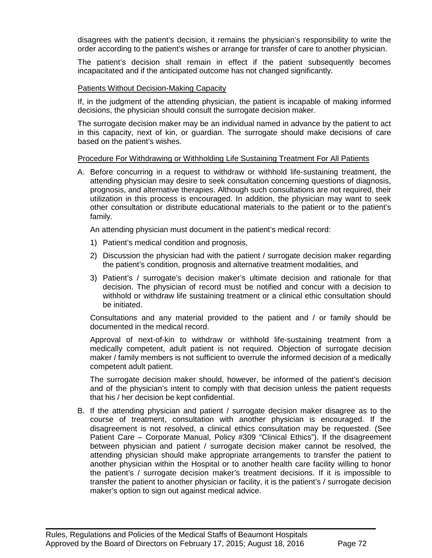disagrees with the patient's decision, it remains the physician's responsibility to write the order according to the patient's wishes or arrange for transfer of care to another physician.

The patient's decision shall remain in effect if the patient subsequently becomes incapacitated and if the anticipated outcome has not changed significantly.

#### Patients Without Decision-Making Capacity

If, in the judgment of the attending physician, the patient is incapable of making informed decisions, the physician should consult the surrogate decision maker.

The surrogate decision maker may be an individual named in advance by the patient to act in this capacity, next of kin, or guardian. The surrogate should make decisions of care based on the patient's wishes.

#### Procedure For Withdrawing or Withholding Life Sustaining Treatment For All Patients

A. Before concurring in a request to withdraw or withhold life-sustaining treatment, the attending physician may desire to seek consultation concerning questions of diagnosis, prognosis, and alternative therapies. Although such consultations are not required, their utilization in this process is encouraged. In addition, the physician may want to seek other consultation or distribute educational materials to the patient or to the patient's family.

An attending physician must document in the patient's medical record:

- 1) Patient's medical condition and prognosis,
- 2) Discussion the physician had with the patient / surrogate decision maker regarding the patient's condition, prognosis and alternative treatment modalities, and
- 3) Patient's / surrogate's decision maker's ultimate decision and rationale for that decision. The physician of record must be notified and concur with a decision to withhold or withdraw life sustaining treatment or a clinical ethic consultation should be initiated.

Consultations and any material provided to the patient and / or family should be documented in the medical record.

Approval of next-of-kin to withdraw or withhold life-sustaining treatment from a medically competent, adult patient is not required. Objection of surrogate decision maker / family members is not sufficient to overrule the informed decision of a medically competent adult patient.

The surrogate decision maker should, however, be informed of the patient's decision and of the physician's intent to comply with that decision unless the patient requests that his / her decision be kept confidential.

B. If the attending physician and patient / surrogate decision maker disagree as to the course of treatment, consultation with another physician is encouraged. If the disagreement is not resolved, a clinical ethics consultation may be requested. (See Patient Care – Corporate Manual, Policy #309 ["Clinical Ethics"](http://employee.beaumonthospitals.com/portal/pls/portal/docs/116851.PDF)). If the disagreement between physician and patient / surrogate decision maker cannot be resolved, the attending physician should make appropriate arrangements to transfer the patient to another physician within the Hospital or to another health care facility willing to honor the patient's / surrogate decision maker's treatment decisions. If it is impossible to transfer the patient to another physician or facility, it is the patient's / surrogate decision maker's option to sign out against medical advice.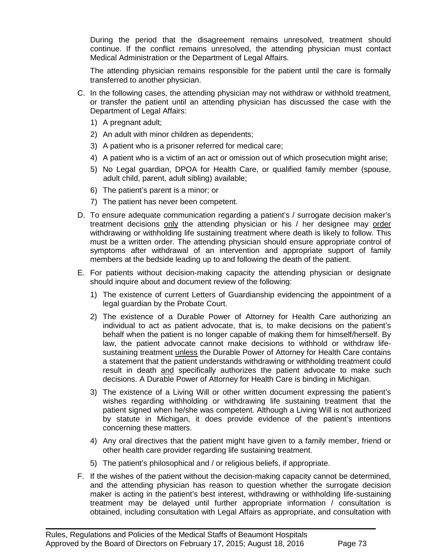During the period that the disagreement remains unresolved, treatment should continue. If the conflict remains unresolved, the attending physician must contact Medical Administration or the Department of Legal Affairs.

The attending physician remains responsible for the patient until the care is formally transferred to another physician.

- C. In the following cases, the attending physician may not withdraw or withhold treatment, or transfer the patient until an attending physician has discussed the case with the Department of Legal Affairs:
	- 1) A pregnant adult;
	- 2) An adult with minor children as dependents;
	- 3) A patient who is a prisoner referred for medical care;
	- 4) A patient who is a victim of an act or omission out of which prosecution might arise;
	- 5) No Legal guardian, DPOA for Health Care, or qualified family member (spouse, adult child, parent, adult sibling) available;
	- 6) The patient's parent is a minor; or
	- 7) The patient has never been competent.
- D. To ensure adequate communication regarding a patient's / surrogate decision maker's treatment decisions only the attending physician or his / her designee may order withdrawing or withholding life sustaining treatment where death is likely to follow. This must be a written order. The attending physician should ensure appropriate control of symptoms after withdrawal of an intervention and appropriate support of family members at the bedside leading up to and following the death of the patient.
- E. For patients without decision-making capacity the attending physician or designate should inquire about and document review of the following:
	- 1) The existence of current Letters of Guardianship evidencing the appointment of a legal guardian by the Probate Court.
	- 2) The existence of a Durable Power of Attorney for Health Care authorizing an individual to act as patient advocate, that is, to make decisions on the patient's behalf when the patient is no longer capable of making them for himself/herself. By law, the patient advocate cannot make decisions to withhold or withdraw lifesustaining treatment *unless* the Durable Power of Attorney for Health Care contains a statement that the patient understands withdrawing or withholding treatment could result in death and specifically authorizes the patient advocate to make such decisions. A Durable Power of Attorney for Health Care is binding in Michigan.
	- 3) The existence of a Living Will or other written document expressing the patient's wishes regarding withholding or withdrawing life sustaining treatment that the patient signed when he/she was competent. Although a Living Will is not authorized by statute in Michigan, it does provide evidence of the patient's intentions concerning these matters.
	- 4) Any oral directives that the patient might have given to a family member, friend or other health care provider regarding life sustaining treatment.
	- 5) The patient's philosophical and / or religious beliefs, if appropriate.

 $\blacksquare$ 

F. If the wishes of the patient without the decision-making capacity cannot be determined, and the attending physician has reason to question whether the surrogate decision maker is acting in the patient's best interest, withdrawing or withholding life-sustaining treatment may be delayed until further appropriate information / consultation is obtained, including consultation with Legal Affairs as appropriate, and consultation with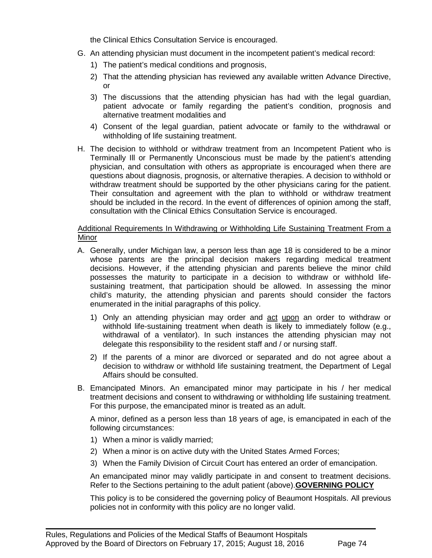the Clinical Ethics Consultation Service is encouraged.

- G. An attending physician must document in the incompetent patient's medical record:
	- 1) The patient's medical conditions and prognosis,
	- 2) That the attending physician has reviewed any available written Advance Directive, or
	- 3) The discussions that the attending physician has had with the legal guardian, patient advocate or family regarding the patient's condition, prognosis and alternative treatment modalities and
	- 4) Consent of the legal guardian, patient advocate or family to the withdrawal or withholding of life sustaining treatment.
- H. The decision to withhold or withdraw treatment from an Incompetent Patient who is Terminally Ill or Permanently Unconscious must be made by the patient's attending physician, and consultation with others as appropriate is encouraged when there are questions about diagnosis, prognosis, or alternative therapies. A decision to withhold or withdraw treatment should be supported by the other physicians caring for the patient. Their consultation and agreement with the plan to withhold or withdraw treatment should be included in the record. In the event of differences of opinion among the staff, consultation with the Clinical Ethics Consultation Service is encouraged.

#### Additional Requirements In Withdrawing or Withholding Life Sustaining Treatment From a Minor

- A. Generally, under Michigan law, a person less than age 18 is considered to be a minor whose parents are the principal decision makers regarding medical treatment decisions. However, if the attending physician and parents believe the minor child possesses the maturity to participate in a decision to withdraw or withhold lifesustaining treatment, that participation should be allowed. In assessing the minor child's maturity, the attending physician and parents should consider the factors enumerated in the initial paragraphs of this policy.
	- 1) Only an attending physician may order and act upon an order to withdraw or withhold life-sustaining treatment when death is likely to immediately follow (e.g., withdrawal of a ventilator). In such instances the attending physician may not delegate this responsibility to the resident staff and / or nursing staff.
	- 2) If the parents of a minor are divorced or separated and do not agree about a decision to withdraw or withhold life sustaining treatment, the Department of Legal Affairs should be consulted.
- B. Emancipated Minors. An emancipated minor may participate in his / her medical treatment decisions and consent to withdrawing or withholding life sustaining treatment. For this purpose, the emancipated minor is treated as an adult.

A minor, defined as a person less than 18 years of age, is emancipated in each of the following circumstances:

- 1) When a minor is validly married;
- 2) When a minor is on active duty with the United States Armed Forces;

 $\blacksquare$ 

3) When the Family Division of Circuit Court has entered an order of emancipation.

An emancipated minor may validly participate in and consent to treatment decisions. Refer to the Sections pertaining to the adult patient (above).**GOVERNING POLICY**

This policy is to be considered the governing policy of Beaumont Hospitals. All previous policies not in conformity with this policy are no longer valid.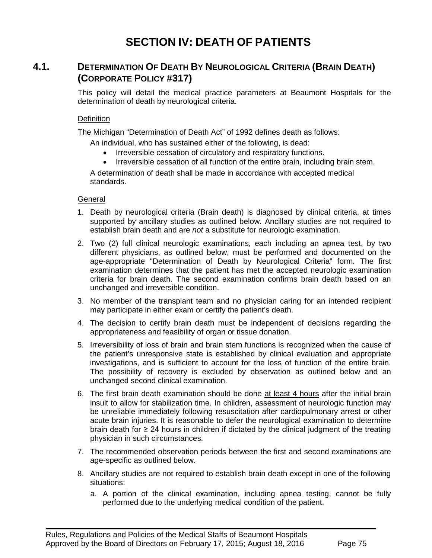# **SECTION IV: DEATH OF PATIENTS**

# **4.1. DETERMINATION OF DEATH BY NEUROLOGICAL CRITERIA (BRAIN DEATH) (CORPORATE POLICY #317)**

This policy will detail the medical practice parameters at Beaumont Hospitals for the determination of death by neurological criteria.

#### **Definition**

The Michigan "Determination of Death Act" of 1992 defines death as follows:

An individual, who has sustained either of the following, is dead:

- Irreversible cessation of circulatory and respiratory functions.
- Irreversible cessation of all function of the entire brain, including brain stem.

A determination of death shall be made in accordance with accepted medical standards.

#### **General**

- 1. Death by neurological criteria (Brain death) is diagnosed by clinical criteria, at times supported by ancillary studies as outlined below. Ancillary studies are not required to establish brain death and are *not* a substitute for neurologic examination.
- 2. Two (2) full clinical neurologic examinations, each including an apnea test, by two different physicians, as outlined below, must be performed and documented on the age-appropriate "Determination of Death by Neurological Criteria" form. The first examination determines that the patient has met the accepted neurologic examination criteria for brain death. The second examination confirms brain death based on an unchanged and irreversible condition.
- 3. No member of the transplant team and no physician caring for an intended recipient may participate in either exam or certify the patient's death.
- 4. The decision to certify brain death must be independent of decisions regarding the appropriateness and feasibility of organ or tissue donation.
- 5. Irreversibility of loss of brain and brain stem functions is recognized when the cause of the patient's unresponsive state is established by clinical evaluation and appropriate investigations, and is sufficient to account for the loss of function of the entire brain. The possibility of recovery is excluded by observation as outlined below and an unchanged second clinical examination.
- 6. The first brain death examination should be done at least 4 hours after the initial brain insult to allow for stabilization time. In children, assessment of neurologic function may be unreliable immediately following resuscitation after cardiopulmonary arrest or other acute brain injuries. It is reasonable to defer the neurological examination to determine brain death for  $\geq$  24 hours in children if dictated by the clinical judgment of the treating physician in such circumstances.
- 7. The recommended observation periods between the first and second examinations are age-specific as outlined below.
- 8. Ancillary studies are not required to establish brain death except in one of the following situations:
	- a. A portion of the clinical examination, including apnea testing, cannot be fully performed due to the underlying medical condition of the patient.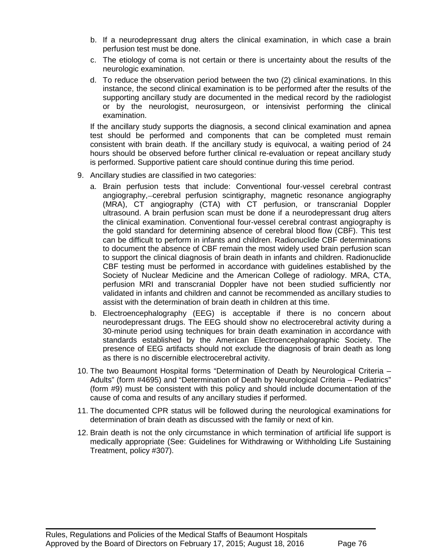- b. If a neurodepressant drug alters the clinical examination, in which case a brain perfusion test must be done.
- c. The etiology of coma is not certain or there is uncertainty about the results of the neurologic examination.
- d. To reduce the observation period between the two (2) clinical examinations. In this instance, the second clinical examination is to be performed after the results of the supporting ancillary study are documented in the medical record by the radiologist or by the neurologist, neurosurgeon, or intensivist performing the clinical examination.

If the ancillary study supports the diagnosis, a second clinical examination and apnea test should be performed and components that can be completed must remain consistent with brain death. If the ancillary study is equivocal, a waiting period of 24 hours should be observed before further clinical re-evaluation or repeat ancillary study is performed. Supportive patient care should continue during this time period.

- 9. Ancillary studies are classified in two categories:
	- a. Brain perfusion tests that include: Conventional four-vessel cerebral contrast angiography,—cerebral perfusion scintigraphy, magnetic resonance angiography (MRA), CT angiography (CTA) with CT perfusion, or transcranial Doppler ultrasound. A brain perfusion scan must be done if a neurodepressant drug alters the clinical examination. Conventional four-vessel cerebral contrast angiography is the gold standard for determining absence of cerebral blood flow (CBF). This test can be difficult to perform in infants and children. Radionuclide CBF determinations to document the absence of CBF remain the most widely used brain perfusion scan to support the clinical diagnosis of brain death in infants and children. Radionuclide CBF testing must be performed in accordance with guidelines established by the Society of Nuclear Medicine and the American College of radiology. MRA, CTA, perfusion MRI and transcranial Doppler have not been studied sufficiently nor validated in infants and children and cannot be recommended as ancillary studies to assist with the determination of brain death in children at this time.
	- b. Electroencephalography (EEG) is acceptable if there is no concern about neurodepressant drugs. The EEG should show no electrocerebral activity during a 30-minute period using techniques for brain death examination in accordance with standards established by the American Electroencephalographic Society. The presence of EEG artifacts should not exclude the diagnosis of brain death as long as there is no discernible electrocerebral activity.
- 10. The two Beaumont Hospital forms "Determination of Death by Neurological Criteria Adults" (form #4695) and "Determination of Death by Neurological Criteria – Pediatrics" (form #9) must be consistent with this policy and should include documentation of the cause of coma and results of any ancillary studies if performed.
- 11. The documented CPR status will be followed during the neurological examinations for determination of brain death as discussed with the family or next of kin.
- 12. Brain death is not the only circumstance in which termination of artificial life support is medically appropriate (See: Guidelines for Withdrawing or Withholding Life Sustaining Treatment, policy #307).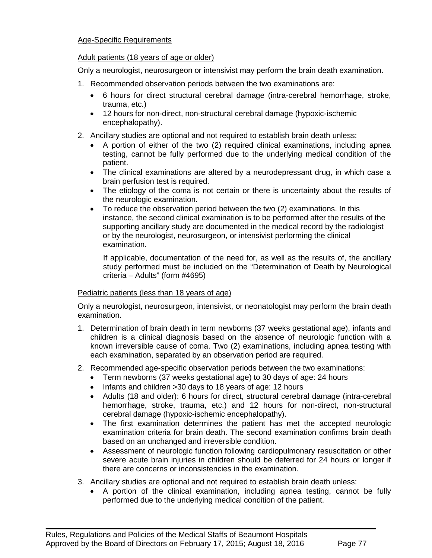## Age-Specific Requirements

### Adult patients (18 years of age or older)

Only a neurologist, neurosurgeon or intensivist may perform the brain death examination.

- 1. Recommended observation periods between the two examinations are:
	- 6 hours for direct structural cerebral damage (intra-cerebral hemorrhage, stroke, trauma, etc.)
	- 12 hours for non-direct, non-structural cerebral damage (hypoxic-ischemic encephalopathy).
- 2. Ancillary studies are optional and not required to establish brain death unless:
	- A portion of either of the two (2) required clinical examinations, including apnea testing, cannot be fully performed due to the underlying medical condition of the patient.
	- The clinical examinations are altered by a neurodepressant drug, in which case a brain perfusion test is required.
	- The etiology of the coma is not certain or there is uncertainty about the results of the neurologic examination.
	- To reduce the observation period between the two (2) examinations. In this instance, the second clinical examination is to be performed after the results of the supporting ancillary study are documented in the medical record by the radiologist or by the neurologist, neurosurgeon, or intensivist performing the clinical examination.

If applicable, documentation of the need for, as well as the results of, the ancillary study performed must be included on the "Determination of Death by Neurological criteria – Adults" (form #4695)

## Pediatric patients (less than 18 years of age)

Only a neurologist, neurosurgeon, intensivist, or neonatologist may perform the brain death examination.

- 1. Determination of brain death in term newborns (37 weeks gestational age), infants and children is a clinical diagnosis based on the absence of neurologic function with a known irreversible cause of coma. Two (2) examinations, including apnea testing with each examination, separated by an observation period are required.
- 2. Recommended age-specific observation periods between the two examinations:
	- Term newborns (37 weeks gestational age) to 30 days of age: 24 hours
	- Infants and children >30 days to 18 years of age: 12 hours
	- Adults (18 and older): 6 hours for direct, structural cerebral damage (intra-cerebral hemorrhage, stroke, trauma, etc.) and 12 hours for non-direct, non-structural cerebral damage (hypoxic-ischemic encephalopathy).
	- The first examination determines the patient has met the accepted neurologic examination criteria for brain death. The second examination confirms brain death based on an unchanged and irreversible condition.
	- Assessment of neurologic function following cardiopulmonary resuscitation or other severe acute brain injuries in children should be deferred for 24 hours or longer if there are concerns or inconsistencies in the examination.
- 3. Ancillary studies are optional and not required to establish brain death unless:

 $\blacksquare$ 

• A portion of the clinical examination, including apnea testing, cannot be fully performed due to the underlying medical condition of the patient.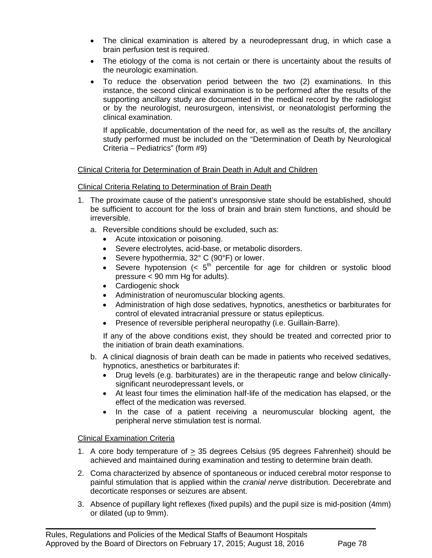- The clinical examination is altered by a neurodepressant drug, in which case a brain perfusion test is required.
- The etiology of the coma is not certain or there is uncertainty about the results of the neurologic examination.
- To reduce the observation period between the two (2) examinations. In this instance, the second clinical examination is to be performed after the results of the supporting ancillary study are documented in the medical record by the radiologist or by the neurologist, neurosurgeon, intensivist, or neonatologist performing the clinical examination.

If applicable, documentation of the need for, as well as the results of, the ancillary study performed must be included on the "Determination of Death by Neurological Criteria – Pediatrics" (form #9)

## Clinical Criteria for Determination of Brain Death in Adult and Children

## Clinical Criteria Relating to Determination of Brain Death

- 1. The proximate cause of the patient's unresponsive state should be established, should be sufficient to account for the loss of brain and brain stem functions, and should be irreversible.
	- a. Reversible conditions should be excluded, such as:
		- Acute intoxication or poisoning.
		- Severe electrolytes, acid-base, or metabolic disorders.
		- Severe hypothermia, 32° C (90°F) or lower.
		- Severe hypotension  $( $5^{th}$ )$  percentile for age for children or systolic blood pressure < 90 mm Hg for adults).
		- Cardiogenic shock
		- Administration of neuromuscular blocking agents.
		- Administration of high dose sedatives, hypnotics, anesthetics or barbiturates for control of elevated intracranial pressure or status epilepticus.
		- Presence of reversible peripheral neuropathy (i.e. Guillain-Barre).

If any of the above conditions exist, they should be treated and corrected prior to the initiation of brain death examinations.

- b. A clinical diagnosis of brain death can be made in patients who received sedatives, hypnotics, anesthetics or barbiturates if:
	- Drug levels (e.g. barbiturates) are in the therapeutic range and below clinicallysignificant neurodepressant levels, or
	- At least four times the elimination half-life of the medication has elapsed, or the effect of the medication was reversed.
	- In the case of a patient receiving a neuromuscular blocking agent, the peripheral nerve stimulation test is normal.

#### Clinical Examination Criteria

- 1. A core body temperature of > 35 degrees Celsius (95 degrees Fahrenheit) should be achieved and maintained during examination and testing to determine brain death.
- 2. Coma characterized by absence of spontaneous or induced cerebral motor response to painful stimulation that is applied within the *cranial nerve* distribution. Decerebrate and decorticate responses or seizures are absent.
- 3. Absence of pupillary light reflexes (fixed pupils) and the pupil size is mid-position (4mm) or dilated (up to 9mm).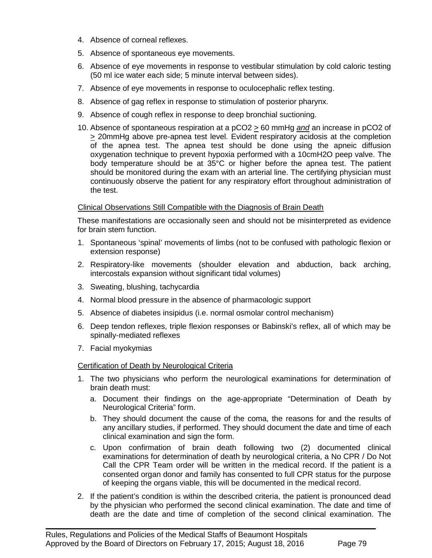- 4. Absence of corneal reflexes.
- 5. Absence of spontaneous eye movements.
- 6. Absence of eye movements in response to vestibular stimulation by cold caloric testing (50 ml ice water each side; 5 minute interval between sides).
- 7. Absence of eye movements in response to oculocephalic reflex testing.
- 8. Absence of gag reflex in response to stimulation of posterior pharynx.
- 9. Absence of cough reflex in response to deep bronchial suctioning.
- 10. Absence of spontaneous respiration at a pCO2 > 60 mmHg *and* an increase in pCO2 of > 20mmHg above pre-apnea test level. Evident respiratory acidosis at the completion of the apnea test. The apnea test should be done using the apneic diffusion oxygenation technique to prevent hypoxia performed with a 10cmH2O peep valve. The body temperature should be at 35°C or higher before the apnea test. The patient should be monitored during the exam with an arterial line. The certifying physician must continuously observe the patient for any respiratory effort throughout administration of the test.

## Clinical Observations Still Compatible with the Diagnosis of Brain Death

These manifestations are occasionally seen and should not be misinterpreted as evidence for brain stem function.

- 1. Spontaneous 'spinal' movements of limbs (not to be confused with pathologic flexion or extension response)
- 2. Respiratory-like movements (shoulder elevation and abduction, back arching, intercostals expansion without significant tidal volumes)
- 3. Sweating, blushing, tachycardia
- 4. Normal blood pressure in the absence of pharmacologic support
- 5. Absence of diabetes insipidus (i.e. normal osmolar control mechanism)
- 6. Deep tendon reflexes, triple flexion responses or Babinski's reflex, all of which may be spinally-mediated reflexes
- 7. Facial myokymias

## Certification of Death by Neurological Criteria

- 1. The two physicians who perform the neurological examinations for determination of brain death must:
	- a. Document their findings on the age-appropriate "Determination of Death by Neurological Criteria" form.
	- b. They should document the cause of the coma, the reasons for and the results of any ancillary studies, if performed. They should document the date and time of each clinical examination and sign the form.
	- c. Upon confirmation of brain death following two (2) documented clinical examinations for determination of death by neurological criteria, a No CPR / Do Not Call the CPR Team order will be written in the medical record. If the patient is a consented organ donor and family has consented to full CPR status for the purpose of keeping the organs viable, this will be documented in the medical record.
- 2. If the patient's condition is within the described criteria, the patient is pronounced dead by the physician who performed the second clinical examination. The date and time of death are the date and time of completion of the second clinical examination. The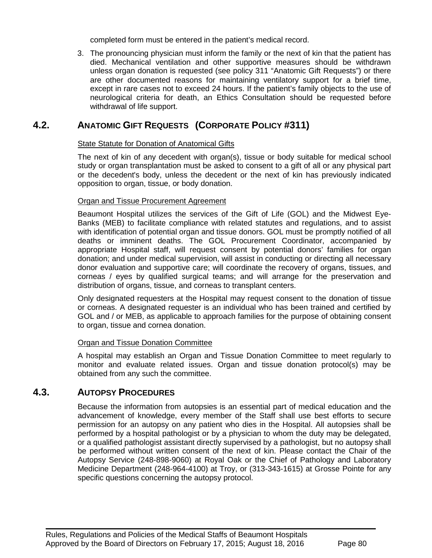completed form must be entered in the patient's medical record.

3. The pronouncing physician must inform the family or the next of kin that the patient has died. Mechanical ventilation and other supportive measures should be withdrawn unless organ donation is requested (see policy 311 "Anatomic Gift Requests") or there are other documented reasons for maintaining ventilatory support for a brief time, except in rare cases not to exceed 24 hours. If the patient's family objects to the use of neurological criteria for death, an Ethics Consultation should be requested before withdrawal of life support.

# **4.2. ANATOMIC GIFT REQUESTS (CORPORATE POLICY #311)**

## State Statute for Donation of Anatomical Gifts

The next of kin of any decedent with organ(s), tissue or body suitable for medical school study or organ transplantation must be asked to consent to a gift of all or any physical part or the decedent's body, unless the decedent or the next of kin has previously indicated opposition to organ, tissue, or body donation.

## Organ and Tissue Procurement Agreement

Beaumont Hospital utilizes the services of the Gift of Life (GOL) and the Midwest Eye-Banks (MEB) to facilitate compliance with related statutes and regulations, and to assist with identification of potential organ and tissue donors. GOL must be promptly notified of all deaths or imminent deaths. The GOL Procurement Coordinator, accompanied by appropriate Hospital staff, will request consent by potential donors' families for organ donation; and under medical supervision, will assist in conducting or directing all necessary donor evaluation and supportive care; will coordinate the recovery of organs, tissues, and corneas / eyes by qualified surgical teams; and will arrange for the preservation and distribution of organs, tissue, and corneas to transplant centers.

Only designated requesters at the Hospital may request consent to the donation of tissue or corneas. A designated requester is an individual who has been trained and certified by GOL and / or MEB, as applicable to approach families for the purpose of obtaining consent to organ, tissue and cornea donation.

#### Organ and Tissue Donation Committee

A hospital may establish an Organ and Tissue Donation Committee to meet regularly to monitor and evaluate related issues. Organ and tissue donation protocol(s) may be obtained from any such the committee.

# **4.3. AUTOPSY PROCEDURES**

Because the information from autopsies is an essential part of medical education and the advancement of knowledge, every member of the Staff shall use best efforts to secure permission for an autopsy on any patient who dies in the Hospital. All autopsies shall be performed by a hospital pathologist or by a physician to whom the duty may be delegated, or a qualified pathologist assistant directly supervised by a pathologist, but no autopsy shall be performed without written consent of the next of kin. Please contact the Chair of the Autopsy Service (248-898-9060) at Royal Oak or the Chief of Pathology and Laboratory Medicine Department (248-964-4100) at Troy, or (313-343-1615) at Grosse Pointe for any specific questions concerning the autopsy protocol.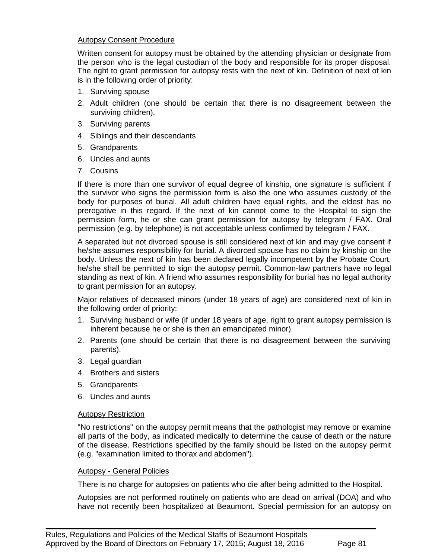#### Autopsy Consent Procedure

Written consent for autopsy must be obtained by the attending physician or designate from the person who is the legal custodian of the body and responsible for its proper disposal. The right to grant permission for autopsy rests with the next of kin. Definition of next of kin is in the following order of priority:

- 1. Surviving spouse
- 2. Adult children (one should be certain that there is no disagreement between the surviving children).
- 3. Surviving parents
- 4. Siblings and their descendants
- 5. Grandparents
- 6. Uncles and aunts
- 7. Cousins

If there is more than one survivor of equal degree of kinship, one signature is sufficient if the survivor who signs the permission form is also the one who assumes custody of the body for purposes of burial. All adult children have equal rights, and the eldest has no prerogative in this regard. If the next of kin cannot come to the Hospital to sign the permission form, he or she can grant permission for autopsy by telegram / FAX. Oral permission (e.g. by telephone) is not acceptable unless confirmed by telegram / FAX.

A separated but not divorced spouse is still considered next of kin and may give consent if he/she assumes responsibility for burial. A divorced spouse has no claim by kinship on the body. Unless the next of kin has been declared legally incompetent by the Probate Court, he/she shall be permitted to sign the autopsy permit. Common-law partners have no legal standing as next of kin. A friend who assumes responsibility for burial has no legal authority to grant permission for an autopsy.

Major relatives of deceased minors (under 18 years of age) are considered next of kin in the following order of priority:

- 1. Surviving husband or wife (if under 18 years of age, right to grant autopsy permission is inherent because he or she is then an emancipated minor).
- 2. Parents (one should be certain that there is no disagreement between the surviving parents).
- 3. Legal guardian
- 4. Brothers and sisters
- 5. Grandparents
- 6. Uncles and aunts

#### Autopsy Restriction

"No restrictions" on the autopsy permit means that the pathologist may remove or examine all parts of the body, as indicated medically to determine the cause of death or the nature of the disease. Restrictions specified by the family should be listed on the autopsy permit (e.g. "examination limited to thorax and abdomen").

#### Autopsy - General Policies

There is no charge for autopsies on patients who die after being admitted to the Hospital.

 $\blacksquare$ 

Autopsies are not performed routinely on patients who are dead on arrival (DOA) and who have not recently been hospitalized at Beaumont. Special permission for an autopsy on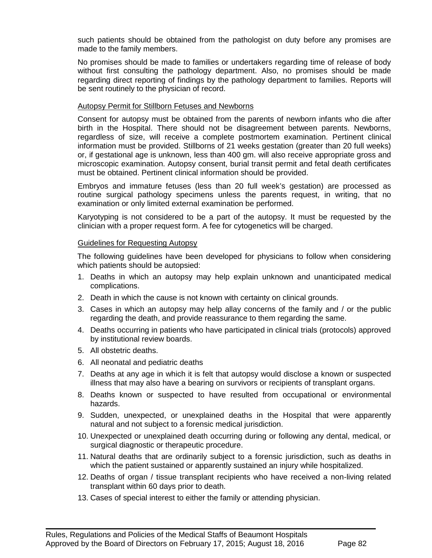such patients should be obtained from the pathologist on duty before any promises are made to the family members.

No promises should be made to families or undertakers regarding time of release of body without first consulting the pathology department. Also, no promises should be made regarding direct reporting of findings by the pathology department to families. Reports will be sent routinely to the physician of record.

#### Autopsy Permit for Stillborn Fetuses and Newborns

Consent for autopsy must be obtained from the parents of newborn infants who die after birth in the Hospital. There should not be disagreement between parents. Newborns, regardless of size, will receive a complete postmortem examination. Pertinent clinical information must be provided. Stillborns of 21 weeks gestation (greater than 20 full weeks) or, if gestational age is unknown, less than 400 gm. will also receive appropriate gross and microscopic examination. Autopsy consent, burial transit permit and fetal death certificates must be obtained. Pertinent clinical information should be provided.

Embryos and immature fetuses (less than 20 full week's gestation) are processed as routine surgical pathology specimens unless the parents request, in writing, that no examination or only limited external examination be performed.

Karyotyping is not considered to be a part of the autopsy. It must be requested by the clinician with a proper request form. A fee for cytogenetics will be charged.

#### Guidelines for Requesting Autopsy

The following guidelines have been developed for physicians to follow when considering which patients should be autopsied:

- 1. Deaths in which an autopsy may help explain unknown and unanticipated medical complications.
- 2. Death in which the cause is not known with certainty on clinical grounds.
- 3. Cases in which an autopsy may help allay concerns of the family and / or the public regarding the death, and provide reassurance to them regarding the same.
- 4. Deaths occurring in patients who have participated in clinical trials (protocols) approved by institutional review boards.
- 5. All obstetric deaths.
- 6. All neonatal and pediatric deaths
- 7. Deaths at any age in which it is felt that autopsy would disclose a known or suspected illness that may also have a bearing on survivors or recipients of transplant organs.
- 8. Deaths known or suspected to have resulted from occupational or environmental hazards.
- 9. Sudden, unexpected, or unexplained deaths in the Hospital that were apparently natural and not subject to a forensic medical jurisdiction.
- 10. Unexpected or unexplained death occurring during or following any dental, medical, or surgical diagnostic or therapeutic procedure.
- 11. Natural deaths that are ordinarily subject to a forensic jurisdiction, such as deaths in which the patient sustained or apparently sustained an injury while hospitalized.
- 12. Deaths of organ / tissue transplant recipients who have received a non-living related transplant within 60 days prior to death.
- 13. Cases of special interest to either the family or attending physician.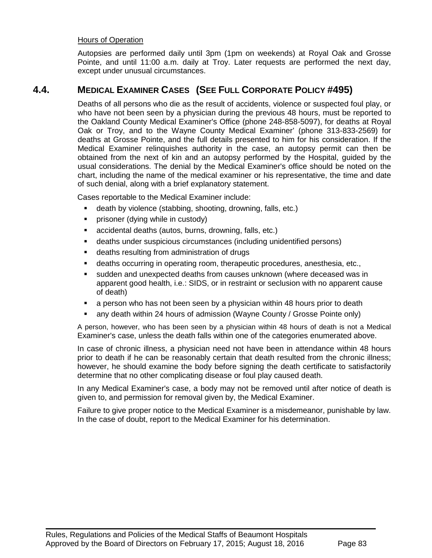### Hours of Operation

Autopsies are performed daily until 3pm (1pm on weekends) at Royal Oak and Grosse Pointe, and until 11:00 a.m. daily at Troy. Later requests are performed the next day, except under unusual circumstances.

# **4.4. MEDICAL EXAMINER CASES (SEE FULL CORPORATE POLICY #495)**

Deaths of all persons who die as the result of accidents, violence or suspected foul play, or who have not been seen by a physician during the previous 48 hours, must be reported to the Oakland County Medical Examiner's Office (phone 248-858-5097), for deaths at Royal Oak or Troy, and to the Wayne County Medical Examiner' (phone 313-833-2569) for deaths at Grosse Pointe, and the full details presented to him for his consideration. If the Medical Examiner relinquishes authority in the case, an autopsy permit can then be obtained from the next of kin and an autopsy performed by the Hospital, guided by the usual considerations. The denial by the Medical Examiner's office should be noted on the chart, including the name of the medical examiner or his representative, the time and date of such denial, along with a brief explanatory statement.

Cases reportable to the Medical Examiner include:

- death by violence (stabbing, shooting, drowning, falls, etc.)
- **•** prisoner (dying while in custody)
- accidental deaths (autos, burns, drowning, falls, etc.)
- deaths under suspicious circumstances (including unidentified persons)
- deaths resulting from administration of drugs
- deaths occurring in operating room, therapeutic procedures, anesthesia, etc.,
- sudden and unexpected deaths from causes unknown (where deceased was in apparent good health, i.e.: SIDS, or in restraint or seclusion with no apparent cause of death)
- a person who has not been seen by a physician within 48 hours prior to death
- any death within 24 hours of admission (Wayne County / Grosse Pointe only)

A person, however, who has been seen by a physician within 48 hours of death is not a Medical Examiner's case, unless the death falls within one of the categories enumerated above.

In case of chronic illness, a physician need not have been in attendance within 48 hours prior to death if he can be reasonably certain that death resulted from the chronic illness; however, he should examine the body before signing the death certificate to satisfactorily determine that no other complicating disease or foul play caused death.

In any Medical Examiner's case, a body may not be removed until after notice of death is given to, and permission for removal given by, the Medical Examiner.

Failure to give proper notice to the Medical Examiner is a misdemeanor, punishable by law. In the case of doubt, report to the Medical Examiner for his determination.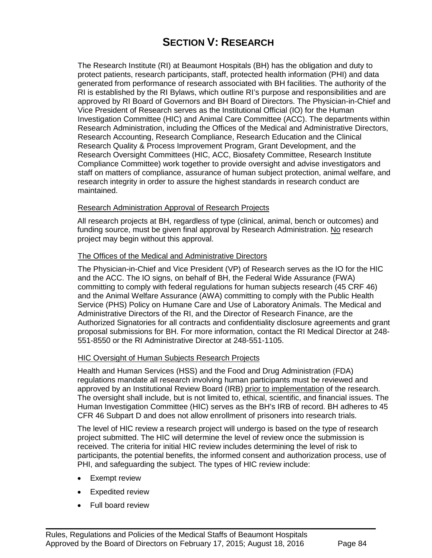# **SECTION V: RESEARCH**

The Research Institute (RI) at Beaumont Hospitals (BH) has the obligation and duty to protect patients, research participants, staff, protected health information (PHI) and data generated from performance of research associated with BH facilities. The authority of the RI is established by the RI Bylaws, which outline RI's purpose and responsibilities and are approved by RI Board of Governors and BH Board of Directors. The Physician-in-Chief and Vice President of Research serves as the Institutional Official (IO) for the Human Investigation Committee (HIC) and Animal Care Committee (ACC). The departments within Research Administration, including the Offices of the Medical and Administrative Directors, Research Accounting, Research Compliance, Research Education and the Clinical Research Quality & Process Improvement Program, Grant Development, and the Research Oversight Committees (HIC, ACC, Biosafety Committee, Research Institute Compliance Committee) work together to provide oversight and advise investigators and staff on matters of compliance, assurance of human subject protection, animal welfare, and research integrity in order to assure the highest standards in research conduct are maintained.

#### Research Administration Approval of Research Projects

All research projects at BH, regardless of type (clinical, animal, bench or outcomes) and funding source, must be given final approval by Research Administration. No research project may begin without this approval.

#### The Offices of the Medical and Administrative Directors

The Physician-in-Chief and Vice President (VP) of Research serves as the IO for the HIC and the ACC. The IO signs, on behalf of BH, the Federal Wide Assurance (FWA) committing to comply with federal regulations for human subjects research (45 CRF 46) and the Animal Welfare Assurance (AWA) committing to comply with the Public Health Service (PHS) Policy on Humane Care and Use of Laboratory Animals. The Medical and Administrative Directors of the RI, and the Director of Research Finance, are the Authorized Signatories for all contracts and confidentiality disclosure agreements and grant proposal submissions for BH. For more information, contact the RI Medical Director at 248- 551-8550 or the RI Administrative Director at 248-551-1105.

#### HIC Oversight of Human Subjects Research Projects

Health and Human Services (HSS) and the Food and Drug Administration (FDA) regulations mandate all research involving human participants must be reviewed and approved by an Institutional Review Board (IRB) prior to implementation of the research. The oversight shall include, but is not limited to, ethical, scientific, and financial issues. The Human Investigation Committee (HIC) serves as the BH's IRB of record. BH adheres to 45 CFR 46 Subpart D and does not allow enrollment of prisoners into research trials.

The level of HIC review a research project will undergo is based on the type of research project submitted. The HIC will determine the level of review once the submission is received. The criteria for initial HIC review includes determining the level of risk to participants, the potential benefits, the informed consent and authorization process, use of PHI, and safeguarding the subject. The types of HIC review include:

- Exempt review
- Expedited review
- Full board review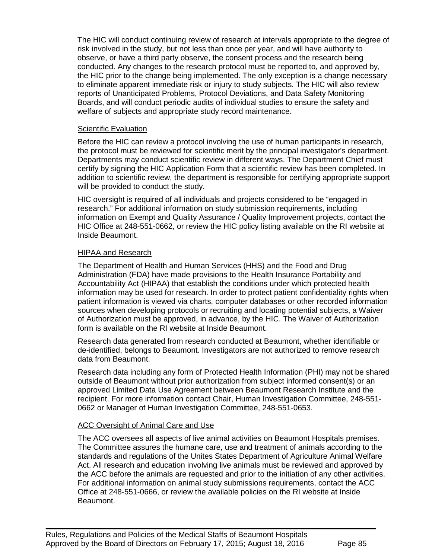The HIC will conduct continuing review of research at intervals appropriate to the degree of risk involved in the study, but not less than once per year, and will have authority to observe, or have a third party observe, the consent process and the research being conducted. Any changes to the research protocol must be reported to, and approved by, the HIC prior to the change being implemented. The only exception is a change necessary to eliminate apparent immediate risk or injury to study subjects. The HIC will also review reports of Unanticipated Problems, Protocol Deviations, and Data Safety Monitoring Boards, and will conduct periodic audits of individual studies to ensure the safety and welfare of subjects and appropriate study record maintenance.

#### Scientific Evaluation

Before the HIC can review a protocol involving the use of human participants in research, the protocol must be reviewed for scientific merit by the principal investigator's department. Departments may conduct scientific review in different ways. The Department Chief must certify by signing the HIC Application Form that a scientific review has been completed. In addition to scientific review, the department is responsible for certifying appropriate support will be provided to conduct the study.

HIC oversight is required of all individuals and projects considered to be "engaged in research." For additional information on study submission requirements, including information on Exempt and Quality Assurance / Quality Improvement projects, contact the HIC Office at 248-551-0662, or review the HIC policy listing available on the RI website at Inside Beaumont.

#### HIPAA and Research

The Department of Health and Human Services (HHS) and the Food and Drug Administration (FDA) have made provisions to the Health Insurance Portability and Accountability Act (HIPAA) that establish the conditions under which protected health information may be used for research. In order to protect patient confidentiality rights when patient information is viewed via charts, computer databases or other recorded information sources when developing protocols or recruiting and locating potential subjects, a Waiver of Authorization must be approved, in advance, by the HIC. The Waiver of Authorization form is available on the RI website at Inside Beaumont.

Research data generated from research conducted at Beaumont, whether identifiable or de-identified, belongs to Beaumont. Investigators are not authorized to remove research data from Beaumont.

Research data including any form of Protected Health Information (PHI) may not be shared outside of Beaumont without prior authorization from subject informed consent(s) or an approved Limited Data Use Agreement between Beaumont Research Institute and the recipient. For more information contact Chair, Human Investigation Committee, 248-551- 0662 or Manager of Human Investigation Committee, 248-551-0653.

#### ACC Oversight of Animal Care and Use

The ACC oversees all aspects of live animal activities on Beaumont Hospitals premises. The Committee assures the humane care, use and treatment of animals according to the standards and regulations of the Unites States Department of Agriculture Animal Welfare Act. All research and education involving live animals must be reviewed and approved by the ACC before the animals are requested and prior to the initiation of any other activities. For additional information on animal study submissions requirements, contact the ACC Office at 248-551-0666, or review the available policies on the RI website at Inside Beaumont.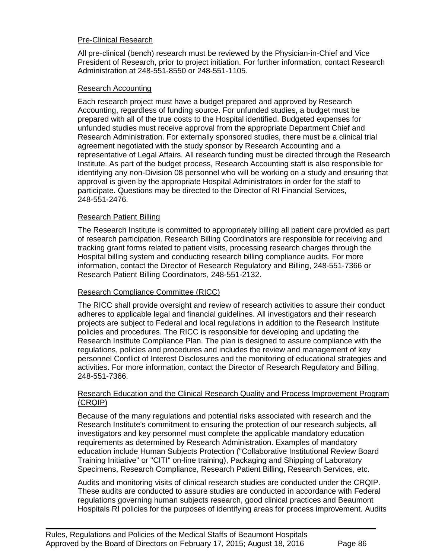### Pre-Clinical Research

All pre-clinical (bench) research must be reviewed by the Physician-in-Chief and Vice President of Research, prior to project initiation. For further information, contact Research Administration at 248-551-8550 or 248-551-1105.

#### Research Accounting

Each research project must have a budget prepared and approved by Research Accounting, regardless of funding source. For unfunded studies, a budget must be prepared with all of the true costs to the Hospital identified. Budgeted expenses for unfunded studies must receive approval from the appropriate Department Chief and Research Administration. For externally sponsored studies, there must be a clinical trial agreement negotiated with the study sponsor by Research Accounting and a representative of Legal Affairs. All research funding must be directed through the Research Institute. As part of the budget process, Research Accounting staff is also responsible for identifying any non-Division 08 personnel who will be working on a study and ensuring that approval is given by the appropriate Hospital Administrators in order for the staff to participate. Questions may be directed to the Director of RI Financial Services, 248-551-2476.

#### Research Patient Billing

The Research Institute is committed to appropriately billing all patient care provided as part of research participation. Research Billing Coordinators are responsible for receiving and tracking grant forms related to patient visits, processing research charges through the Hospital billing system and conducting research billing compliance audits. For more information, contact the Director of Research Regulatory and Billing, 248-551-7366 or Research Patient Billing Coordinators, 248-551-2132.

#### Research Compliance Committee (RICC)

The RICC shall provide oversight and review of research activities to assure their conduct adheres to applicable legal and financial guidelines. All investigators and their research projects are subject to Federal and local regulations in addition to the Research Institute policies and procedures. The RICC is responsible for developing and updating the Research Institute Compliance Plan. The plan is designed to assure compliance with the regulations, policies and procedures and includes the review and management of key personnel Conflict of Interest Disclosures and the monitoring of educational strategies and activities. For more information, contact the Director of Research Regulatory and Billing, 248-551-7366.

#### Research Education and the Clinical Research Quality and Process Improvement Program (CRQIP)

Because of the many regulations and potential risks associated with research and the Research Institute's commitment to ensuring the protection of our research subjects, all investigators and key personnel must complete the applicable mandatory education requirements as determined by Research Administration. Examples of mandatory education include Human Subjects Protection ("Collaborative Institutional Review Board Training Initiative" or "CITI" on-line training), Packaging and Shipping of Laboratory Specimens, Research Compliance, Research Patient Billing, Research Services, etc.

Audits and monitoring visits of clinical research studies are conducted under the CRQIP. These audits are conducted to assure studies are conducted in accordance with Federal regulations governing human subjects research, good clinical practices and Beaumont Hospitals RI policies for the purposes of identifying areas for process improvement. Audits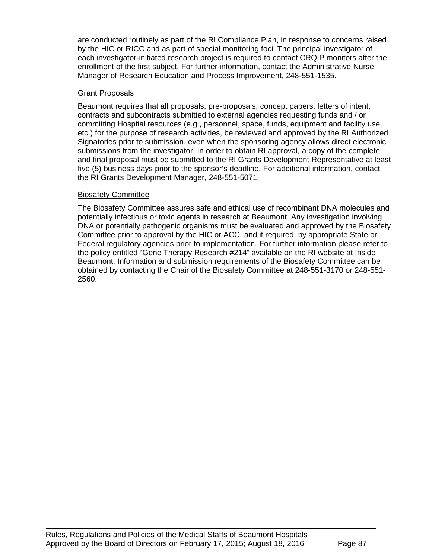are conducted routinely as part of the RI Compliance Plan, in response to concerns raised by the HIC or RICC and as part of special monitoring foci. The principal investigator of each investigator-initiated research project is required to contact CRQIP monitors after the enrollment of the first subject. For further information, contact the Administrative Nurse Manager of Research Education and Process Improvement, 248-551-1535.

### **Grant Proposals**

Beaumont requires that all proposals, pre-proposals, concept papers, letters of intent, contracts and subcontracts submitted to external agencies requesting funds and / or committing Hospital resources (e.g., personnel, space, funds, equipment and facility use, etc.) for the purpose of research activities, be reviewed and approved by the RI Authorized Signatories prior to submission, even when the sponsoring agency allows direct electronic submissions from the investigator. In order to obtain RI approval, a copy of the complete and final proposal must be submitted to the RI Grants Development Representative at least five (5) business days prior to the sponsor's deadline. For additional information, contact the RI Grants Development Manager, 248-551-5071.

## Biosafety Committee

The Biosafety Committee assures safe and ethical use of recombinant DNA molecules and potentially infectious or toxic agents in research at Beaumont. Any investigation involving DNA or potentially pathogenic organisms must be evaluated and approved by the Biosafety Committee prior to approval by the HIC or ACC, and if required, by appropriate State or Federal regulatory agencies prior to implementation. For further information please refer to the policy entitled "Gene Therapy Research #214" available on the RI website at Inside Beaumont. Information and submission requirements of the Biosafety Committee can be obtained by contacting the Chair of the Biosafety Committee at 248-551-3170 or 248-551- 2560.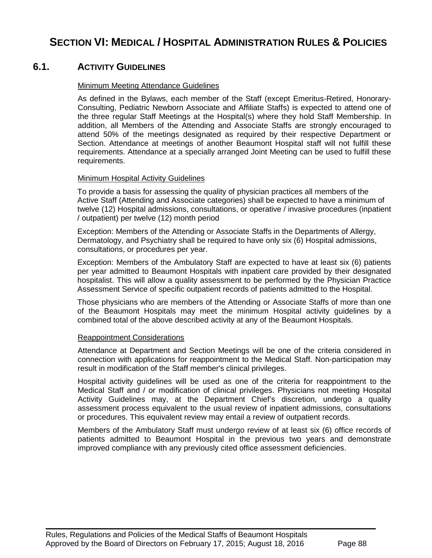# **SECTION VI: MEDICAL / HOSPITAL ADMINISTRATION RULES & POLICIES**

# **6.1. ACTIVITY GUIDELINES**

#### Minimum Meeting Attendance Guidelines

As defined in the Bylaws, each member of the Staff (except Emeritus-Retired, Honorary-Consulting, Pediatric Newborn Associate and Affiliate Staffs) is expected to attend one of the three regular Staff Meetings at the Hospital(s) where they hold Staff Membership. In addition, all Members of the Attending and Associate Staffs are strongly encouraged to attend 50% of the meetings designated as required by their respective Department or Section. Attendance at meetings of another Beaumont Hospital staff will not fulfill these requirements. Attendance at a specially arranged Joint Meeting can be used to fulfill these requirements.

#### Minimum Hospital Activity Guidelines

To provide a basis for assessing the quality of physician practices all members of the Active Staff (Attending and Associate categories) shall be expected to have a minimum of twelve (12) Hospital admissions, consultations, or operative / invasive procedures (inpatient / outpatient) per twelve (12) month period

Exception: Members of the Attending or Associate Staffs in the Departments of Allergy, Dermatology, and Psychiatry shall be required to have only six (6) Hospital admissions, consultations, or procedures per year.

Exception: Members of the Ambulatory Staff are expected to have at least six (6) patients per year admitted to Beaumont Hospitals with inpatient care provided by their designated hospitalist. This will allow a quality assessment to be performed by the Physician Practice Assessment Service of specific outpatient records of patients admitted to the Hospital.

Those physicians who are members of the Attending or Associate Staffs of more than one of the Beaumont Hospitals may meet the minimum Hospital activity guidelines by a combined total of the above described activity at any of the Beaumont Hospitals.

#### Reappointment Considerations

Attendance at Department and Section Meetings will be one of the criteria considered in connection with applications for reappointment to the Medical Staff. Non-participation may result in modification of the Staff member's clinical privileges.

Hospital activity guidelines will be used as one of the criteria for reappointment to the Medical Staff and / or modification of clinical privileges. Physicians not meeting Hospital Activity Guidelines may, at the Department Chief's discretion, undergo a quality assessment process equivalent to the usual review of inpatient admissions, consultations or procedures. This equivalent review may entail a review of outpatient records.

Members of the Ambulatory Staff must undergo review of at least six (6) office records of patients admitted to Beaumont Hospital in the previous two years and demonstrate improved compliance with any previously cited office assessment deficiencies.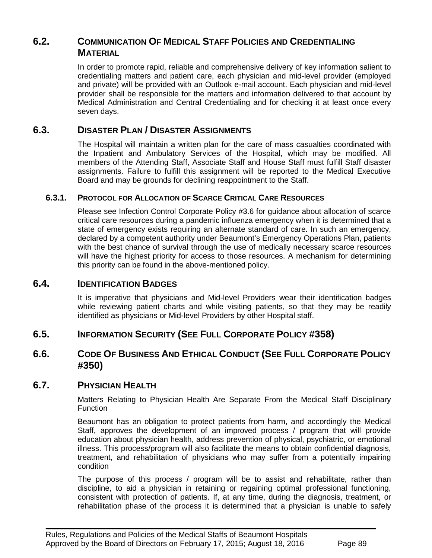# **6.2. COMMUNICATION OF MEDICAL STAFF POLICIES AND CREDENTIALING MATERIAL**

In order to promote rapid, reliable and comprehensive delivery of key information salient to credentialing matters and patient care, each physician and mid-level provider (employed and private) will be provided with an Outlook e-mail account. Each physician and mid-level provider shall be responsible for the matters and information delivered to that account by Medical Administration and Central Credentialing and for checking it at least once every seven days.

# **6.3. DISASTER PLAN / DISASTER ASSIGNMENTS**

The Hospital will maintain a written plan for the care of mass casualties coordinated with the Inpatient and Ambulatory Services of the Hospital, which may be modified. All members of the Attending Staff, Associate Staff and House Staff must fulfill Staff disaster assignments. Failure to fulfill this assignment will be reported to the Medical Executive Board and may be grounds for declining reappointment to the Staff.

## **6.3.1. PROTOCOL FOR ALLOCATION OF SCARCE CRITICAL CARE RESOURCES**

Please see Infection Control Corporate Policy #3.6 for guidance about allocation of scarce critical care resources during a pandemic influenza emergency when it is determined that a state of emergency exists requiring an alternate standard of care. In such an emergency, declared by a competent authority under Beaumont's Emergency Operations Plan, patients with the best chance of survival through the use of medically necessary scarce resources will have the highest priority for access to those resources. A mechanism for determining this priority can be found in the above-mentioned policy.

# **6.4. IDENTIFICATION BADGES**

It is imperative that physicians and Mid-level Providers wear their identification badges while reviewing patient charts and while visiting patients, so that they may be readily identified as physicians or Mid-level Providers by other Hospital staff.

# **6.5. INFORMATION SECURITY (SEE FULL CORPORATE POLICY #358)**

# **6.6. CODE OF BUSINESS AND ETHICAL CONDUCT (SEE FULL CORPORATE POLICY #350)**

## **6.7. PHYSICIAN HEALTH**

Matters Relating to Physician Health Are Separate From the Medical Staff Disciplinary **Function** 

Beaumont has an obligation to protect patients from harm, and accordingly the Medical Staff, approves the development of an improved process / program that will provide education about physician health, address prevention of physical, psychiatric, or emotional illness. This process/program will also facilitate the means to obtain confidential diagnosis, treatment, and rehabilitation of physicians who may suffer from a potentially impairing condition

The purpose of this process / program will be to assist and rehabilitate, rather than discipline, to aid a physician in retaining or regaining optimal professional functioning, consistent with protection of patients. If, at any time, during the diagnosis, treatment, or rehabilitation phase of the process it is determined that a physician is unable to safely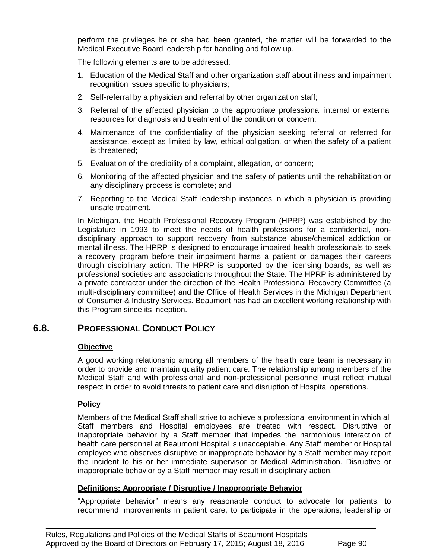perform the privileges he or she had been granted, the matter will be forwarded to the Medical Executive Board leadership for handling and follow up.

The following elements are to be addressed:

- 1. Education of the Medical Staff and other organization staff about illness and impairment recognition issues specific to physicians;
- 2. Self-referral by a physician and referral by other organization staff;
- 3. Referral of the affected physician to the appropriate professional internal or external resources for diagnosis and treatment of the condition or concern;
- 4. Maintenance of the confidentiality of the physician seeking referral or referred for assistance, except as limited by law, ethical obligation, or when the safety of a patient is threatened;
- 5. Evaluation of the credibility of a complaint, allegation, or concern;
- 6. Monitoring of the affected physician and the safety of patients until the rehabilitation or any disciplinary process is complete; and
- 7. Reporting to the Medical Staff leadership instances in which a physician is providing unsafe treatment.

In Michigan, the Health Professional Recovery Program (HPRP) was established by the Legislature in 1993 to meet the needs of health professions for a confidential, nondisciplinary approach to support recovery from substance abuse/chemical addiction or mental illness. The HPRP is designed to encourage impaired health professionals to seek a recovery program before their impairment harms a patient or damages their careers through disciplinary action. The HPRP is supported by the licensing boards, as well as professional societies and associations throughout the State. The HPRP is administered by a private contractor under the direction of the Health Professional Recovery Committee (a multi-disciplinary committee) and the Office of Health Services in the Michigan Department of Consumer & Industry Services. Beaumont has had an excellent working relationship with this Program since its inception.

# **6.8. PROFESSIONAL CONDUCT POLICY**

# **Objective**

A good working relationship among all members of the health care team is necessary in order to provide and maintain quality patient care. The relationship among members of the Medical Staff and with professional and non-professional personnel must reflect mutual respect in order to avoid threats to patient care and disruption of Hospital operations.

# **Policy**

Members of the Medical Staff shall strive to achieve a professional environment in which all Staff members and Hospital employees are treated with respect. Disruptive or inappropriate behavior by a Staff member that impedes the harmonious interaction of health care personnel at Beaumont Hospital is unacceptable. Any Staff member or Hospital employee who observes disruptive or inappropriate behavior by a Staff member may report the incident to his or her immediate supervisor or Medical Administration. Disruptive or inappropriate behavior by a Staff member may result in disciplinary action.

## **Definitions: Appropriate / Disruptive / Inappropriate Behavior**

 $\blacksquare$ 

"Appropriate behavior" means any reasonable conduct to advocate for patients, to recommend improvements in patient care, to participate in the operations, leadership or